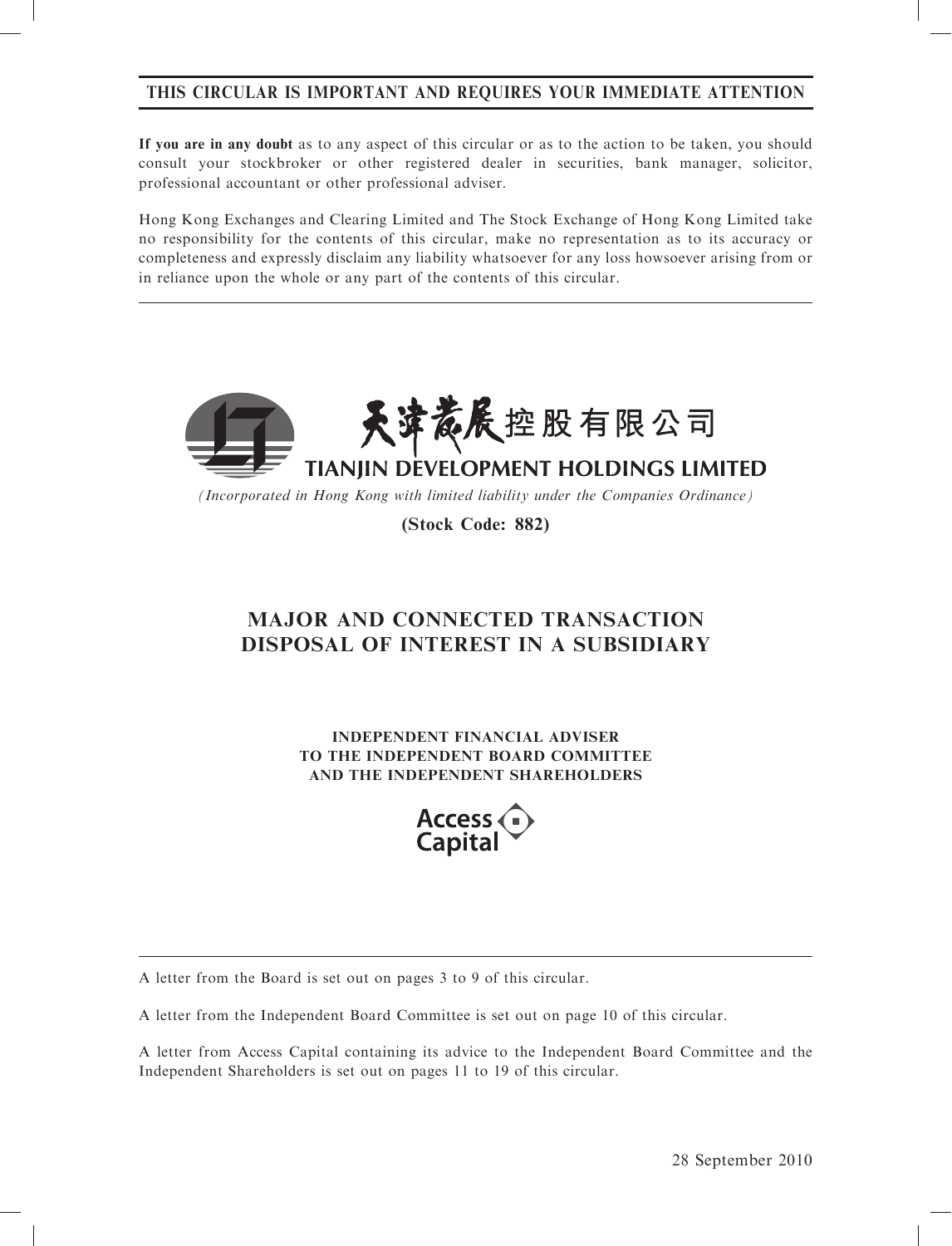# THIS CIRCULAR IS IMPORTANT AND REQUIRES YOUR IMMEDIATE ATTENTION

If you are in any doubt as to any aspect of this circular or as to the action to be taken, you should consult your stockbroker or other registered dealer in securities, bank manager, solicitor, professional accountant or other professional adviser.

Hong Kong Exchanges and Clearing Limited and The Stock Exchange of Hong Kong Limited take no responsibility for the contents of this circular, make no representation as to its accuracy or completeness and expressly disclaim any liability whatsoever for any loss howsoever arising from or in reliance upon the whole or any part of the contents of this circular.



(Incorporated in Hong Kong with limited liability under the Companies Ordinance)

(Stock Code: 882)

# MAJOR AND CONNECTED TRANSACTION DISPOSAL OF INTEREST IN A SUBSIDIARY

INDEPENDENT FINANCIAL ADVISER TO THE INDEPENDENT BOARD COMMITTEE AND THE INDEPENDENT SHAREHOLDERS



A letter from the Board is set out on pages 3 to 9 of this circular.

A letter from the Independent Board Committee is set out on page 10 of this circular.

A letter from Access Capital containing its advice to the Independent Board Committee and the Independent Shareholders is set out on pages 11 to 19 of this circular.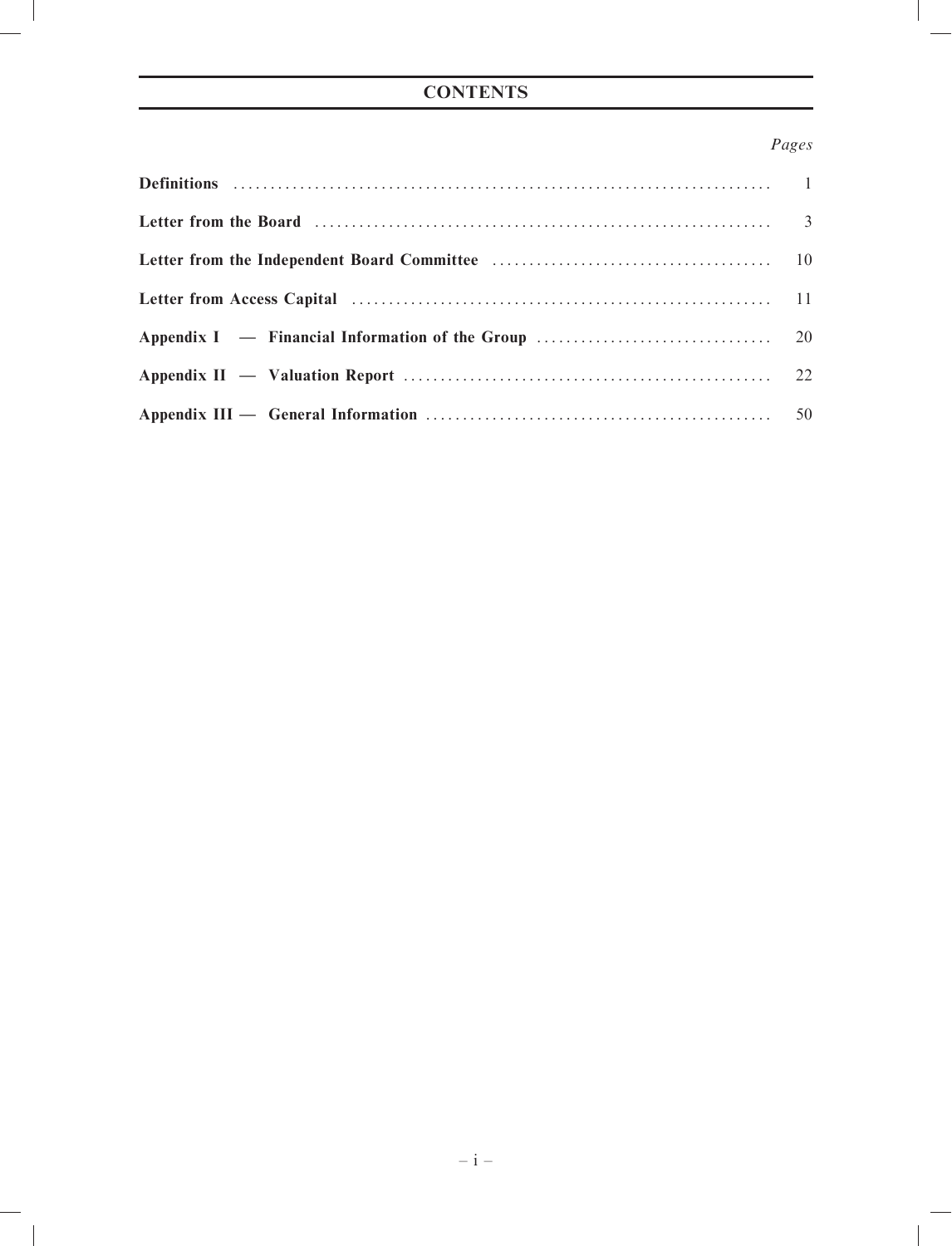# **CONTENTS**

# Pages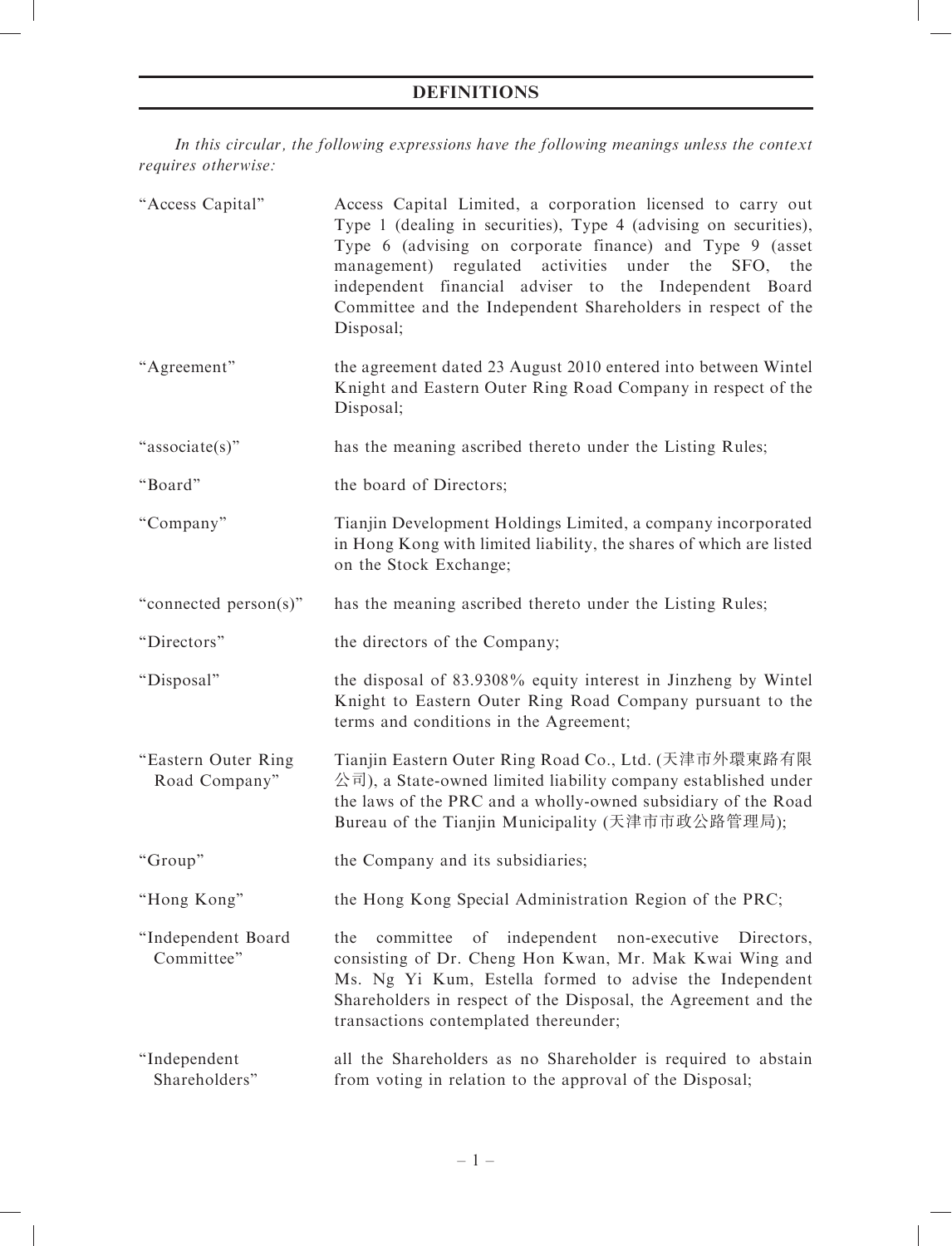# DEFINITIONS

In this circular, the following expressions have the following meanings unless the context requires otherwise:

| "Access Capital"                     | Access Capital Limited, a corporation licensed to carry out<br>Type 1 (dealing in securities), Type 4 (advising on securities),<br>Type 6 (advising on corporate finance) and Type 9 (asset<br>management) regulated activities<br>under the<br>SFO,<br>the<br>independent financial adviser to the Independent Board<br>Committee and the Independent Shareholders in respect of the<br>Disposal; |
|--------------------------------------|----------------------------------------------------------------------------------------------------------------------------------------------------------------------------------------------------------------------------------------------------------------------------------------------------------------------------------------------------------------------------------------------------|
| "Agreement"                          | the agreement dated 23 August 2010 entered into between Wintel<br>Knight and Eastern Outer Ring Road Company in respect of the<br>Disposal;                                                                                                                                                                                                                                                        |
| "associate(s)"                       | has the meaning ascribed thereto under the Listing Rules;                                                                                                                                                                                                                                                                                                                                          |
| "Board"                              | the board of Directors;                                                                                                                                                                                                                                                                                                                                                                            |
| "Company"                            | Tianjin Development Holdings Limited, a company incorporated<br>in Hong Kong with limited liability, the shares of which are listed<br>on the Stock Exchange;                                                                                                                                                                                                                                      |
| "connected person(s)"                | has the meaning ascribed thereto under the Listing Rules;                                                                                                                                                                                                                                                                                                                                          |
| "Directors"                          | the directors of the Company;                                                                                                                                                                                                                                                                                                                                                                      |
| "Disposal"                           | the disposal of 83.9308% equity interest in Jinzheng by Wintel<br>Knight to Eastern Outer Ring Road Company pursuant to the<br>terms and conditions in the Agreement;                                                                                                                                                                                                                              |
| "Eastern Outer Ring<br>Road Company" | Tianjin Eastern Outer Ring Road Co., Ltd. (天津市外環東路有限<br>公司), a State-owned limited liability company established under<br>the laws of the PRC and a wholly-owned subsidiary of the Road<br>Bureau of the Tianjin Municipality (天津市市政公路管理局);                                                                                                                                                        |
| "Group"                              | the Company and its subsidiaries;                                                                                                                                                                                                                                                                                                                                                                  |
| "Hong Kong"                          | the Hong Kong Special Administration Region of the PRC;                                                                                                                                                                                                                                                                                                                                            |
| "Independent Board<br>Committee"     | of independent non-executive<br>the<br>committee<br>Directors,<br>consisting of Dr. Cheng Hon Kwan, Mr. Mak Kwai Wing and<br>Ms. Ng Yi Kum, Estella formed to advise the Independent<br>Shareholders in respect of the Disposal, the Agreement and the<br>transactions contemplated thereunder;                                                                                                    |
| "Independent<br>Shareholders"        | all the Shareholders as no Shareholder is required to abstain<br>from voting in relation to the approval of the Disposal;                                                                                                                                                                                                                                                                          |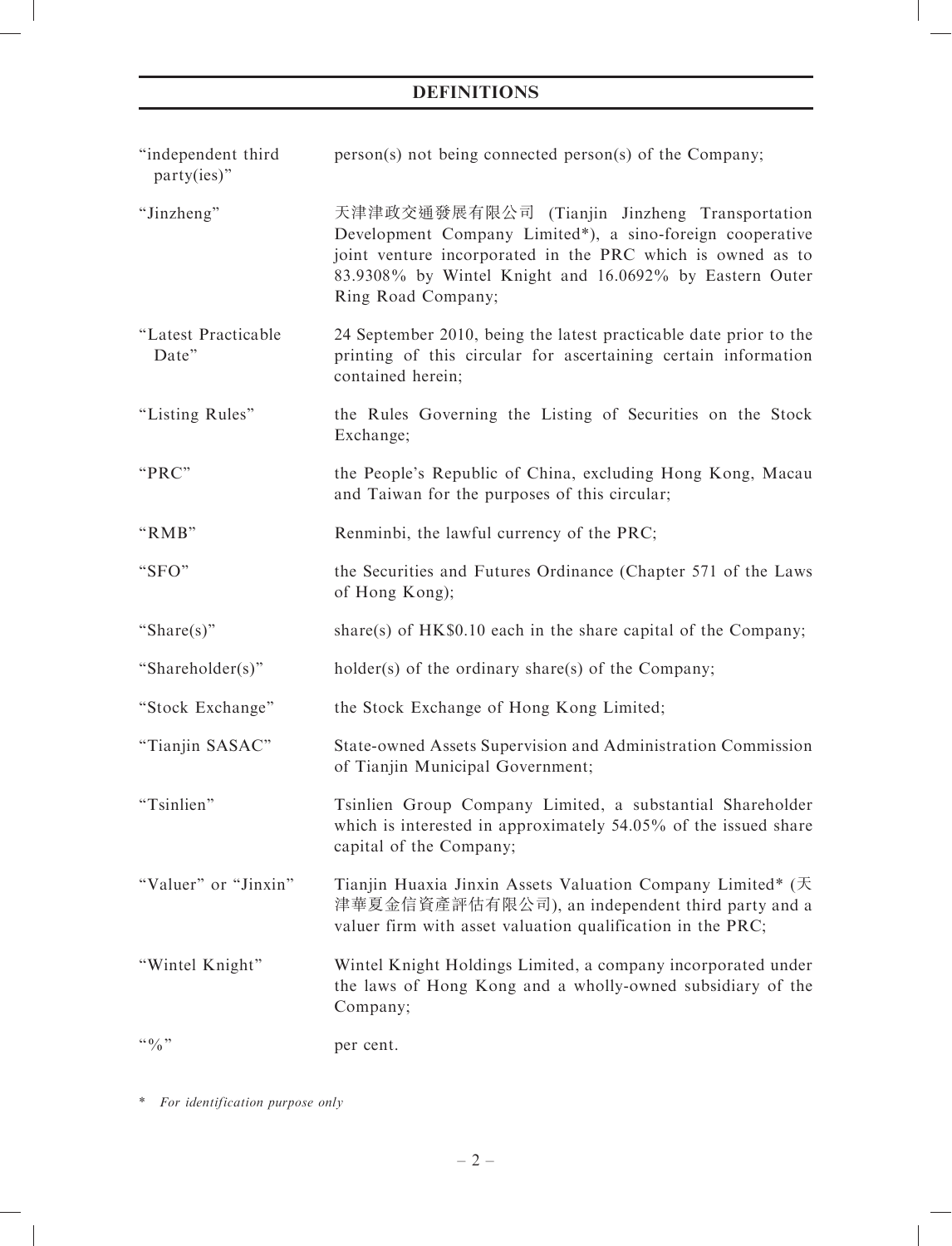# DEFINITIONS

| "independent third<br>$party(ies)$ " | person(s) not being connected person(s) of the Company;                                                                                                                                                                                                   |
|--------------------------------------|-----------------------------------------------------------------------------------------------------------------------------------------------------------------------------------------------------------------------------------------------------------|
| "Jinzheng"                           | 天津津政交通發展有限公司 (Tianjin Jinzheng Transportation<br>Development Company Limited*), a sino-foreign cooperative<br>joint venture incorporated in the PRC which is owned as to<br>83.9308% by Wintel Knight and 16.0692% by Eastern Outer<br>Ring Road Company; |
| "Latest Practicable<br>Date"         | 24 September 2010, being the latest practicable date prior to the<br>printing of this circular for ascertaining certain information<br>contained herein;                                                                                                  |
| "Listing Rules"                      | the Rules Governing the Listing of Securities on the Stock<br>Exchange;                                                                                                                                                                                   |
| "PRC"                                | the People's Republic of China, excluding Hong Kong, Macau<br>and Taiwan for the purposes of this circular;                                                                                                                                               |
| "RMB"                                | Renminbi, the lawful currency of the PRC;                                                                                                                                                                                                                 |
| "SFO"                                | the Securities and Futures Ordinance (Chapter 571 of the Laws<br>of Hong Kong);                                                                                                                                                                           |
| "Share $(s)$ "                       | share(s) of $HK\$0.10$ each in the share capital of the Company;                                                                                                                                                                                          |
| "Shareholder(s)"                     | holder(s) of the ordinary share(s) of the Company;                                                                                                                                                                                                        |
| "Stock Exchange"                     | the Stock Exchange of Hong Kong Limited;                                                                                                                                                                                                                  |
| "Tianjin SASAC"                      | State-owned Assets Supervision and Administration Commission<br>of Tianjin Municipal Government;                                                                                                                                                          |
| "Tsinlien"                           | Tsinlien Group Company Limited, a substantial Shareholder<br>which is interested in approximately 54.05% of the issued share<br>capital of the Company;                                                                                                   |
| "Valuer" or "Jinxin"                 | Tianjin Huaxia Jinxin Assets Valuation Company Limited* (天<br>津華夏金信資產評估有限公司), an independent third party and a<br>valuer firm with asset valuation qualification in the PRC;                                                                              |
| "Wintel Knight"                      | Wintel Knight Holdings Limited, a company incorporated under<br>the laws of Hong Kong and a wholly-owned subsidiary of the<br>Company;                                                                                                                    |
| $\lq\lq 0$ $\lq$                     | per cent.                                                                                                                                                                                                                                                 |

\* For identification purpose only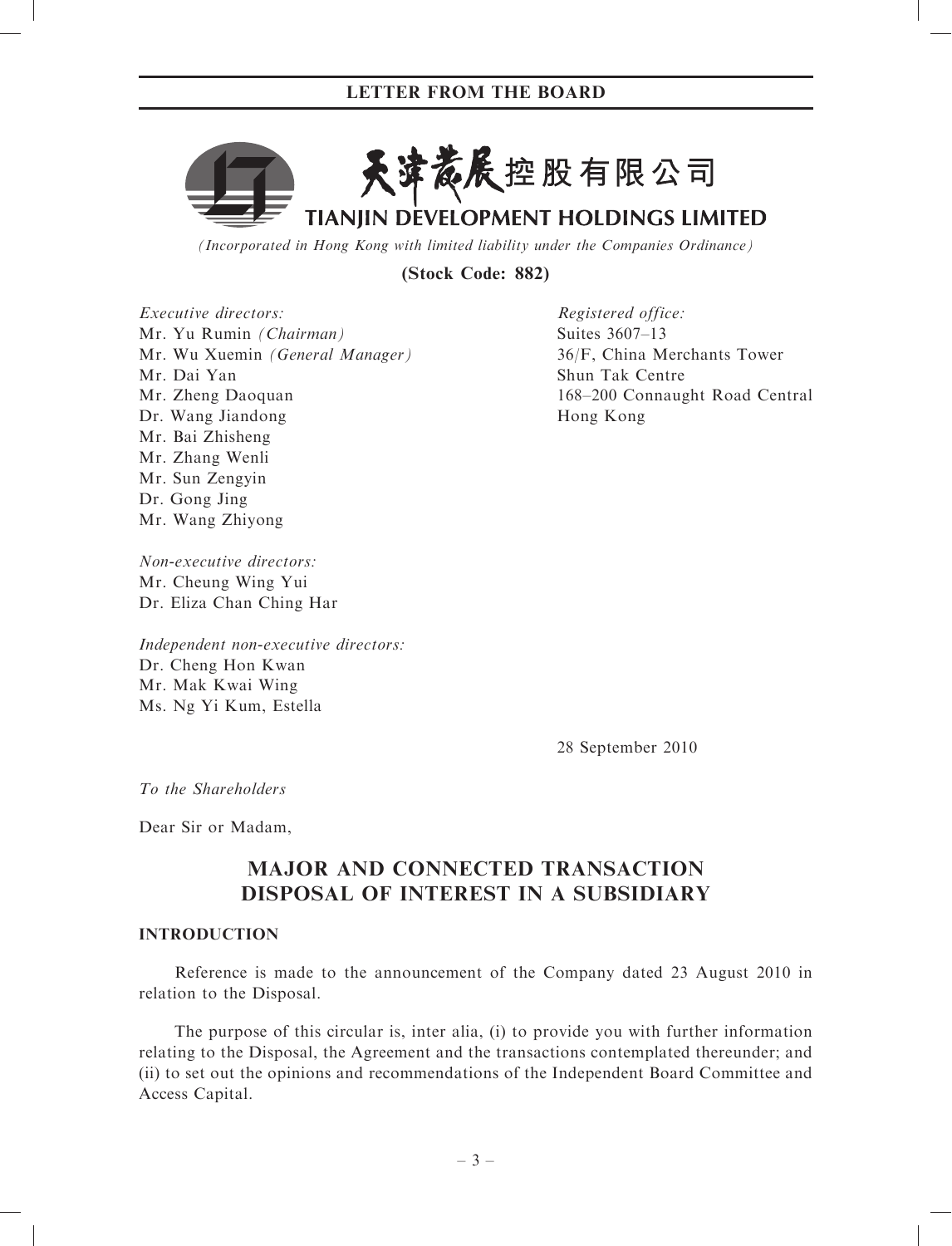

(Incorporated in Hong Kong with limited liability under the Companies Ordinance)

(Stock Code: 882)

Executive directors: Mr. Yu Rumin (Chairman) Mr. Wu Xuemin (General Manager) Mr. Dai Yan Mr. Zheng Daoquan Dr. Wang Jiandong Mr. Bai Zhisheng Mr. Zhang Wenli Mr. Sun Zengyin Dr. Gong Jing Mr. Wang Zhiyong

Suites 3607–13 36/F, China Merchants Tower Shun Tak Centre 168–200 Connaught Road Central Hong Kong

Non-executive directors: Mr. Cheung Wing Yui Dr. Eliza Chan Ching Har

Independent non-executive directors: Dr. Cheng Hon Kwan Mr. Mak Kwai Wing Ms. Ng Yi Kum, Estella

28 September 2010

Registered office:

To the Shareholders

Dear Sir or Madam,

# MAJOR AND CONNECTED TRANSACTION DISPOSAL OF INTEREST IN A SUBSIDIARY

### INTRODUCTION

Reference is made to the announcement of the Company dated 23 August 2010 in relation to the Disposal.

The purpose of this circular is, inter alia, (i) to provide you with further information relating to the Disposal, the Agreement and the transactions contemplated thereunder; and (ii) to set out the opinions and recommendations of the Independent Board Committee and Access Capital.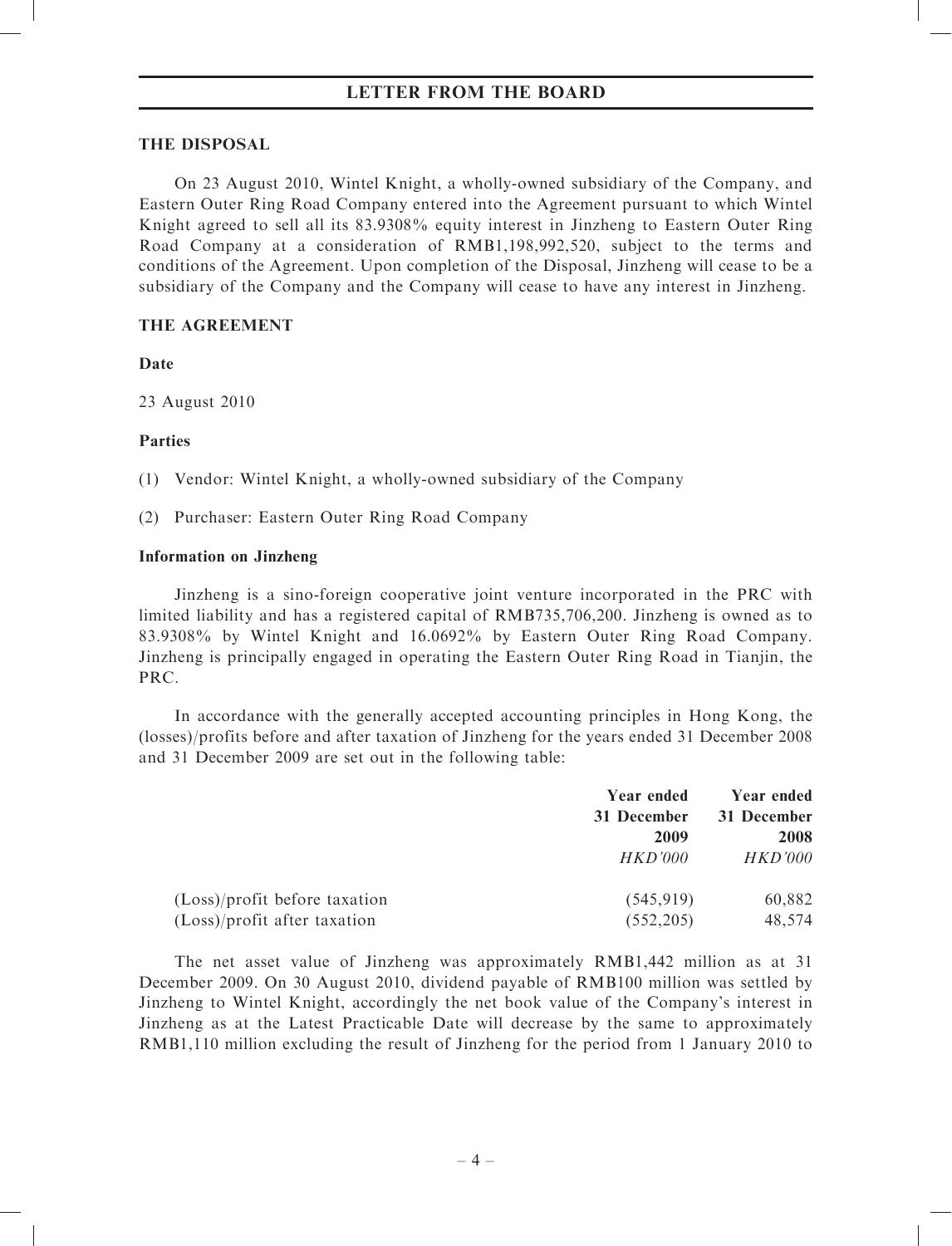### THE DISPOSAL

On 23 August 2010, Wintel Knight, a wholly-owned subsidiary of the Company, and Eastern Outer Ring Road Company entered into the Agreement pursuant to which Wintel Knight agreed to sell all its 83.9308% equity interest in Jinzheng to Eastern Outer Ring Road Company at a consideration of RMB1,198,992,520, subject to the terms and conditions of the Agreement. Upon completion of the Disposal, Jinzheng will cease to be a subsidiary of the Company and the Company will cease to have any interest in Jinzheng.

# THE AGREEMENT

# Date

23 August 2010

# Parties

(1) Vendor: Wintel Knight, a wholly-owned subsidiary of the Company

(2) Purchaser: Eastern Outer Ring Road Company

# Information on Jinzheng

Jinzheng is a sino-foreign cooperative joint venture incorporated in the PRC with limited liability and has a registered capital of RMB735,706,200. Jinzheng is owned as to 83.9308% by Wintel Knight and 16.0692% by Eastern Outer Ring Road Company. Jinzheng is principally engaged in operating the Eastern Outer Ring Road in Tianjin, the PRC.

In accordance with the generally accepted accounting principles in Hong Kong, the (losses)/profits before and after taxation of Jinzheng for the years ended 31 December 2008 and 31 December 2009 are set out in the following table:

|                               | Year ended     | Year ended  |
|-------------------------------|----------------|-------------|
|                               | 31 December    | 31 December |
|                               | 2009           | 2008        |
|                               | <i>HKD'000</i> | HKD'000     |
| (Loss)/profit before taxation | (545, 919)     | 60,882      |
| (Loss)/profit after taxation  | (552, 205)     | 48,574      |

The net asset value of Jinzheng was approximately RMB1,442 million as at 31 December 2009. On 30 August 2010, dividend payable of RMB100 million was settled by Jinzheng to Wintel Knight, accordingly the net book value of the Company's interest in Jinzheng as at the Latest Practicable Date will decrease by the same to approximately RMB1,110 million excluding the result of Jinzheng for the period from 1 January 2010 to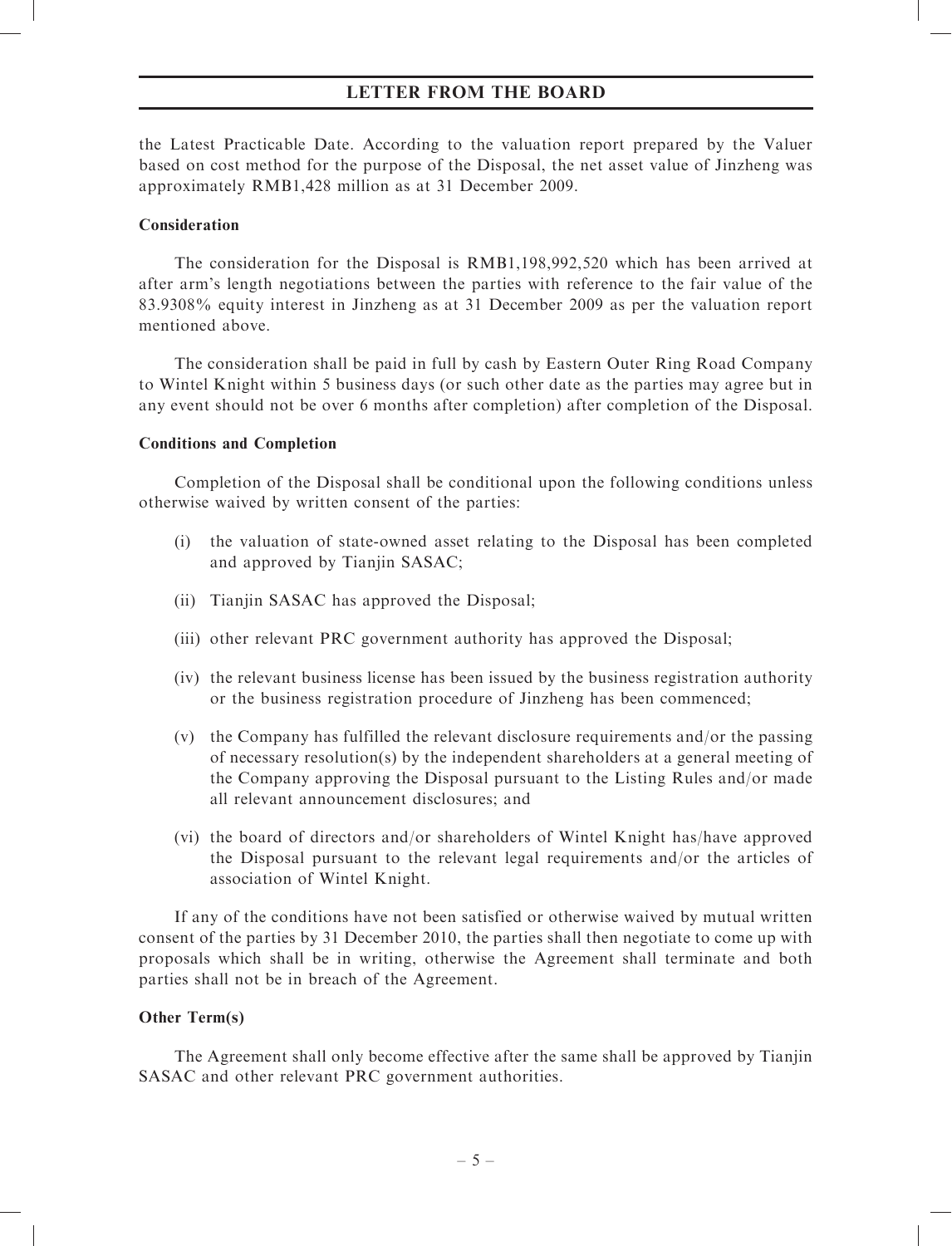the Latest Practicable Date. According to the valuation report prepared by the Valuer based on cost method for the purpose of the Disposal, the net asset value of Jinzheng was approximately RMB1,428 million as at 31 December 2009.

### Consideration

The consideration for the Disposal is RMB1,198,992,520 which has been arrived at after arm's length negotiations between the parties with reference to the fair value of the 83.9308% equity interest in Jinzheng as at 31 December 2009 as per the valuation report mentioned above.

The consideration shall be paid in full by cash by Eastern Outer Ring Road Company to Wintel Knight within 5 business days (or such other date as the parties may agree but in any event should not be over 6 months after completion) after completion of the Disposal.

### Conditions and Completion

Completion of the Disposal shall be conditional upon the following conditions unless otherwise waived by written consent of the parties:

- (i) the valuation of state-owned asset relating to the Disposal has been completed and approved by Tianjin SASAC;
- (ii) Tianjin SASAC has approved the Disposal;
- (iii) other relevant PRC government authority has approved the Disposal;
- (iv) the relevant business license has been issued by the business registration authority or the business registration procedure of Jinzheng has been commenced;
- (v) the Company has fulfilled the relevant disclosure requirements and/or the passing of necessary resolution(s) by the independent shareholders at a general meeting of the Company approving the Disposal pursuant to the Listing Rules and/or made all relevant announcement disclosures; and
- (vi) the board of directors and/or shareholders of Wintel Knight has/have approved the Disposal pursuant to the relevant legal requirements and/or the articles of association of Wintel Knight.

If any of the conditions have not been satisfied or otherwise waived by mutual written consent of the parties by 31 December 2010, the parties shall then negotiate to come up with proposals which shall be in writing, otherwise the Agreement shall terminate and both parties shall not be in breach of the Agreement.

# Other Term(s)

The Agreement shall only become effective after the same shall be approved by Tianjin SASAC and other relevant PRC government authorities.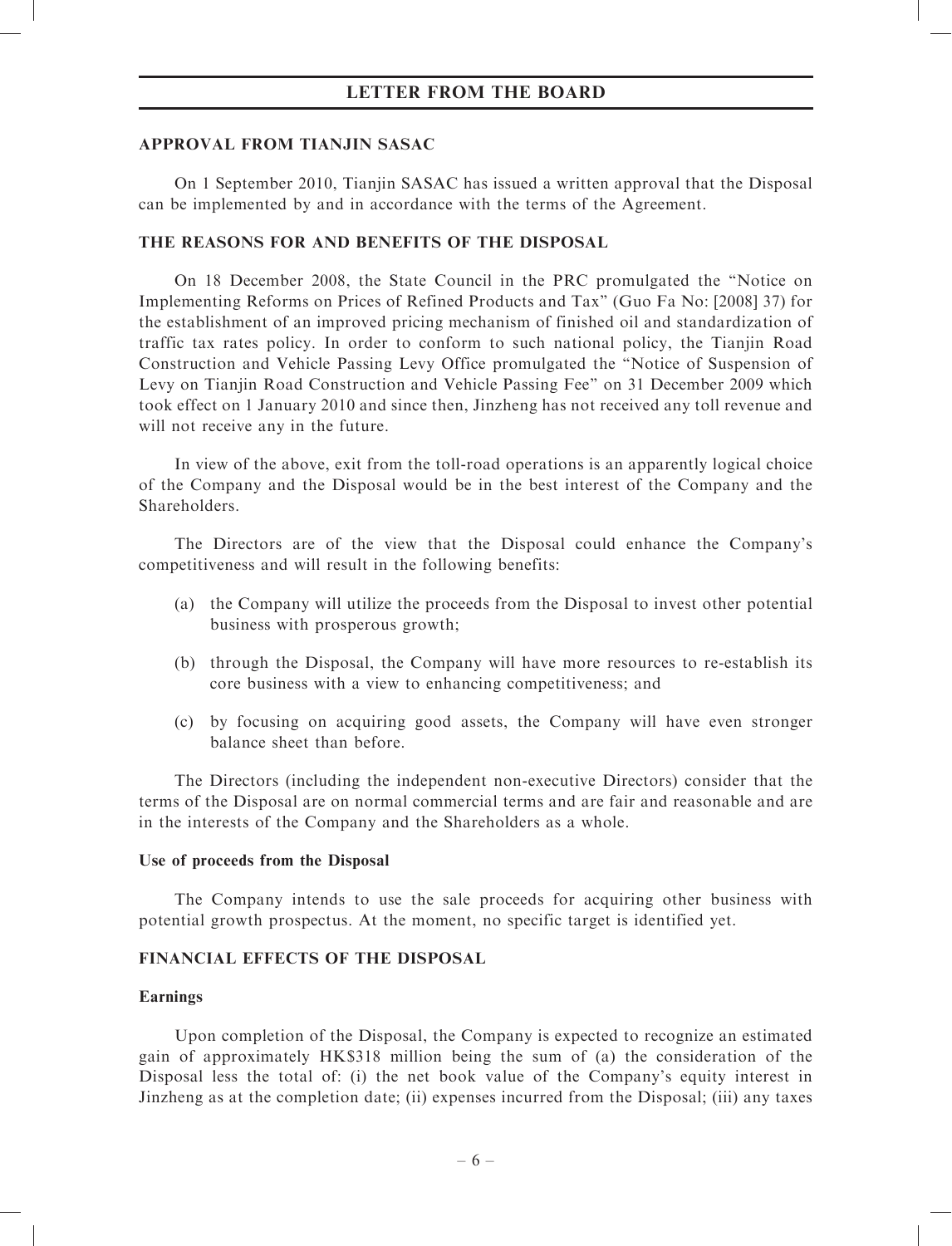### APPROVAL FROM TIANJIN SASAC

On 1 September 2010, Tianjin SASAC has issued a written approval that the Disposal can be implemented by and in accordance with the terms of the Agreement.

### THE REASONS FOR AND BENEFITS OF THE DISPOSAL

On 18 December 2008, the State Council in the PRC promulgated the ''Notice on Implementing Reforms on Prices of Refined Products and Tax'' (Guo Fa No: [2008] 37) for the establishment of an improved pricing mechanism of finished oil and standardization of traffic tax rates policy. In order to conform to such national policy, the Tianjin Road Construction and Vehicle Passing Levy Office promulgated the ''Notice of Suspension of Levy on Tianjin Road Construction and Vehicle Passing Fee'' on 31 December 2009 which took effect on 1 January 2010 and since then, Jinzheng has not received any toll revenue and will not receive any in the future.

In view of the above, exit from the toll-road operations is an apparently logical choice of the Company and the Disposal would be in the best interest of the Company and the Shareholders.

The Directors are of the view that the Disposal could enhance the Company's competitiveness and will result in the following benefits:

- (a) the Company will utilize the proceeds from the Disposal to invest other potential business with prosperous growth;
- (b) through the Disposal, the Company will have more resources to re-establish its core business with a view to enhancing competitiveness; and
- (c) by focusing on acquiring good assets, the Company will have even stronger balance sheet than before.

The Directors (including the independent non-executive Directors) consider that the terms of the Disposal are on normal commercial terms and are fair and reasonable and are in the interests of the Company and the Shareholders as a whole.

### Use of proceeds from the Disposal

The Company intends to use the sale proceeds for acquiring other business with potential growth prospectus. At the moment, no specific target is identified yet.

# FINANCIAL EFFECTS OF THE DISPOSAL

### Earnings

Upon completion of the Disposal, the Company is expected to recognize an estimated gain of approximately HK\$318 million being the sum of (a) the consideration of the Disposal less the total of: (i) the net book value of the Company's equity interest in Jinzheng as at the completion date; (ii) expenses incurred from the Disposal; (iii) any taxes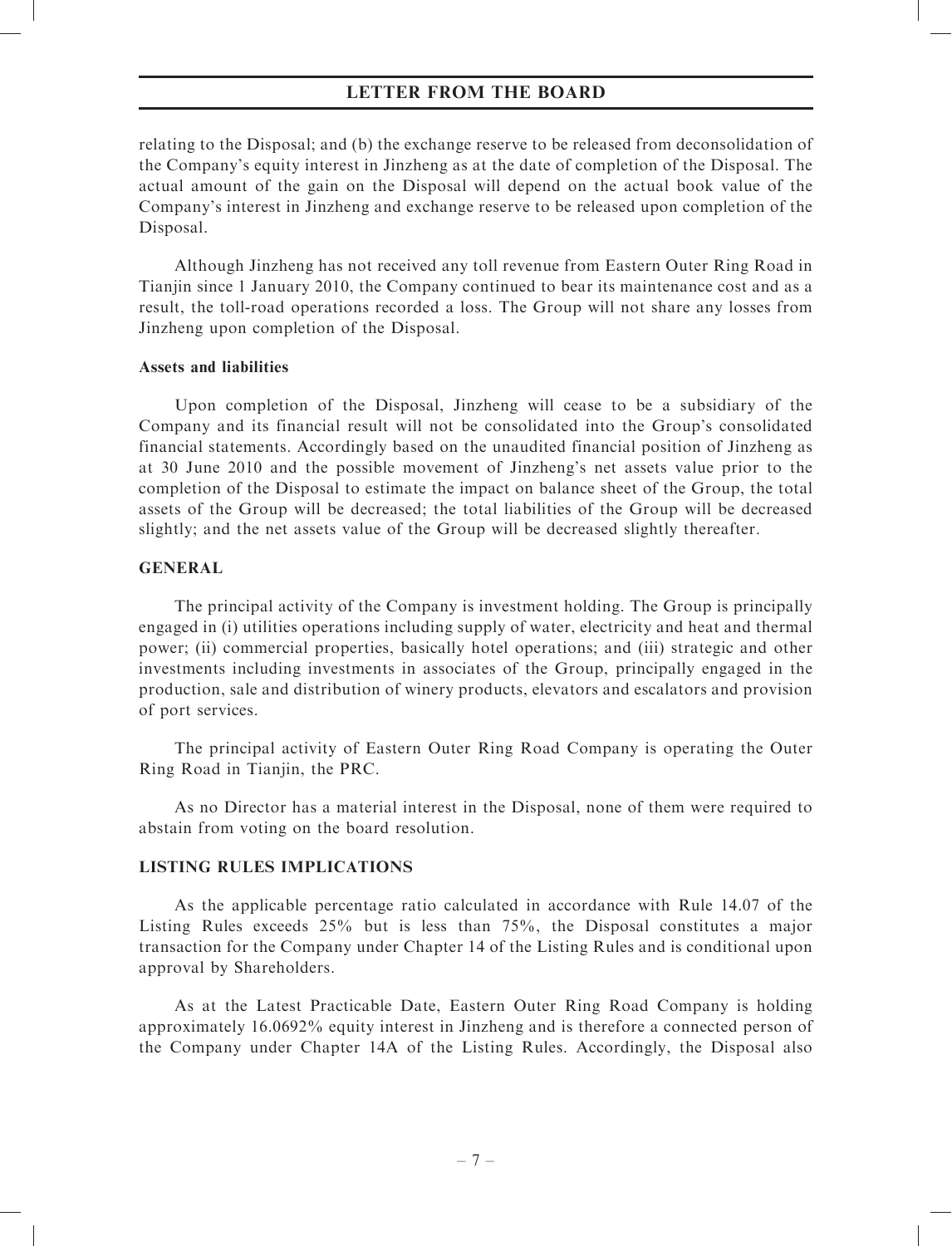relating to the Disposal; and (b) the exchange reserve to be released from deconsolidation of the Company's equity interest in Jinzheng as at the date of completion of the Disposal. The actual amount of the gain on the Disposal will depend on the actual book value of the Company's interest in Jinzheng and exchange reserve to be released upon completion of the Disposal.

Although Jinzheng has not received any toll revenue from Eastern Outer Ring Road in Tianiin since 1 January 2010, the Company continued to bear its maintenance cost and as a result, the toll-road operations recorded a loss. The Group will not share any losses from Jinzheng upon completion of the Disposal.

### Assets and liabilities

Upon completion of the Disposal, Jinzheng will cease to be a subsidiary of the Company and its financial result will not be consolidated into the Group's consolidated financial statements. Accordingly based on the unaudited financial position of Jinzheng as at 30 June 2010 and the possible movement of Jinzheng's net assets value prior to the completion of the Disposal to estimate the impact on balance sheet of the Group, the total assets of the Group will be decreased; the total liabilities of the Group will be decreased slightly; and the net assets value of the Group will be decreased slightly thereafter.

### GENERAL

The principal activity of the Company is investment holding. The Group is principally engaged in (i) utilities operations including supply of water, electricity and heat and thermal power; (ii) commercial properties, basically hotel operations; and (iii) strategic and other investments including investments in associates of the Group, principally engaged in the production, sale and distribution of winery products, elevators and escalators and provision of port services.

The principal activity of Eastern Outer Ring Road Company is operating the Outer Ring Road in Tianjin, the PRC.

As no Director has a material interest in the Disposal, none of them were required to abstain from voting on the board resolution.

### LISTING RULES IMPLICATIONS

As the applicable percentage ratio calculated in accordance with Rule 14.07 of the Listing Rules exceeds 25% but is less than 75%, the Disposal constitutes a major transaction for the Company under Chapter 14 of the Listing Rules and is conditional upon approval by Shareholders.

As at the Latest Practicable Date, Eastern Outer Ring Road Company is holding approximately 16.0692% equity interest in Jinzheng and is therefore a connected person of the Company under Chapter 14A of the Listing Rules. Accordingly, the Disposal also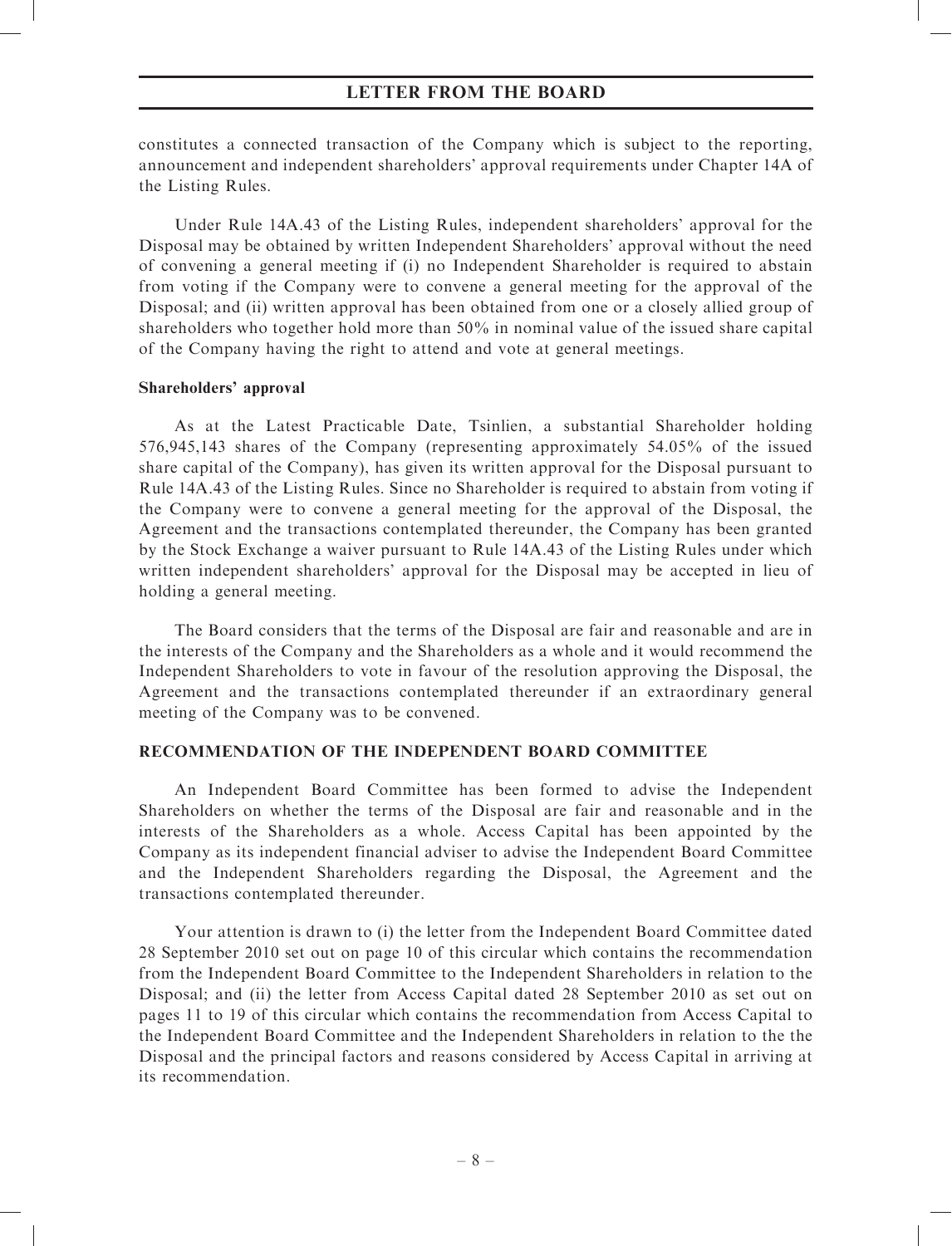constitutes a connected transaction of the Company which is subject to the reporting, announcement and independent shareholders' approval requirements under Chapter 14A of the Listing Rules.

Under Rule 14A.43 of the Listing Rules, independent shareholders' approval for the Disposal may be obtained by written Independent Shareholders' approval without the need of convening a general meeting if (i) no Independent Shareholder is required to abstain from voting if the Company were to convene a general meeting for the approval of the Disposal; and (ii) written approval has been obtained from one or a closely allied group of shareholders who together hold more than 50% in nominal value of the issued share capital of the Company having the right to attend and vote at general meetings.

### Shareholders' approval

As at the Latest Practicable Date, Tsinlien, a substantial Shareholder holding 576,945,143 shares of the Company (representing approximately 54.05% of the issued share capital of the Company), has given its written approval for the Disposal pursuant to Rule 14A.43 of the Listing Rules. Since no Shareholder is required to abstain from voting if the Company were to convene a general meeting for the approval of the Disposal, the Agreement and the transactions contemplated thereunder, the Company has been granted by the Stock Exchange a waiver pursuant to Rule 14A.43 of the Listing Rules under which written independent shareholders' approval for the Disposal may be accepted in lieu of holding a general meeting.

The Board considers that the terms of the Disposal are fair and reasonable and are in the interests of the Company and the Shareholders as a whole and it would recommend the Independent Shareholders to vote in favour of the resolution approving the Disposal, the Agreement and the transactions contemplated thereunder if an extraordinary general meeting of the Company was to be convened.

# RECOMMENDATION OF THE INDEPENDENT BOARD COMMITTEE

An Independent Board Committee has been formed to advise the Independent Shareholders on whether the terms of the Disposal are fair and reasonable and in the interests of the Shareholders as a whole. Access Capital has been appointed by the Company as its independent financial adviser to advise the Independent Board Committee and the Independent Shareholders regarding the Disposal, the Agreement and the transactions contemplated thereunder.

Your attention is drawn to (i) the letter from the Independent Board Committee dated 28 September 2010 set out on page 10 of this circular which contains the recommendation from the Independent Board Committee to the Independent Shareholders in relation to the Disposal; and (ii) the letter from Access Capital dated 28 September 2010 as set out on pages 11 to 19 of this circular which contains the recommendation from Access Capital to the Independent Board Committee and the Independent Shareholders in relation to the the Disposal and the principal factors and reasons considered by Access Capital in arriving at its recommendation.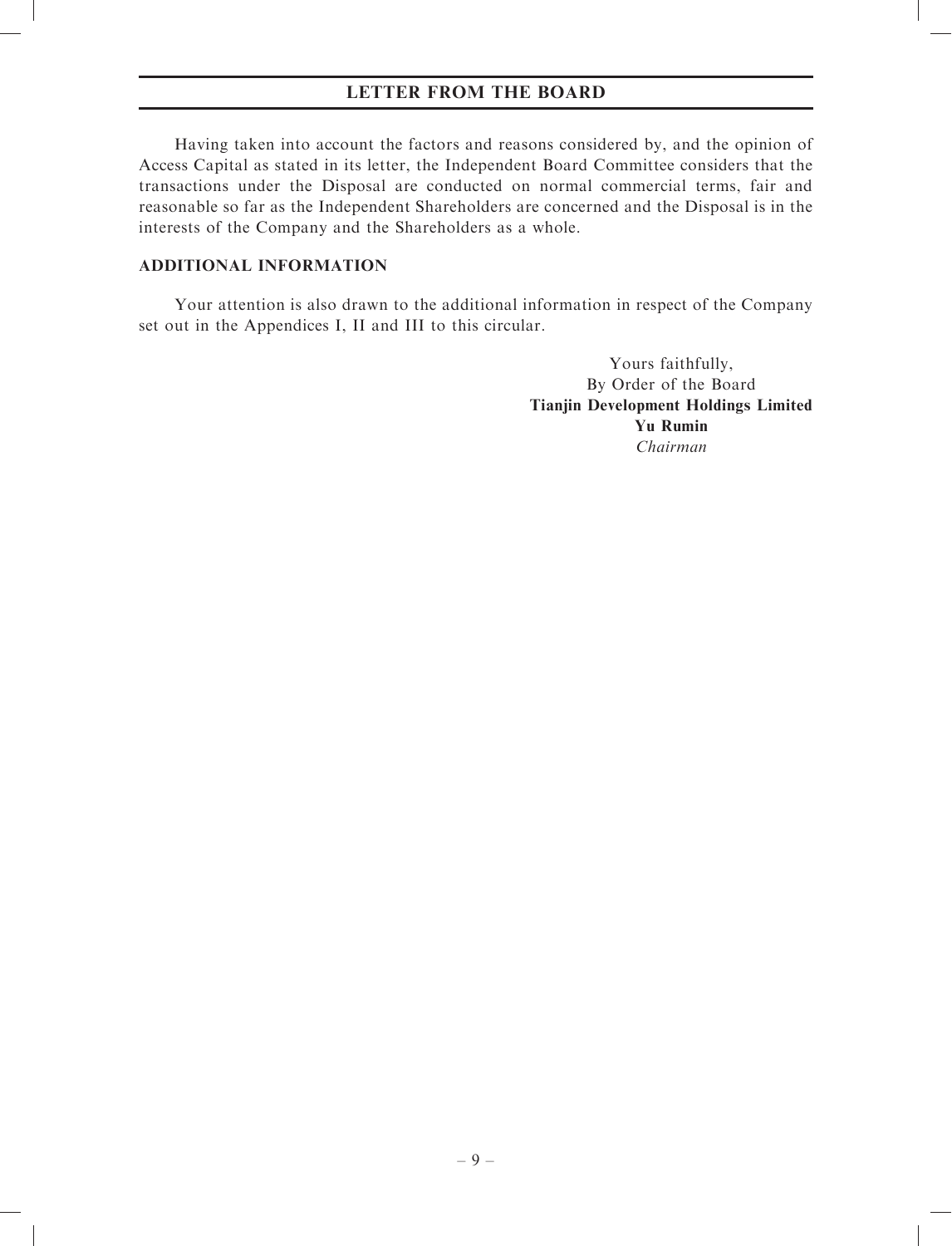Having taken into account the factors and reasons considered by, and the opinion of Access Capital as stated in its letter, the Independent Board Committee considers that the transactions under the Disposal are conducted on normal commercial terms, fair and reasonable so far as the Independent Shareholders are concerned and the Disposal is in the interests of the Company and the Shareholders as a whole.

### ADDITIONAL INFORMATION

Your attention is also drawn to the additional information in respect of the Company set out in the Appendices I, II and III to this circular.

> Yours faithfully, By Order of the Board Tianjin Development Holdings Limited Yu Rumin Chairman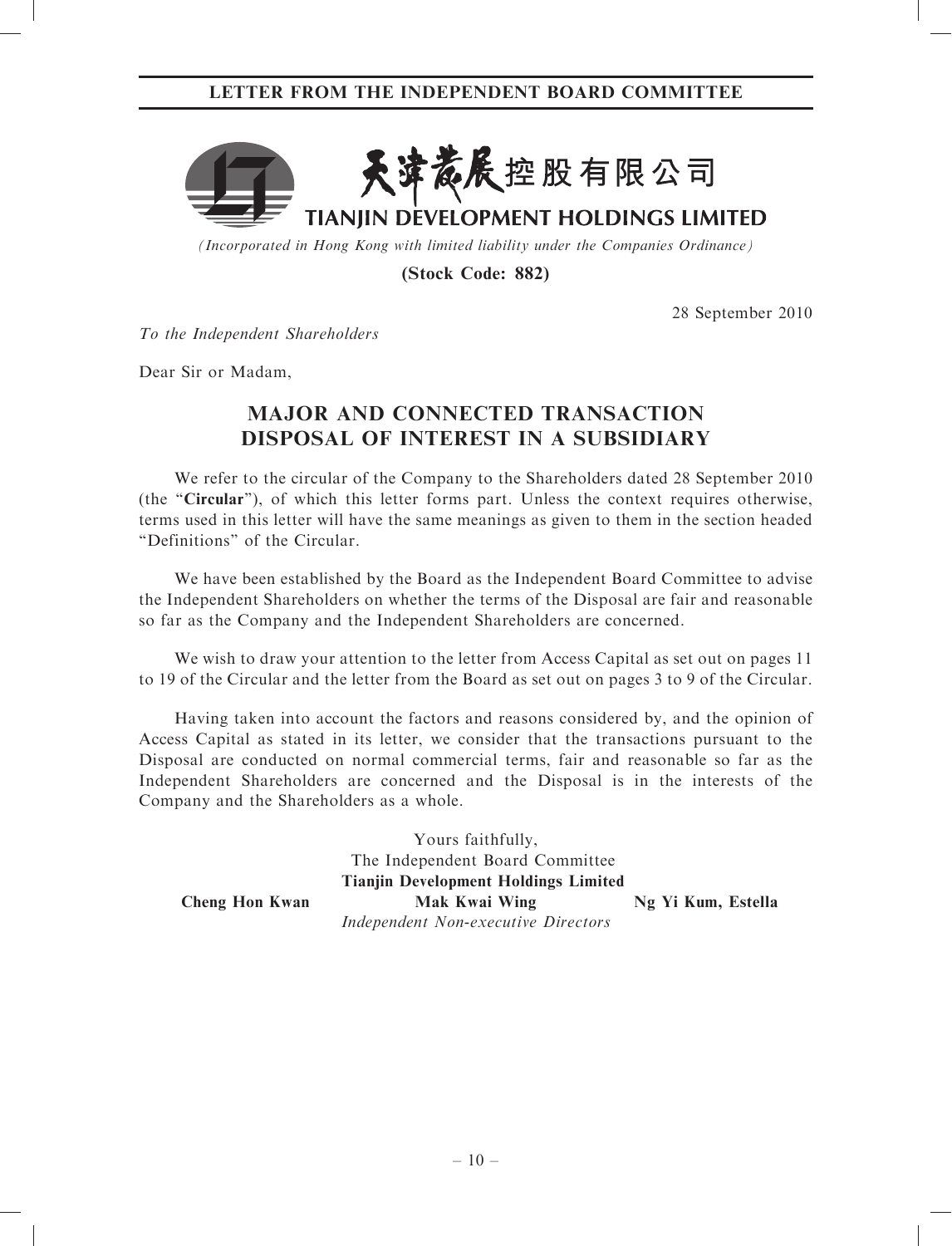

(Incorporated in Hong Kong with limited liability under the Companies Ordinance)

(Stock Code: 882)

28 September 2010

To the Independent Shareholders

Dear Sir or Madam,

# MAJOR AND CONNECTED TRANSACTION DISPOSAL OF INTEREST IN A SUBSIDIARY

We refer to the circular of the Company to the Shareholders dated 28 September 2010 (the "Circular"), of which this letter forms part. Unless the context requires otherwise, terms used in this letter will have the same meanings as given to them in the section headed ''Definitions'' of the Circular.

We have been established by the Board as the Independent Board Committee to advise the Independent Shareholders on whether the terms of the Disposal are fair and reasonable so far as the Company and the Independent Shareholders are concerned.

We wish to draw your attention to the letter from Access Capital as set out on pages 11 to 19 of the Circular and the letter from the Board as set out on pages 3 to 9 of the Circular.

Having taken into account the factors and reasons considered by, and the opinion of Access Capital as stated in its letter, we consider that the transactions pursuant to the Disposal are conducted on normal commercial terms, fair and reasonable so far as the Independent Shareholders are concerned and the Disposal is in the interests of the Company and the Shareholders as a whole.

> Yours faithfully, The Independent Board Committee Tianjin Development Holdings Limited

Independent Non-executive Directors

Cheng Hon Kwan Mak Kwai Wing Ng Yi Kum, Estella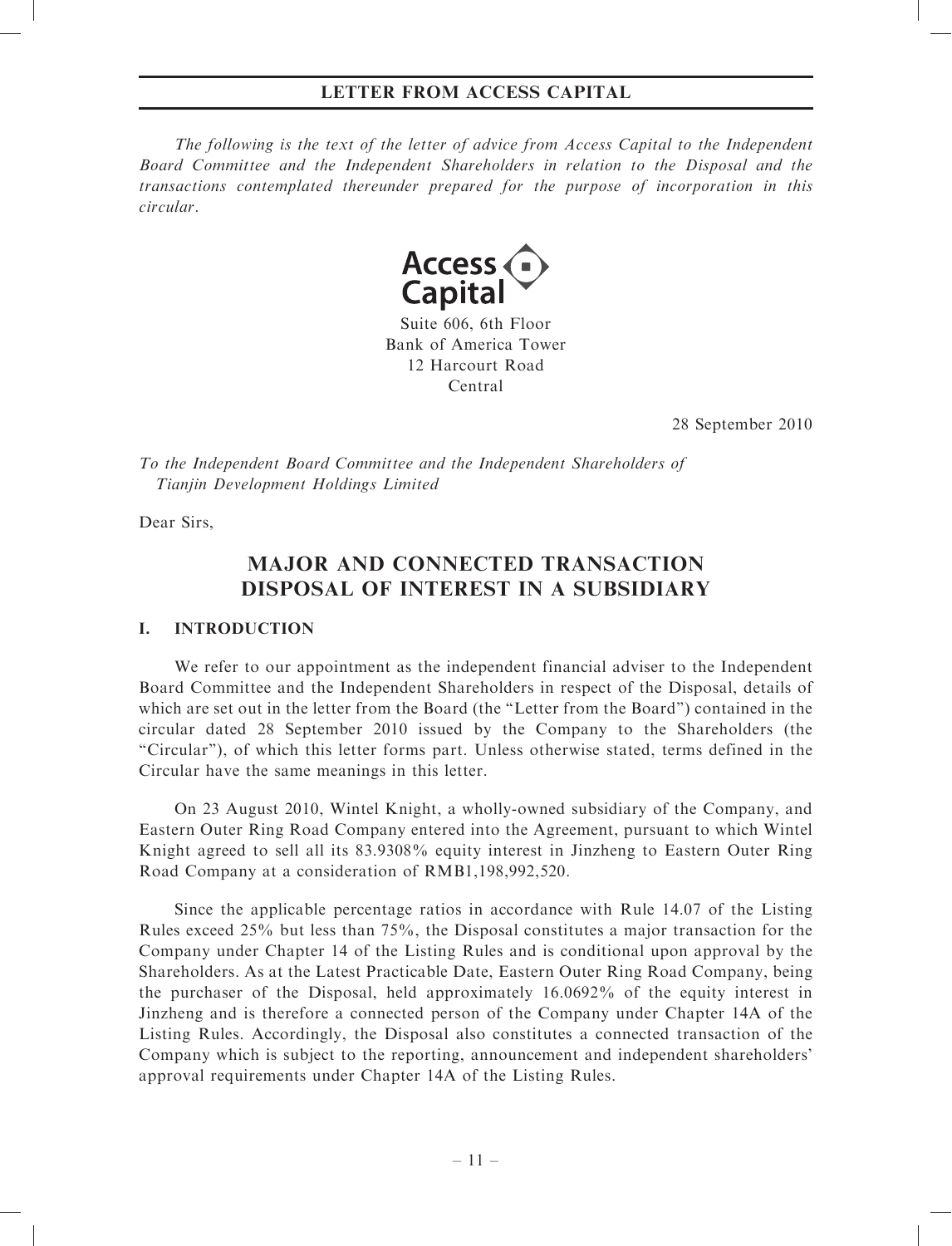The following is the text of the letter of advice from Access Capital to the Independent Board Committee and the Independent Shareholders in relation to the Disposal and the transactions contemplated thereunder prepared for the purpose of incorporation in this circular.



Suite 606, 6th Floor Bank of America Tower 12 Harcourt Road Central

28 September 2010

To the Independent Board Committee and the Independent Shareholders of Tianjin Development Holdings Limited

Dear Sirs,

# MAJOR AND CONNECTED TRANSACTION DISPOSAL OF INTEREST IN A SUBSIDIARY

# I. INTRODUCTION

We refer to our appointment as the independent financial adviser to the Independent Board Committee and the Independent Shareholders in respect of the Disposal, details of which are set out in the letter from the Board (the "Letter from the Board") contained in the circular dated 28 September 2010 issued by the Company to the Shareholders (the ''Circular''), of which this letter forms part. Unless otherwise stated, terms defined in the Circular have the same meanings in this letter.

On 23 August 2010, Wintel Knight, a wholly-owned subsidiary of the Company, and Eastern Outer Ring Road Company entered into the Agreement, pursuant to which Wintel Knight agreed to sell all its 83.9308% equity interest in Jinzheng to Eastern Outer Ring Road Company at a consideration of RMB1,198,992,520.

Since the applicable percentage ratios in accordance with Rule 14.07 of the Listing Rules exceed 25% but less than 75%, the Disposal constitutes a major transaction for the Company under Chapter 14 of the Listing Rules and is conditional upon approval by the Shareholders. As at the Latest Practicable Date, Eastern Outer Ring Road Company, being the purchaser of the Disposal, held approximately 16.0692% of the equity interest in Jinzheng and is therefore a connected person of the Company under Chapter 14A of the Listing Rules. Accordingly, the Disposal also constitutes a connected transaction of the Company which is subject to the reporting, announcement and independent shareholders' approval requirements under Chapter 14A of the Listing Rules.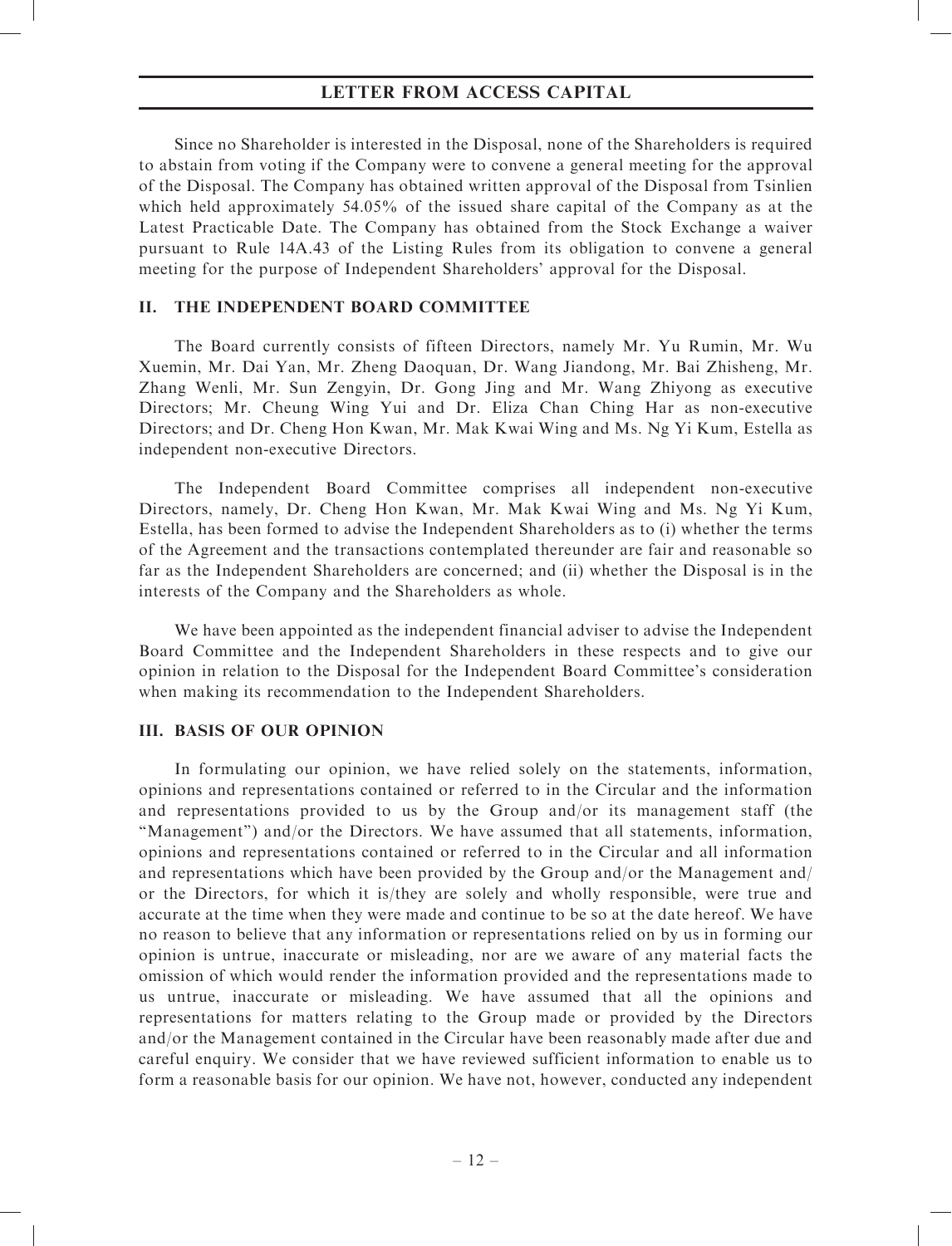Since no Shareholder is interested in the Disposal, none of the Shareholders is required to abstain from voting if the Company were to convene a general meeting for the approval of the Disposal. The Company has obtained written approval of the Disposal from Tsinlien which held approximately 54.05% of the issued share capital of the Company as at the Latest Practicable Date. The Company has obtained from the Stock Exchange a waiver pursuant to Rule 14A.43 of the Listing Rules from its obligation to convene a general meeting for the purpose of Independent Shareholders' approval for the Disposal.

### II. THE INDEPENDENT BOARD COMMITTEE

The Board currently consists of fifteen Directors, namely Mr. Yu Rumin, Mr. Wu Xuemin, Mr. Dai Yan, Mr. Zheng Daoquan, Dr. Wang Jiandong, Mr. Bai Zhisheng, Mr. Zhang Wenli, Mr. Sun Zengyin, Dr. Gong Jing and Mr. Wang Zhiyong as executive Directors; Mr. Cheung Wing Yui and Dr. Eliza Chan Ching Har as non-executive Directors; and Dr. Cheng Hon Kwan, Mr. Mak Kwai Wing and Ms. Ng Yi Kum, Estella as independent non-executive Directors.

The Independent Board Committee comprises all independent non-executive Directors, namely, Dr. Cheng Hon Kwan, Mr. Mak Kwai Wing and Ms. Ng Yi Kum, Estella, has been formed to advise the Independent Shareholders as to (i) whether the terms of the Agreement and the transactions contemplated thereunder are fair and reasonable so far as the Independent Shareholders are concerned; and (ii) whether the Disposal is in the interests of the Company and the Shareholders as whole.

We have been appointed as the independent financial adviser to advise the Independent Board Committee and the Independent Shareholders in these respects and to give our opinion in relation to the Disposal for the Independent Board Committee's consideration when making its recommendation to the Independent Shareholders.

# III. BASIS OF OUR OPINION

In formulating our opinion, we have relied solely on the statements, information, opinions and representations contained or referred to in the Circular and the information and representations provided to us by the Group and/or its management staff (the ''Management'') and/or the Directors. We have assumed that all statements, information, opinions and representations contained or referred to in the Circular and all information and representations which have been provided by the Group and/or the Management and/ or the Directors, for which it is/they are solely and wholly responsible, were true and accurate at the time when they were made and continue to be so at the date hereof. We have no reason to believe that any information or representations relied on by us in forming our opinion is untrue, inaccurate or misleading, nor are we aware of any material facts the omission of which would render the information provided and the representations made to us untrue, inaccurate or misleading. We have assumed that all the opinions and representations for matters relating to the Group made or provided by the Directors and/or the Management contained in the Circular have been reasonably made after due and careful enquiry. We consider that we have reviewed sufficient information to enable us to form a reasonable basis for our opinion. We have not, however, conducted any independent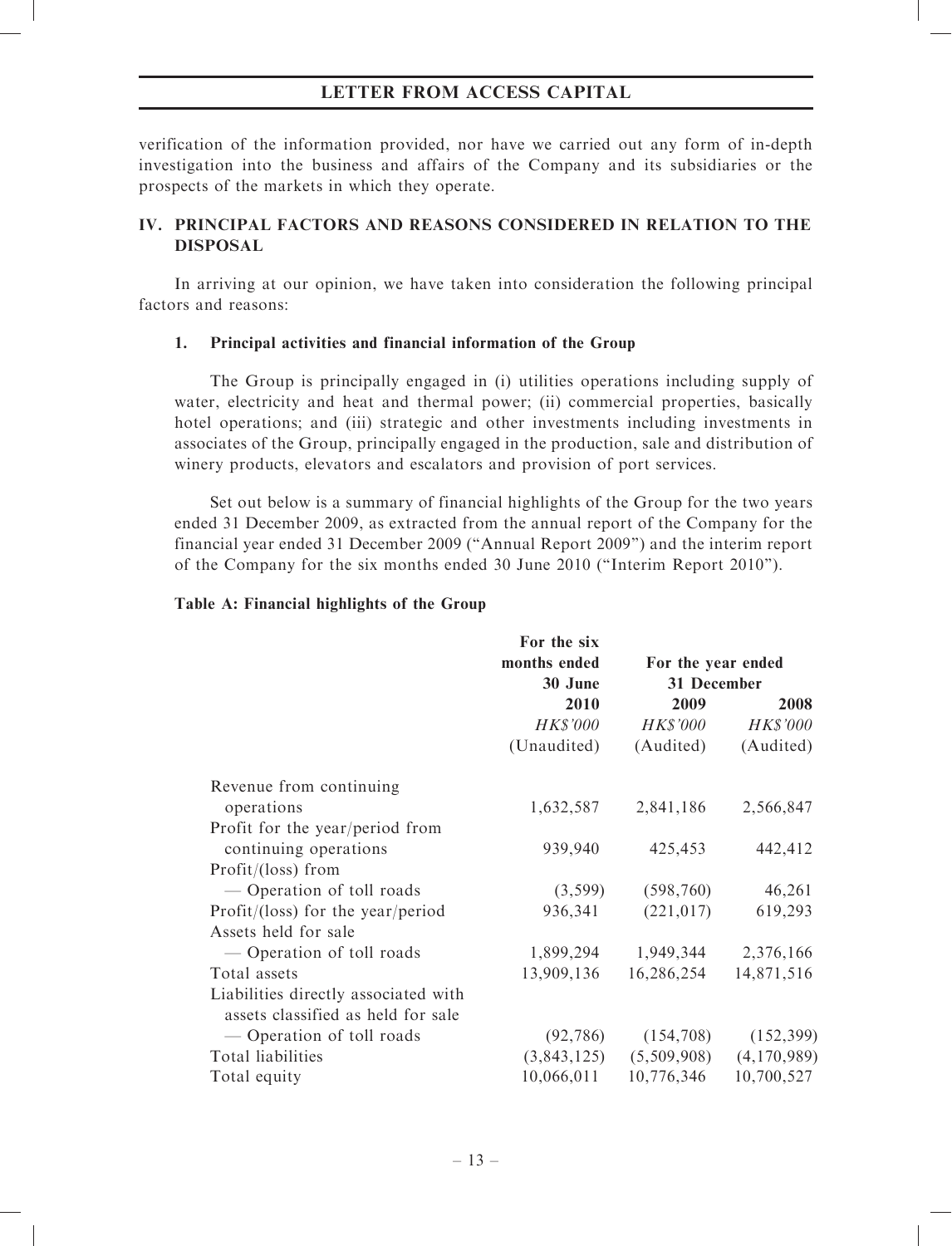verification of the information provided, nor have we carried out any form of in-depth investigation into the business and affairs of the Company and its subsidiaries or the prospects of the markets in which they operate.

# IV. PRINCIPAL FACTORS AND REASONS CONSIDERED IN RELATION TO THE DISPOSAL

In arriving at our opinion, we have taken into consideration the following principal factors and reasons:

# 1. Principal activities and financial information of the Group

The Group is principally engaged in (i) utilities operations including supply of water, electricity and heat and thermal power; (ii) commercial properties, basically hotel operations; and (iii) strategic and other investments including investments in associates of the Group, principally engaged in the production, sale and distribution of winery products, elevators and escalators and provision of port services.

Set out below is a summary of financial highlights of the Group for the two years ended 31 December 2009, as extracted from the annual report of the Company for the financial year ended 31 December 2009 (''Annual Report 2009'') and the interim report of the Company for the six months ended 30 June 2010 (''Interim Report 2010'').

# Table A: Financial highlights of the Group

|                                      | For the six     |                               |                     |
|--------------------------------------|-----------------|-------------------------------|---------------------|
|                                      | months ended    | For the year ended            |                     |
|                                      | 30 June         | 31 December                   |                     |
|                                      | 2010            | 2009                          | 2008                |
|                                      | <i>HK\$'000</i> | <i>HK\$'000</i>               | <b>HK\$'000</b>     |
|                                      | (Unaudited)     |                               | (Audited) (Audited) |
| Revenue from continuing              |                 |                               |                     |
| operations                           | 1,632,587       | 2,841,186                     | 2,566,847           |
| Profit for the year/period from      |                 |                               |                     |
| continuing operations                | 939,940         | 425,453                       | 442,412             |
| Profit/ (loss) from                  |                 |                               |                     |
| - Operation of toll roads            | (3,599)         | (598, 760)                    | 46,261              |
| Profit/(loss) for the year/period    | 936,341         | (221, 017)                    | 619,293             |
| Assets held for sale                 |                 |                               |                     |
| - Operation of toll roads            |                 | 1,899,294 1,949,344 2,376,166 |                     |
| Total assets                         | 13,909,136      | 16,286,254                    | 14,871,516          |
| Liabilities directly associated with |                 |                               |                     |
| assets classified as held for sale   |                 |                               |                     |
| — Operation of toll roads            |                 | $(92, 786)$ $(154, 708)$      | (152, 399)          |
| Total liabilities                    |                 | $(3,843,125)$ $(5,509,908)$   | (4,170,989)         |
| Total equity                         |                 | 10,066,011 10,776,346         | 10,700,527          |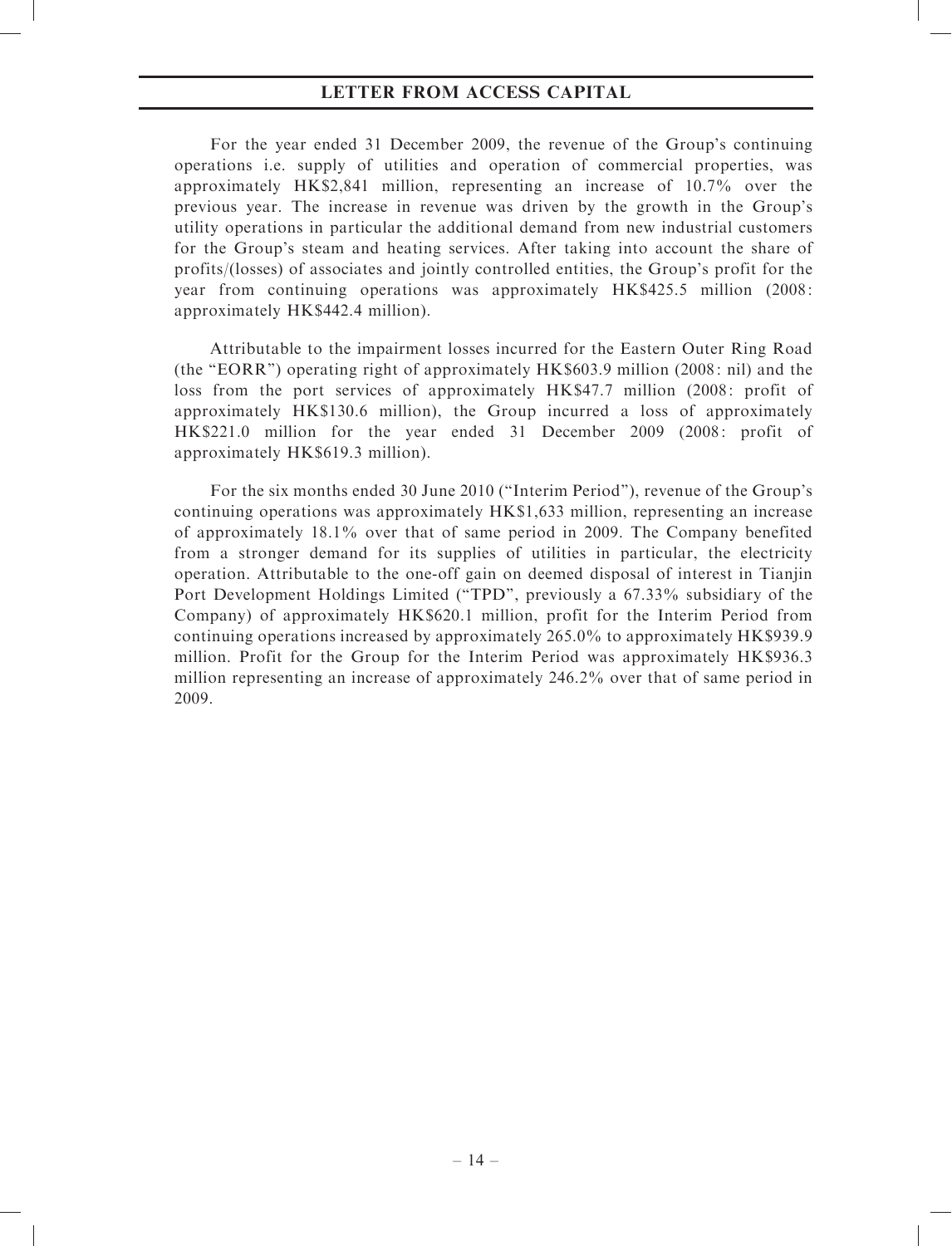For the year ended 31 December 2009, the revenue of the Group's continuing operations i.e. supply of utilities and operation of commercial properties, was approximately HK\$2,841 million, representing an increase of 10.7% over the previous year. The increase in revenue was driven by the growth in the Group's utility operations in particular the additional demand from new industrial customers for the Group's steam and heating services. After taking into account the share of profits/(losses) of associates and jointly controlled entities, the Group's profit for the year from continuing operations was approximately HK\$425.5 million (2008: approximately HK\$442.4 million).

Attributable to the impairment losses incurred for the Eastern Outer Ring Road (the ''EORR'') operating right of approximately HK\$603.9 million (2008: nil) and the loss from the port services of approximately HK\$47.7 million (2008: profit of approximately HK\$130.6 million), the Group incurred a loss of approximately HK\$221.0 million for the year ended 31 December 2009 (2008: profit of approximately HK\$619.3 million).

For the six months ended 30 June 2010 (''Interim Period''), revenue of the Group's continuing operations was approximately HK\$1,633 million, representing an increase of approximately 18.1% over that of same period in 2009. The Company benefited from a stronger demand for its supplies of utilities in particular, the electricity operation. Attributable to the one-off gain on deemed disposal of interest in Tianjin Port Development Holdings Limited (''TPD'', previously a 67.33% subsidiary of the Company) of approximately HK\$620.1 million, profit for the Interim Period from continuing operations increased by approximately 265.0% to approximately HK\$939.9 million. Profit for the Group for the Interim Period was approximately HK\$936.3 million representing an increase of approximately 246.2% over that of same period in 2009.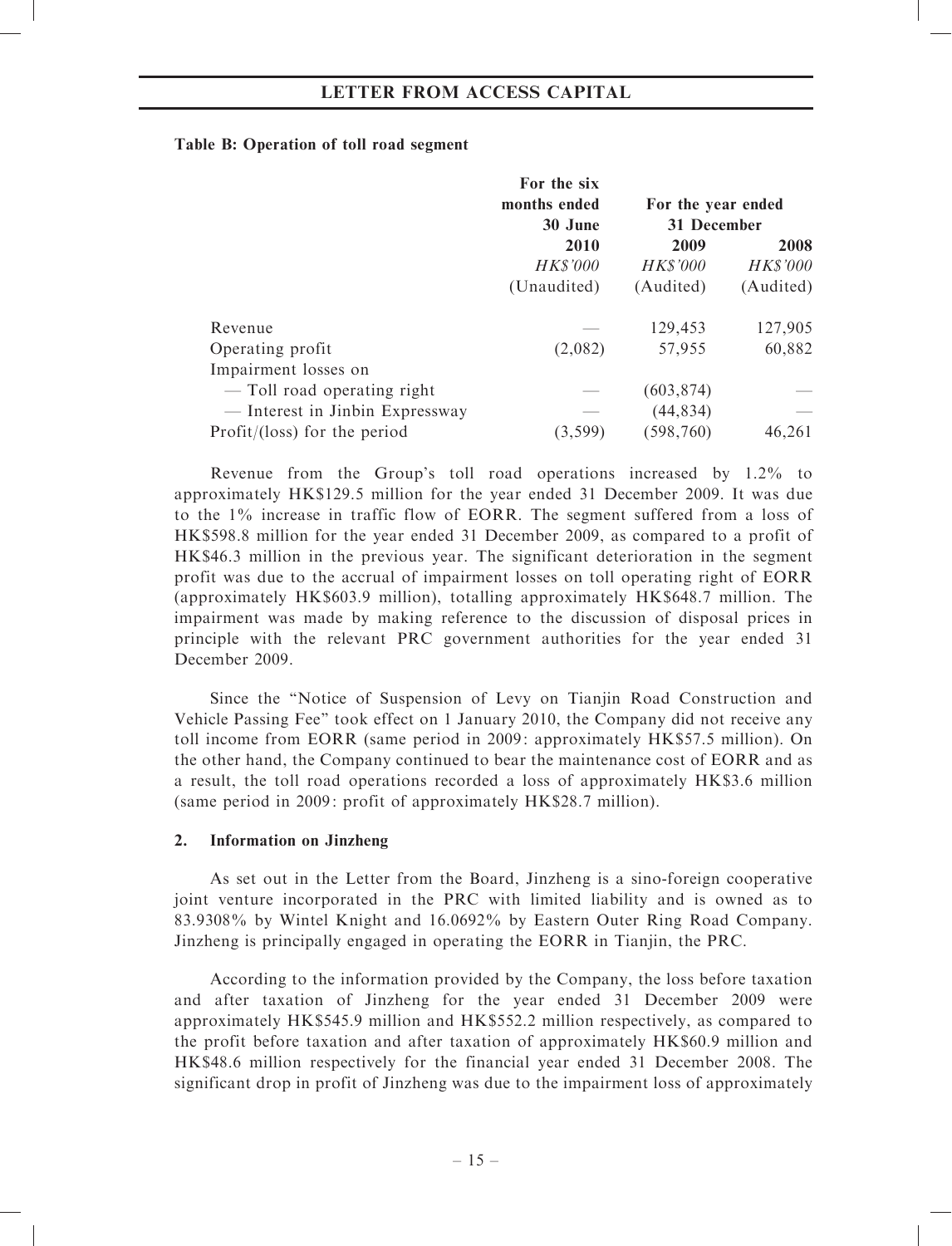# Table B: Operation of toll road segment

|                                 | For the six<br>months ended | For the year ended |                 |
|---------------------------------|-----------------------------|--------------------|-----------------|
|                                 | 30 June                     | 31 December        |                 |
|                                 | 2010                        | 2009               | 2008            |
|                                 | <b>HK\$'000</b>             | <b>HK\$'000</b>    | <b>HK\$'000</b> |
|                                 | (Unaudited)                 | (Audited)          | (Audited)       |
| Revenue                         |                             | 129,453            | 127,905         |
| Operating profit                | (2,082)                     | 57,955             | 60,882          |
| Impairment losses on            |                             |                    |                 |
| — Toll road operating right     |                             | (603, 874)         |                 |
| — Interest in Jinbin Expressway |                             | (44, 834)          |                 |
| $Profit/ (loss)$ for the period | (3, 599)                    | (598, 760)         | 46,261          |

Revenue from the Group's toll road operations increased by 1.2% to approximately HK\$129.5 million for the year ended 31 December 2009. It was due to the 1% increase in traffic flow of EORR. The segment suffered from a loss of HK\$598.8 million for the year ended 31 December 2009, as compared to a profit of HK\$46.3 million in the previous year. The significant deterioration in the segment profit was due to the accrual of impairment losses on toll operating right of EORR (approximately HK\$603.9 million), totalling approximately HK\$648.7 million. The impairment was made by making reference to the discussion of disposal prices in principle with the relevant PRC government authorities for the year ended 31 December 2009.

Since the ''Notice of Suspension of Levy on Tianjin Road Construction and Vehicle Passing Fee'' took effect on 1 January 2010, the Company did not receive any toll income from EORR (same period in 2009: approximately HK\$57.5 million). On the other hand, the Company continued to bear the maintenance cost of EORR and as a result, the toll road operations recorded a loss of approximately HK\$3.6 million (same period in 2009: profit of approximately HK\$28.7 million).

# 2. Information on Jinzheng

As set out in the Letter from the Board, Jinzheng is a sino-foreign cooperative joint venture incorporated in the PRC with limited liability and is owned as to 83.9308% by Wintel Knight and 16.0692% by Eastern Outer Ring Road Company. Jinzheng is principally engaged in operating the EORR in Tianjin, the PRC.

According to the information provided by the Company, the loss before taxation and after taxation of Jinzheng for the year ended 31 December 2009 were approximately HK\$545.9 million and HK\$552.2 million respectively, as compared to the profit before taxation and after taxation of approximately HK\$60.9 million and HK\$48.6 million respectively for the financial year ended 31 December 2008. The significant drop in profit of Jinzheng was due to the impairment loss of approximately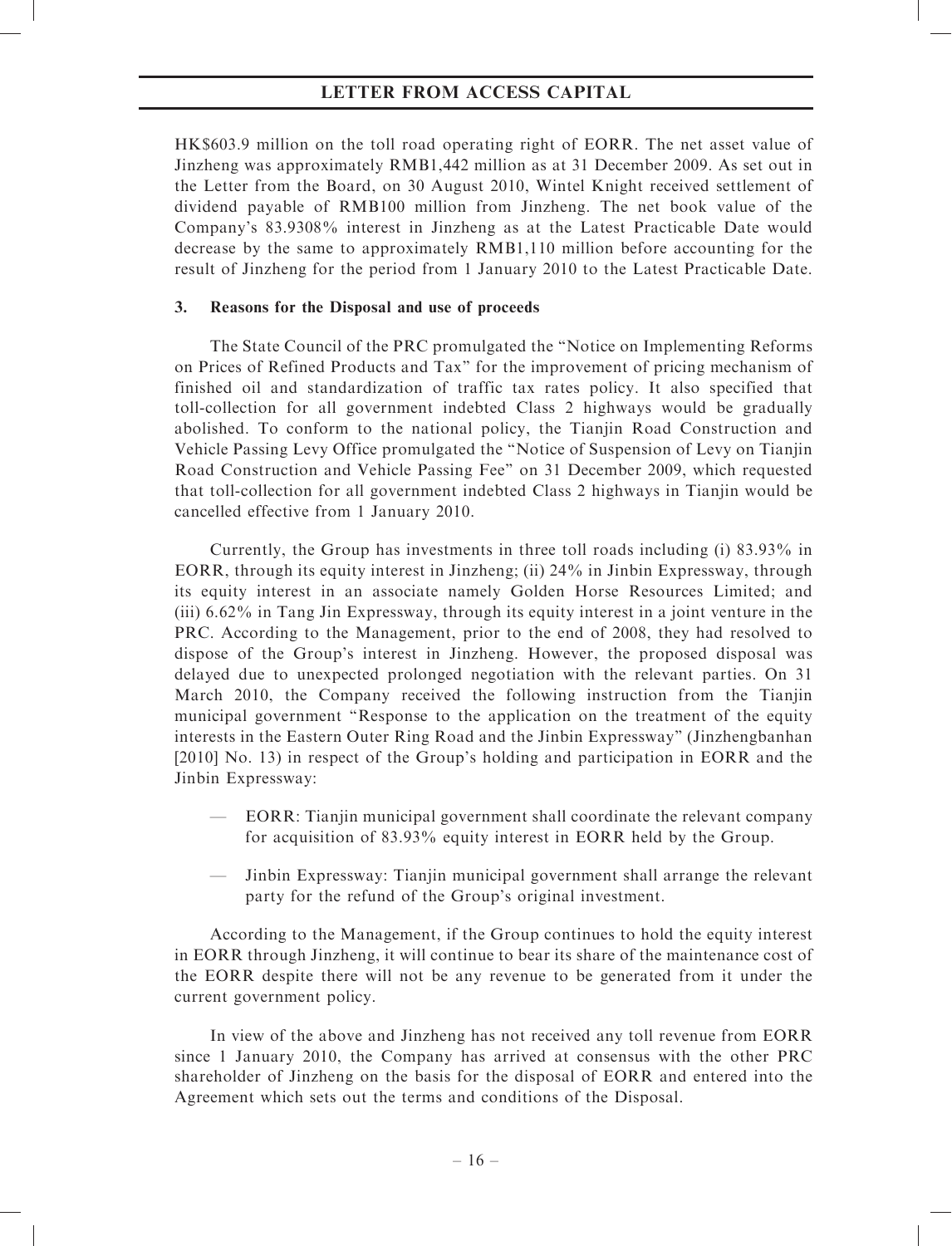HK\$603.9 million on the toll road operating right of EORR. The net asset value of Jinzheng was approximately RMB1,442 million as at 31 December 2009. As set out in the Letter from the Board, on 30 August 2010, Wintel Knight received settlement of dividend payable of RMB100 million from Jinzheng. The net book value of the Company's 83.9308% interest in Jinzheng as at the Latest Practicable Date would decrease by the same to approximately RMB1,110 million before accounting for the result of Jinzheng for the period from 1 January 2010 to the Latest Practicable Date.

# 3. Reasons for the Disposal and use of proceeds

The State Council of the PRC promulgated the ''Notice on Implementing Reforms on Prices of Refined Products and Tax'' for the improvement of pricing mechanism of finished oil and standardization of traffic tax rates policy. It also specified that toll-collection for all government indebted Class 2 highways would be gradually abolished. To conform to the national policy, the Tianjin Road Construction and Vehicle Passing Levy Office promulgated the ''Notice of Suspension of Levy on Tianjin Road Construction and Vehicle Passing Fee'' on 31 December 2009, which requested that toll-collection for all government indebted Class 2 highways in Tianjin would be cancelled effective from 1 January 2010.

Currently, the Group has investments in three toll roads including (i) 83.93% in EORR, through its equity interest in Jinzheng; (ii) 24% in Jinbin Expressway, through its equity interest in an associate namely Golden Horse Resources Limited; and (iii) 6.62% in Tang Jin Expressway, through its equity interest in a joint venture in the PRC. According to the Management, prior to the end of 2008, they had resolved to dispose of the Group's interest in Jinzheng. However, the proposed disposal was delayed due to unexpected prolonged negotiation with the relevant parties. On 31 March 2010, the Company received the following instruction from the Tianjin municipal government ''Response to the application on the treatment of the equity interests in the Eastern Outer Ring Road and the Jinbin Expressway'' (Jinzhengbanhan [2010] No. 13) in respect of the Group's holding and participation in EORR and the Jinbin Expressway:

- EORR: Tianjin municipal government shall coordinate the relevant company for acquisition of 83.93% equity interest in EORR held by the Group.
- Jinbin Expressway: Tianjin municipal government shall arrange the relevant party for the refund of the Group's original investment.

According to the Management, if the Group continues to hold the equity interest in EORR through Jinzheng, it will continue to bear its share of the maintenance cost of the EORR despite there will not be any revenue to be generated from it under the current government policy.

In view of the above and Jinzheng has not received any toll revenue from EORR since 1 January 2010, the Company has arrived at consensus with the other PRC shareholder of Jinzheng on the basis for the disposal of EORR and entered into the Agreement which sets out the terms and conditions of the Disposal.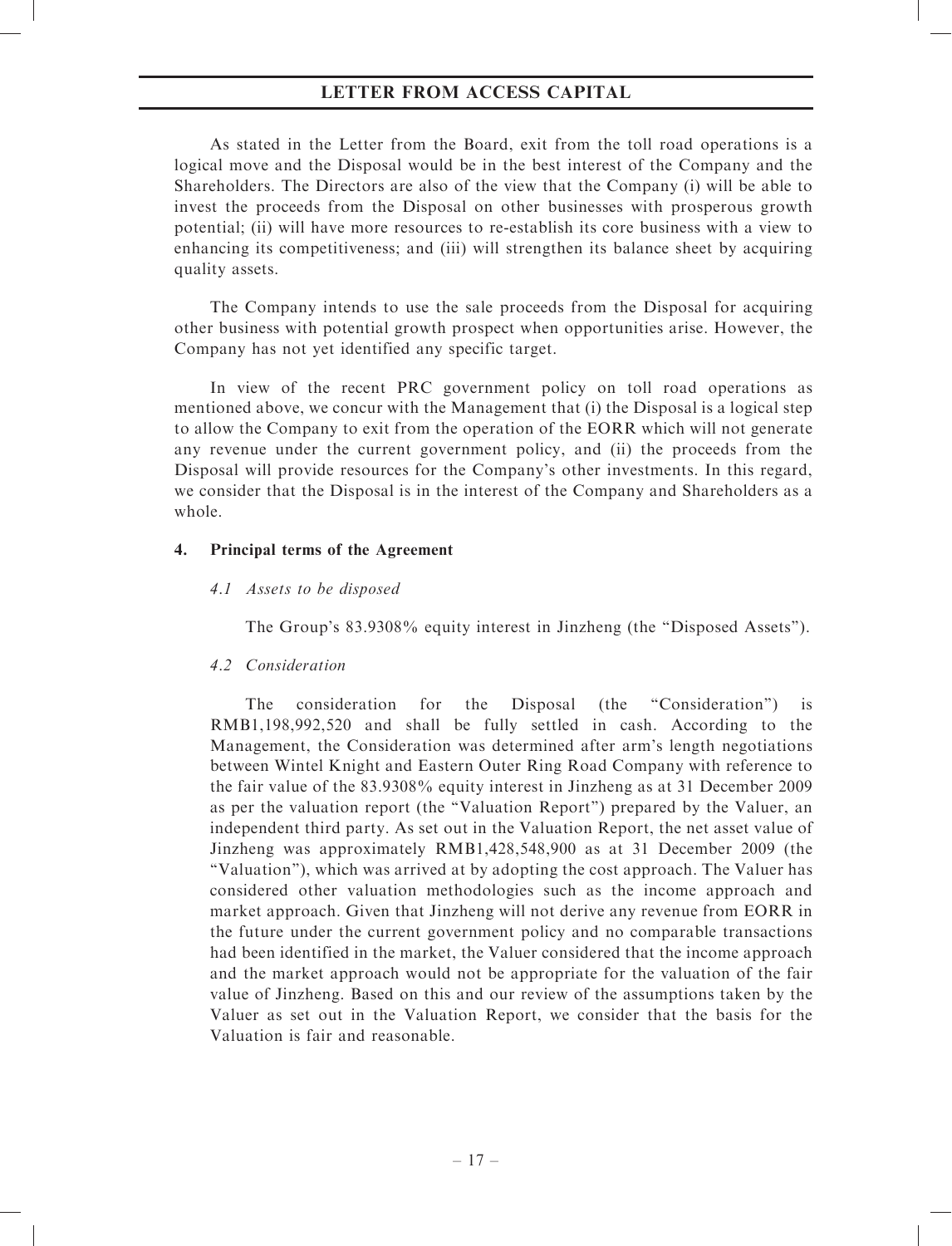As stated in the Letter from the Board, exit from the toll road operations is a logical move and the Disposal would be in the best interest of the Company and the Shareholders. The Directors are also of the view that the Company (i) will be able to invest the proceeds from the Disposal on other businesses with prosperous growth potential; (ii) will have more resources to re-establish its core business with a view to enhancing its competitiveness; and (iii) will strengthen its balance sheet by acquiring quality assets.

The Company intends to use the sale proceeds from the Disposal for acquiring other business with potential growth prospect when opportunities arise. However, the Company has not yet identified any specific target.

In view of the recent PRC government policy on toll road operations as mentioned above, we concur with the Management that (i) the Disposal is a logical step to allow the Company to exit from the operation of the EORR which will not generate any revenue under the current government policy, and (ii) the proceeds from the Disposal will provide resources for the Company's other investments. In this regard, we consider that the Disposal is in the interest of the Company and Shareholders as a whole.

### 4. Principal terms of the Agreement

# 4.1 Assets to be disposed

The Group's 83.9308% equity interest in Jinzheng (the "Disposed Assets").

# 4.2 Consideration

The consideration for the Disposal (the ''Consideration'') is RMB1,198,992,520 and shall be fully settled in cash. According to the Management, the Consideration was determined after arm's length negotiations between Wintel Knight and Eastern Outer Ring Road Company with reference to the fair value of the 83.9308% equity interest in Jinzheng as at 31 December 2009 as per the valuation report (the ''Valuation Report'') prepared by the Valuer, an independent third party. As set out in the Valuation Report, the net asset value of Jinzheng was approximately RMB1,428,548,900 as at 31 December 2009 (the ''Valuation''), which was arrived at by adopting the cost approach. The Valuer has considered other valuation methodologies such as the income approach and market approach. Given that Jinzheng will not derive any revenue from EORR in the future under the current government policy and no comparable transactions had been identified in the market, the Valuer considered that the income approach and the market approach would not be appropriate for the valuation of the fair value of Jinzheng. Based on this and our review of the assumptions taken by the Valuer as set out in the Valuation Report, we consider that the basis for the Valuation is fair and reasonable.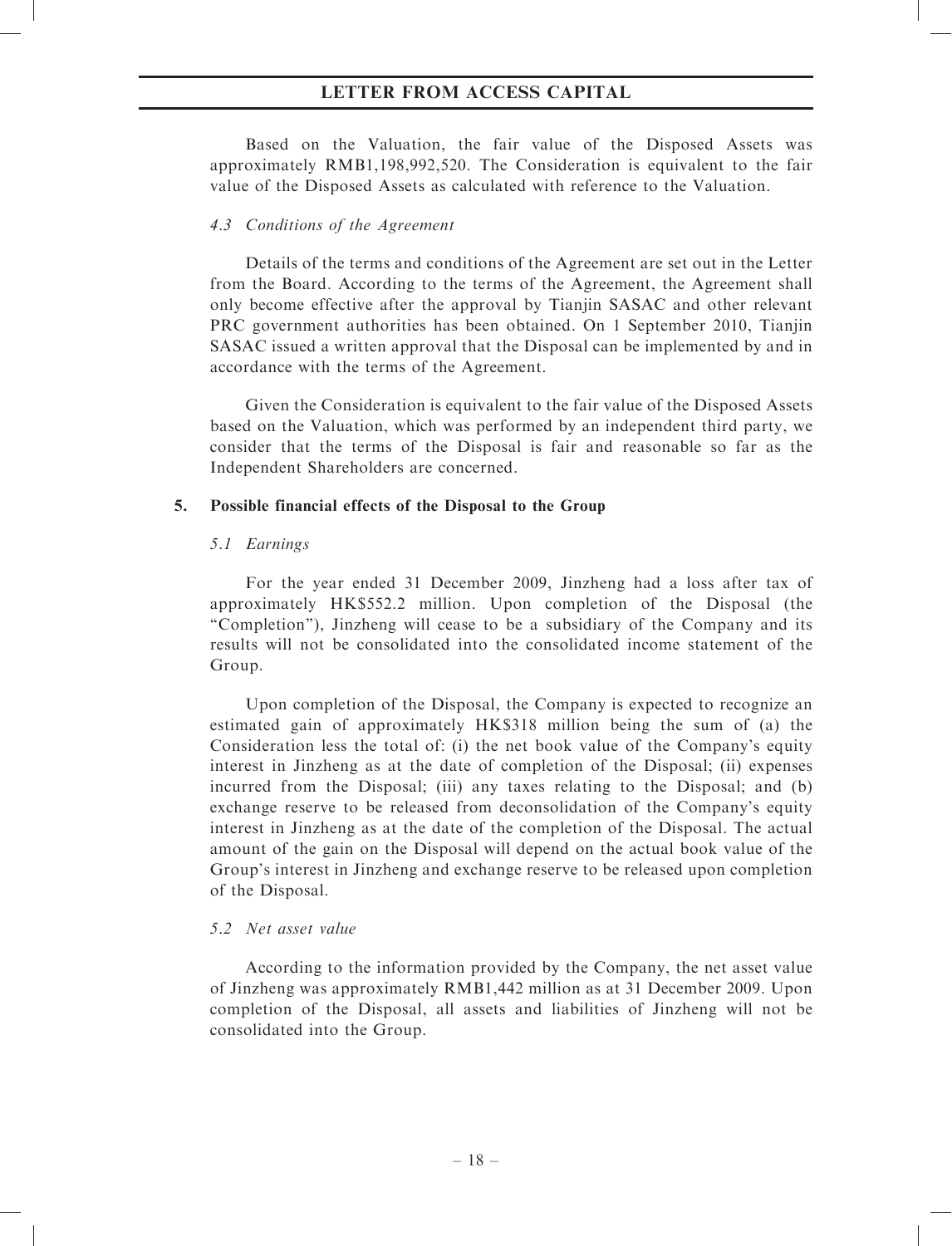Based on the Valuation, the fair value of the Disposed Assets was approximately RMB1,198,992,520. The Consideration is equivalent to the fair value of the Disposed Assets as calculated with reference to the Valuation.

### 4.3 Conditions of the Agreement

Details of the terms and conditions of the Agreement are set out in the Letter from the Board. According to the terms of the Agreement, the Agreement shall only become effective after the approval by Tianjin SASAC and other relevant PRC government authorities has been obtained. On 1 September 2010, Tianjin SASAC issued a written approval that the Disposal can be implemented by and in accordance with the terms of the Agreement.

Given the Consideration is equivalent to the fair value of the Disposed Assets based on the Valuation, which was performed by an independent third party, we consider that the terms of the Disposal is fair and reasonable so far as the Independent Shareholders are concerned.

### 5. Possible financial effects of the Disposal to the Group

### 5.1 Earnings

For the year ended 31 December 2009, Jinzheng had a loss after tax of approximately HK\$552.2 million. Upon completion of the Disposal (the ''Completion''), Jinzheng will cease to be a subsidiary of the Company and its results will not be consolidated into the consolidated income statement of the Group.

Upon completion of the Disposal, the Company is expected to recognize an estimated gain of approximately HK\$318 million being the sum of (a) the Consideration less the total of: (i) the net book value of the Company's equity interest in Jinzheng as at the date of completion of the Disposal; (ii) expenses incurred from the Disposal; (iii) any taxes relating to the Disposal; and (b) exchange reserve to be released from deconsolidation of the Company's equity interest in Jinzheng as at the date of the completion of the Disposal. The actual amount of the gain on the Disposal will depend on the actual book value of the Group's interest in Jinzheng and exchange reserve to be released upon completion of the Disposal.

# 5.2 Net asset value

According to the information provided by the Company, the net asset value of Jinzheng was approximately RMB1,442 million as at 31 December 2009. Upon completion of the Disposal, all assets and liabilities of Jinzheng will not be consolidated into the Group.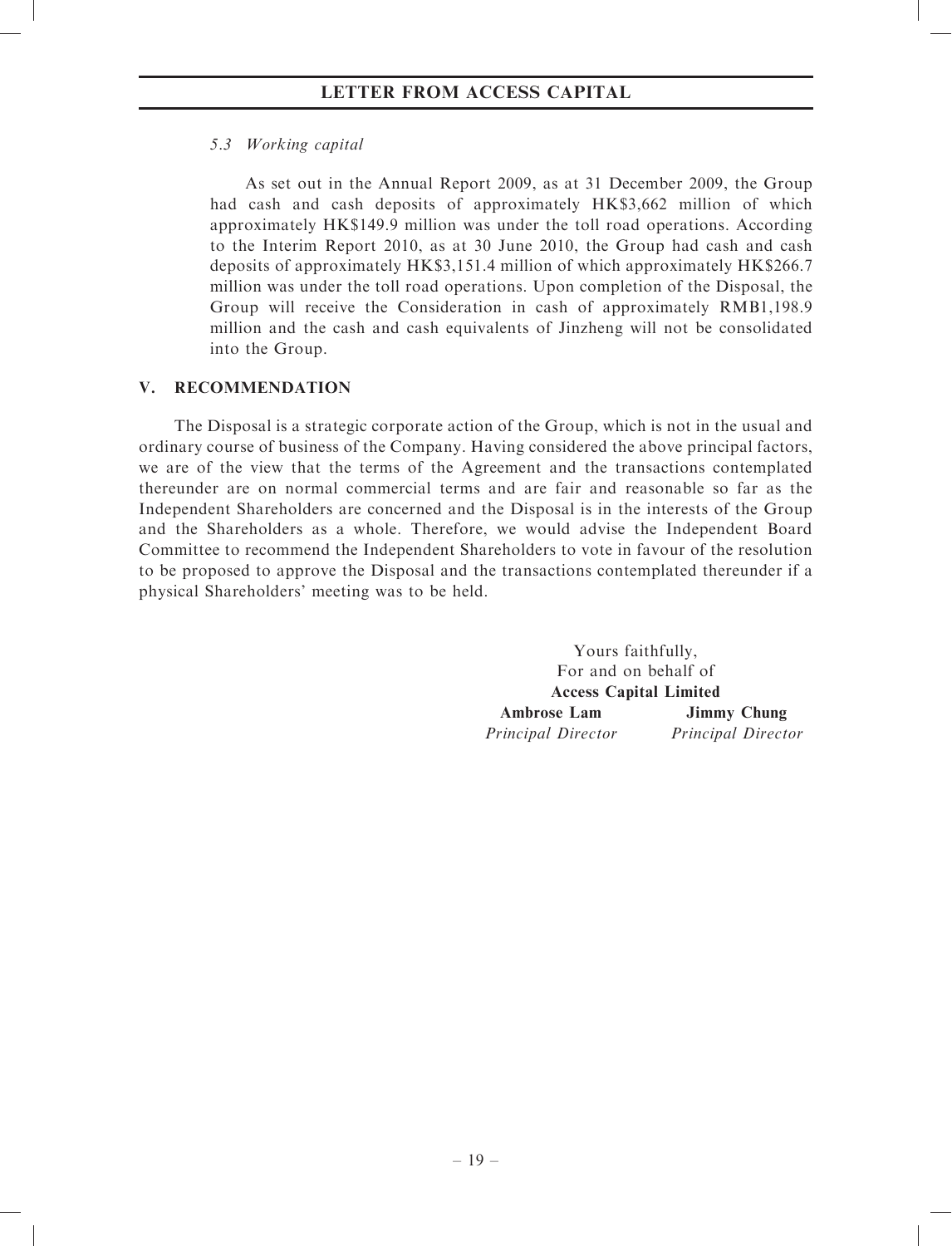# 5.3 Working capital

As set out in the Annual Report 2009, as at 31 December 2009, the Group had cash and cash deposits of approximately HK\$3,662 million of which approximately HK\$149.9 million was under the toll road operations. According to the Interim Report 2010, as at 30 June 2010, the Group had cash and cash deposits of approximately HK\$3,151.4 million of which approximately HK\$266.7 million was under the toll road operations. Upon completion of the Disposal, the Group will receive the Consideration in cash of approximately RMB1,198.9 million and the cash and cash equivalents of Jinzheng will not be consolidated into the Group.

# V. RECOMMENDATION

The Disposal is a strategic corporate action of the Group, which is not in the usual and ordinary course of business of the Company. Having considered the above principal factors, we are of the view that the terms of the Agreement and the transactions contemplated thereunder are on normal commercial terms and are fair and reasonable so far as the Independent Shareholders are concerned and the Disposal is in the interests of the Group and the Shareholders as a whole. Therefore, we would advise the Independent Board Committee to recommend the Independent Shareholders to vote in favour of the resolution to be proposed to approve the Disposal and the transactions contemplated thereunder if a physical Shareholders' meeting was to be held.

> Yours faithfully, For and on behalf of Access Capital Limited Ambrose Lam Principal Director Jimmy Chung Principal Director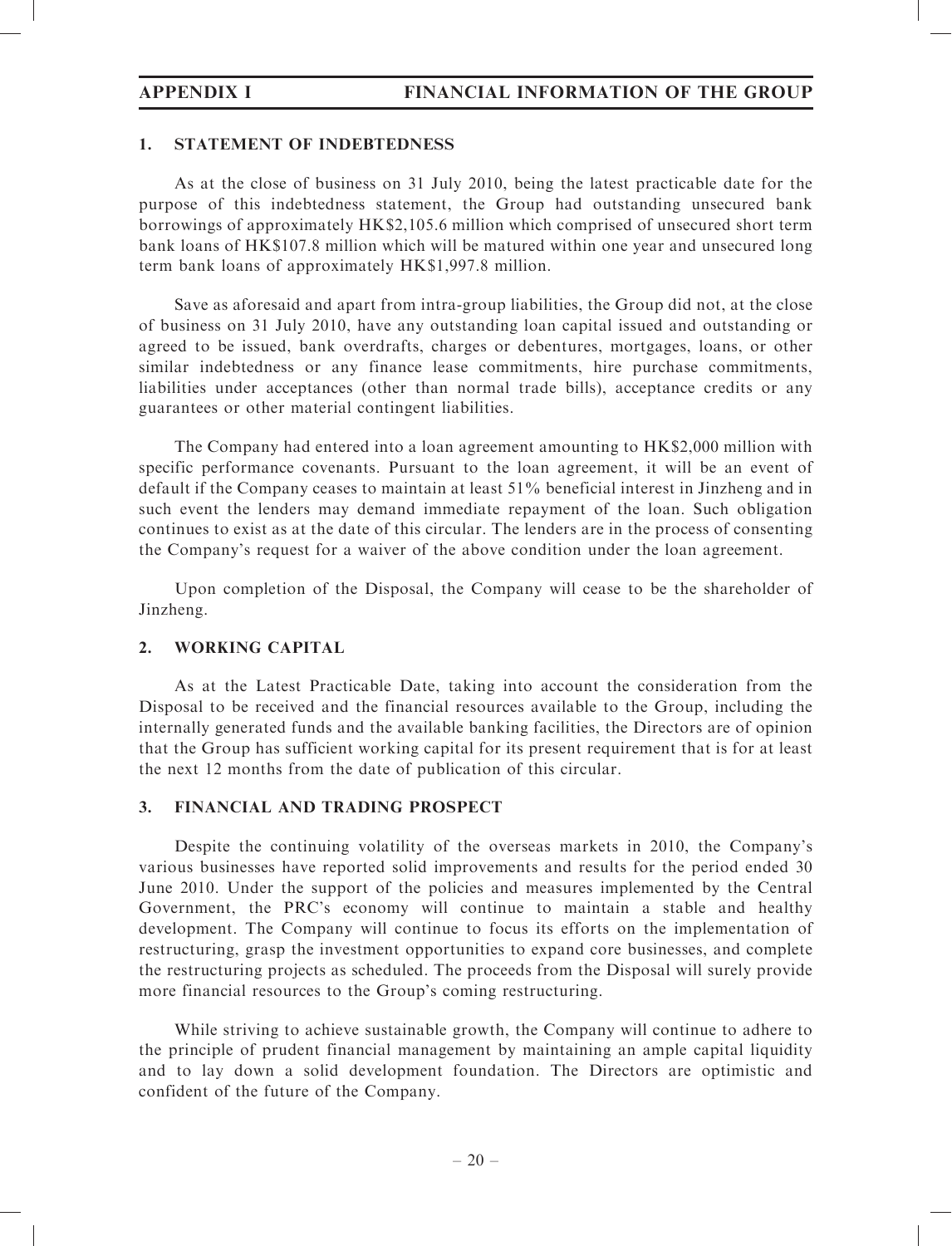# 1. STATEMENT OF INDEBTEDNESS

As at the close of business on 31 July 2010, being the latest practicable date for the purpose of this indebtedness statement, the Group had outstanding unsecured bank borrowings of approximately HK\$2,105.6 million which comprised of unsecured short term bank loans of HK\$107.8 million which will be matured within one year and unsecured long term bank loans of approximately HK\$1,997.8 million.

Save as aforesaid and apart from intra-group liabilities, the Group did not, at the close of business on 31 July 2010, have any outstanding loan capital issued and outstanding or agreed to be issued, bank overdrafts, charges or debentures, mortgages, loans, or other similar indebtedness or any finance lease commitments, hire purchase commitments, liabilities under acceptances (other than normal trade bills), acceptance credits or any guarantees or other material contingent liabilities.

The Company had entered into a loan agreement amounting to HK\$2,000 million with specific performance covenants. Pursuant to the loan agreement, it will be an event of default if the Company ceases to maintain at least 51% beneficial interest in Jinzheng and in such event the lenders may demand immediate repayment of the loan. Such obligation continues to exist as at the date of this circular. The lenders are in the process of consenting the Company's request for a waiver of the above condition under the loan agreement.

Upon completion of the Disposal, the Company will cease to be the shareholder of Jinzheng.

# 2. WORKING CAPITAL

As at the Latest Practicable Date, taking into account the consideration from the Disposal to be received and the financial resources available to the Group, including the internally generated funds and the available banking facilities, the Directors are of opinion that the Group has sufficient working capital for its present requirement that is for at least the next 12 months from the date of publication of this circular.

# 3. FINANCIAL AND TRADING PROSPECT

Despite the continuing volatility of the overseas markets in 2010, the Company's various businesses have reported solid improvements and results for the period ended 30 June 2010. Under the support of the policies and measures implemented by the Central Government, the PRC's economy will continue to maintain a stable and healthy development. The Company will continue to focus its efforts on the implementation of restructuring, grasp the investment opportunities to expand core businesses, and complete the restructuring projects as scheduled. The proceeds from the Disposal will surely provide more financial resources to the Group's coming restructuring.

While striving to achieve sustainable growth, the Company will continue to adhere to the principle of prudent financial management by maintaining an ample capital liquidity and to lay down a solid development foundation. The Directors are optimistic and confident of the future of the Company.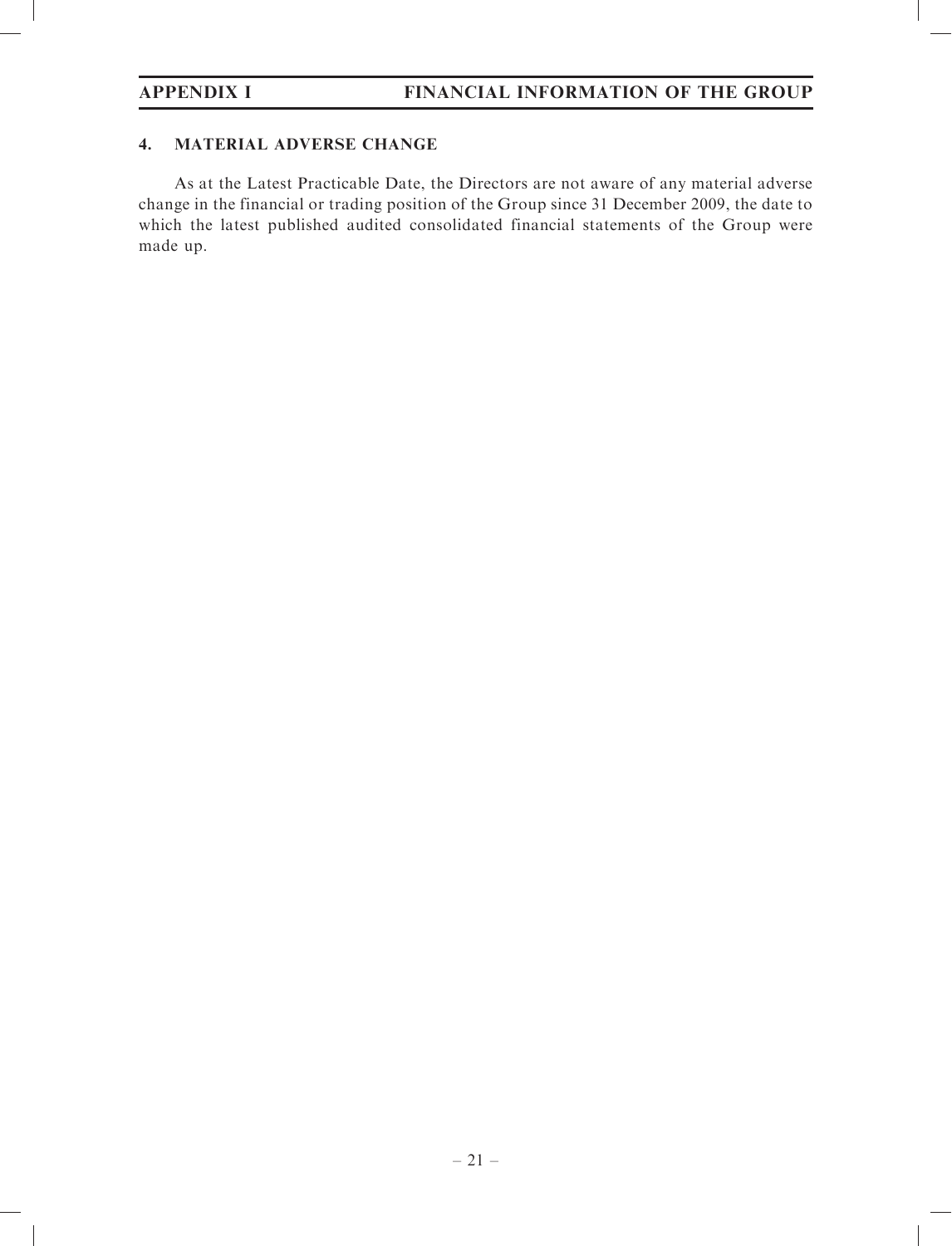# 4. MATERIAL ADVERSE CHANGE

As at the Latest Practicable Date, the Directors are not aware of any material adverse change in the financial or trading position of the Group since 31 December 2009, the date to which the latest published audited consolidated financial statements of the Group were made up.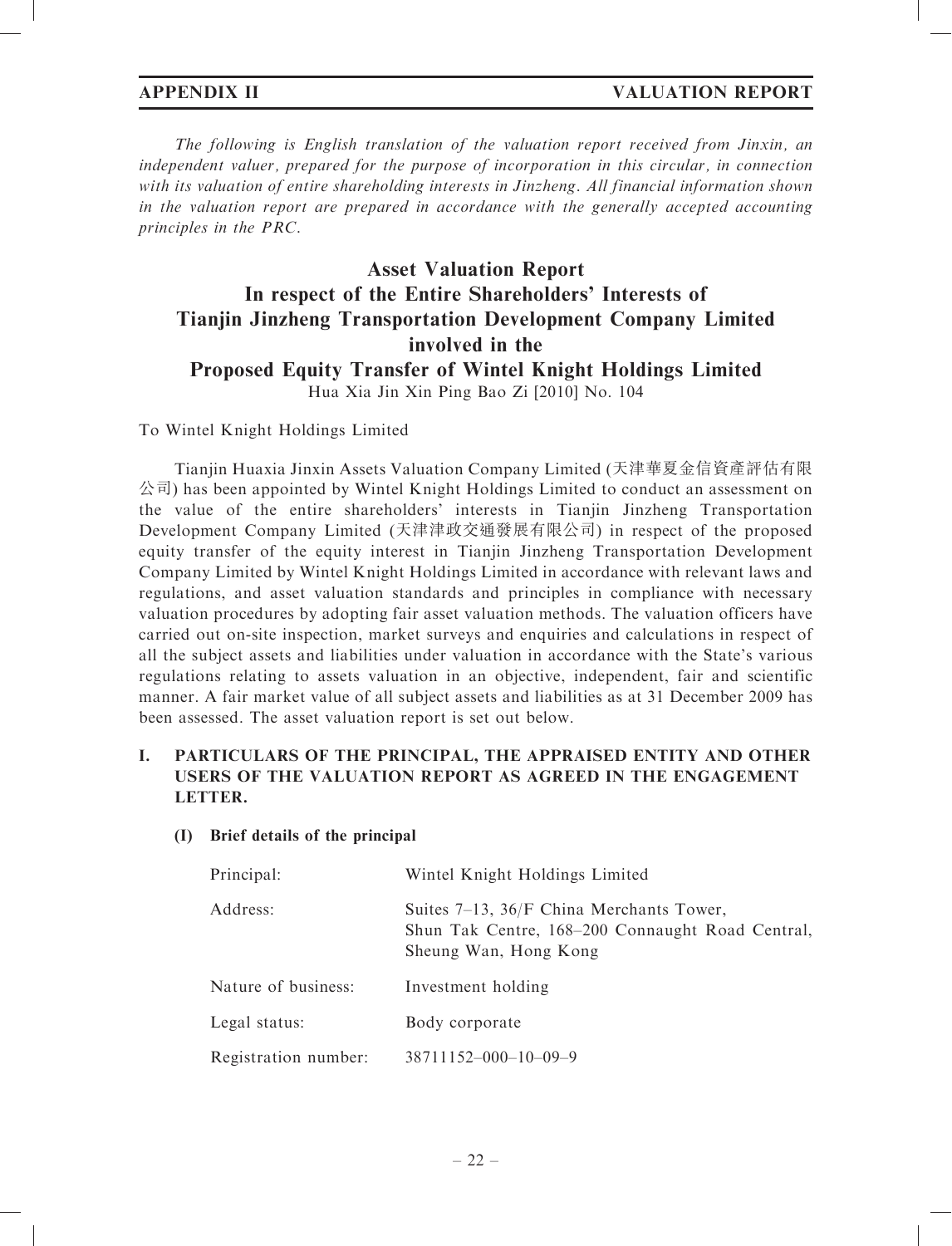The following is English translation of the valuation report received from Jinxin, an independent valuer, prepared for the purpose of incorporation in this circular, in connection with its valuation of entire shareholding interests in Jinzheng. All financial information shown in the valuation report are prepared in accordance with the generally accepted accounting principles in the PRC.

# Asset Valuation Report In respect of the Entire Shareholders' Interests of Tianjin Jinzheng Transportation Development Company Limited involved in the Proposed Equity Transfer of Wintel Knight Holdings Limited Hua Xia Jin Xin Ping Bao Zi [2010] No. 104

# To Wintel Knight Holdings Limited

Tianjin Huaxia Jinxin Assets Valuation Company Limited (天津華夏金信資產評估有限  $\Diamond$ 司) has been appointed by Wintel Knight Holdings Limited to conduct an assessment on the value of the entire shareholders' interests in Tianjin Jinzheng Transportation Development Company Limited (天津津政交通發展有限公司) in respect of the proposed equity transfer of the equity interest in Tianjin Jinzheng Transportation Development Company Limited by Wintel Knight Holdings Limited in accordance with relevant laws and regulations, and asset valuation standards and principles in compliance with necessary valuation procedures by adopting fair asset valuation methods. The valuation officers have carried out on-site inspection, market surveys and enquiries and calculations in respect of all the subject assets and liabilities under valuation in accordance with the State's various regulations relating to assets valuation in an objective, independent, fair and scientific manner. A fair market value of all subject assets and liabilities as at 31 December 2009 has been assessed. The asset valuation report is set out below.

# I. PARTICULARS OF THE PRINCIPAL, THE APPRAISED ENTITY AND OTHER USERS OF THE VALUATION REPORT AS AGREED IN THE ENGAGEMENT LETTER.

# (I) Brief details of the principal

| Principal:           | Wintel Knight Holdings Limited                                                                                             |
|----------------------|----------------------------------------------------------------------------------------------------------------------------|
| Address:             | Suites $7-13$ , $36/F$ China Merchants Tower,<br>Shun Tak Centre, 168–200 Connaught Road Central,<br>Sheung Wan, Hong Kong |
| Nature of business:  | Investment holding                                                                                                         |
| Legal status:        | Body corporate                                                                                                             |
| Registration number: | $38711152 - 000 - 10 - 09 - 9$                                                                                             |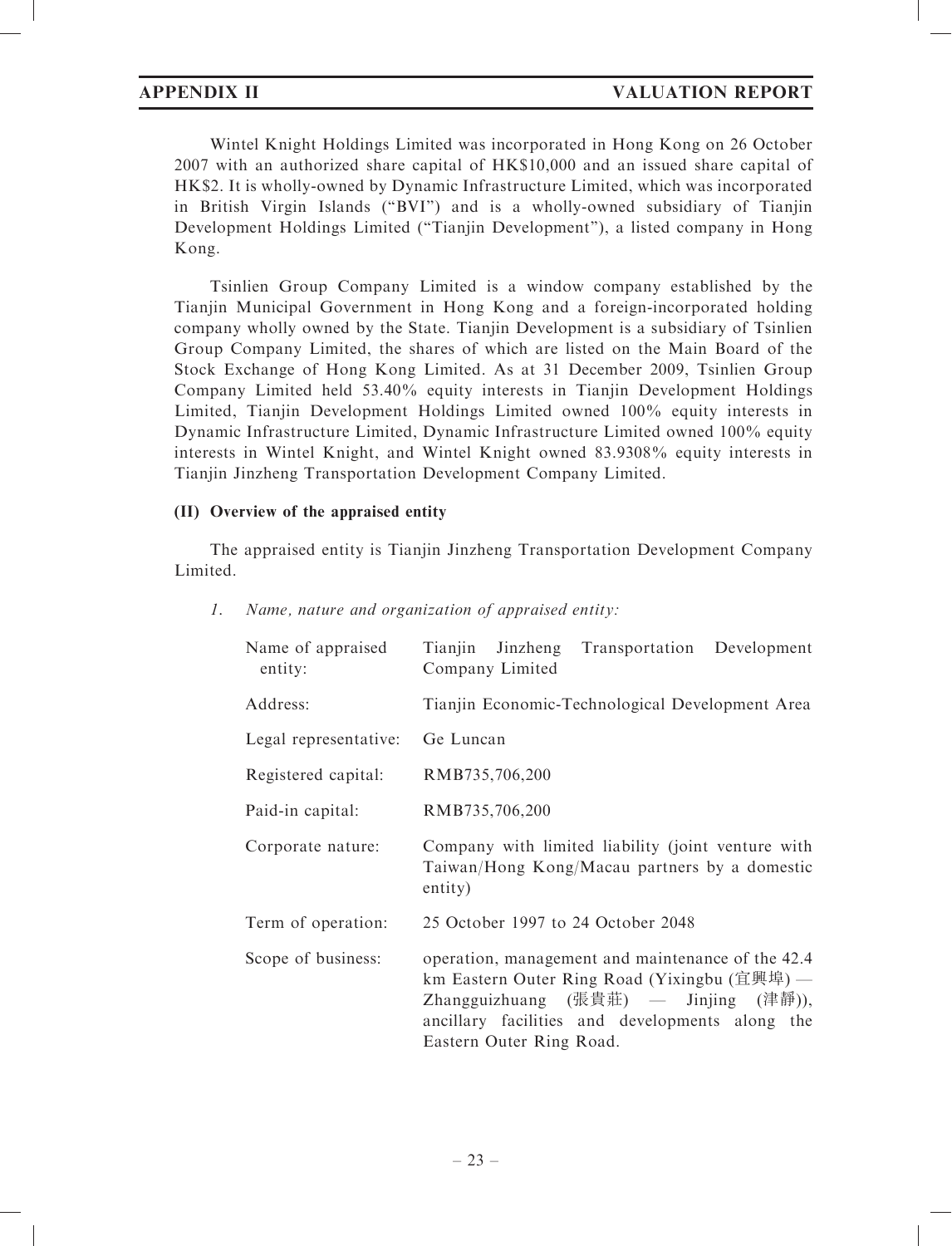# APPENDIX II VALUATION REPORT

Wintel Knight Holdings Limited was incorporated in Hong Kong on 26 October 2007 with an authorized share capital of HK\$10,000 and an issued share capital of HK\$2. It is wholly-owned by Dynamic Infrastructure Limited, which was incorporated in British Virgin Islands (''BVI'') and is a wholly-owned subsidiary of Tianjin Development Holdings Limited (''Tianjin Development''), a listed company in Hong Kong.

Tsinlien Group Company Limited is a window company established by the Tianjin Municipal Government in Hong Kong and a foreign-incorporated holding company wholly owned by the State. Tianjin Development is a subsidiary of Tsinlien Group Company Limited, the shares of which are listed on the Main Board of the Stock Exchange of Hong Kong Limited. As at 31 December 2009, Tsinlien Group Company Limited held 53.40% equity interests in Tianjin Development Holdings Limited, Tianjin Development Holdings Limited owned 100% equity interests in Dynamic Infrastructure Limited, Dynamic Infrastructure Limited owned 100% equity interests in Wintel Knight, and Wintel Knight owned 83.9308% equity interests in Tianjin Jinzheng Transportation Development Company Limited.

### (II) Overview of the appraised entity

The appraised entity is Tianjin Jinzheng Transportation Development Company Limited.

| Name of appraised<br>entity: | Tianjin Jinzheng Transportation Development<br>Company Limited                                                                                                                                                            |  |  |
|------------------------------|---------------------------------------------------------------------------------------------------------------------------------------------------------------------------------------------------------------------------|--|--|
| Address:                     | Tianjin Economic-Technological Development Area                                                                                                                                                                           |  |  |
| Legal representative:        | Ge Luncan                                                                                                                                                                                                                 |  |  |
| Registered capital:          | RMB735,706,200                                                                                                                                                                                                            |  |  |
| Paid-in capital:             | RMB735,706,200                                                                                                                                                                                                            |  |  |
| Corporate nature:            | Company with limited liability (joint venture with<br>Taiwan/Hong Kong/Macau partners by a domestic<br>entity)                                                                                                            |  |  |
| Term of operation:           | 25 October 1997 to 24 October 2048                                                                                                                                                                                        |  |  |
| Scope of business:           | operation, management and maintenance of the 42.4<br>km Eastern Outer Ring Road (Yixingbu (宜興埠) —<br>Zhangguizhuang (張貴莊) — Jinjing (津靜)),<br>ancillary facilities and developments along the<br>Eastern Outer Ring Road. |  |  |

1. Name, nature and organization of appraised entity: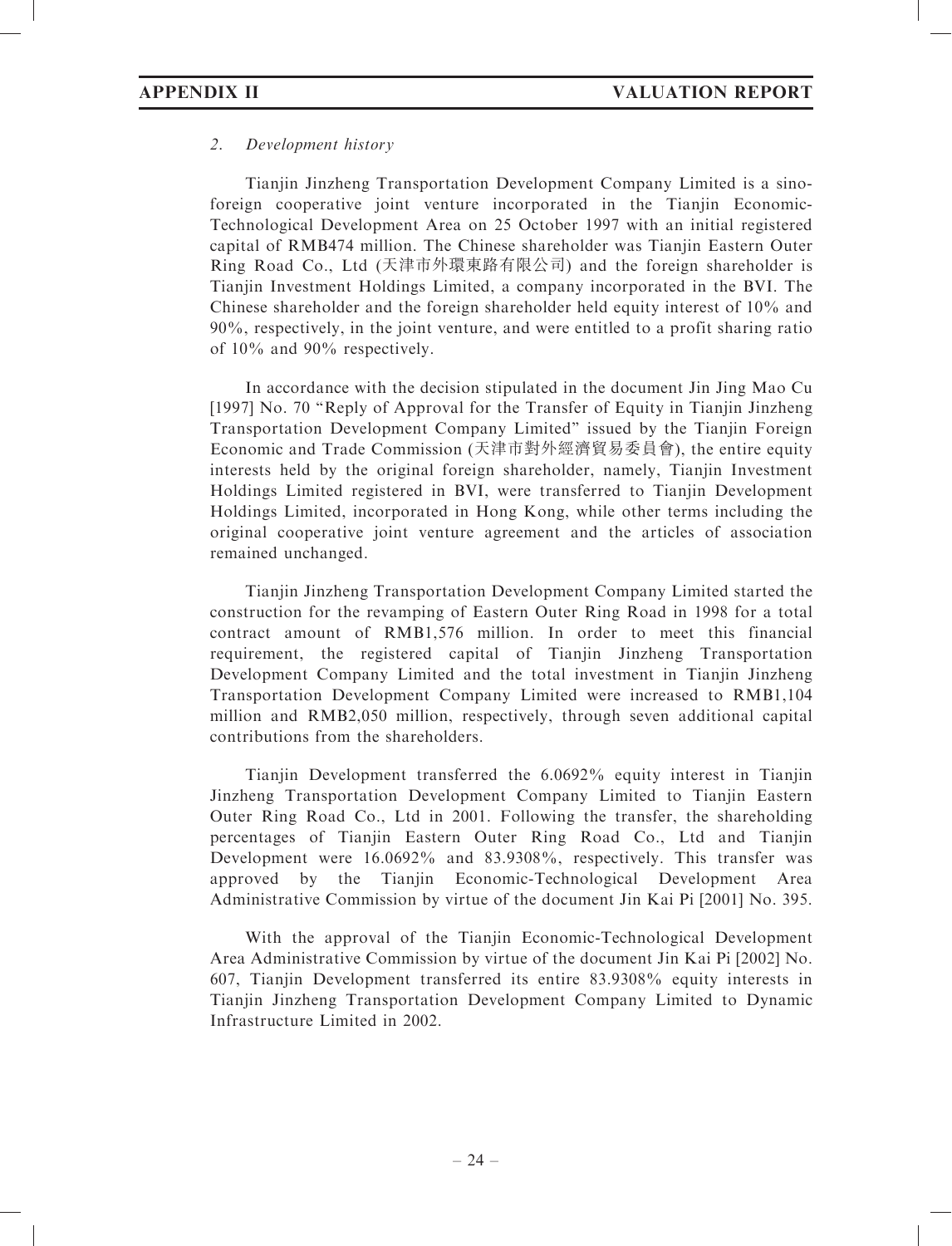# 2. Development history

Tianjin Jinzheng Transportation Development Company Limited is a sinoforeign cooperative joint venture incorporated in the Tianjin Economic-Technological Development Area on 25 October 1997 with an initial registered capital of RMB474 million. The Chinese shareholder was Tianjin Eastern Outer Ring Road Co., Ltd (天津市外環東路有限公司) and the foreign shareholder is Tianjin Investment Holdings Limited, a company incorporated in the BVI. The Chinese shareholder and the foreign shareholder held equity interest of 10% and 90%, respectively, in the joint venture, and were entitled to a profit sharing ratio of 10% and 90% respectively.

In accordance with the decision stipulated in the document Jin Jing Mao Cu [1997] No. 70 ''Reply of Approval for the Transfer of Equity in Tianjin Jinzheng Transportation Development Company Limited'' issued by the Tianjin Foreign Economic and Trade Commission (天津市對外經濟貿易委員會), the entire equity interests held by the original foreign shareholder, namely, Tianjin Investment Holdings Limited registered in BVI, were transferred to Tianjin Development Holdings Limited, incorporated in Hong Kong, while other terms including the original cooperative joint venture agreement and the articles of association remained unchanged.

Tianjin Jinzheng Transportation Development Company Limited started the construction for the revamping of Eastern Outer Ring Road in 1998 for a total contract amount of RMB1,576 million. In order to meet this financial requirement, the registered capital of Tianjin Jinzheng Transportation Development Company Limited and the total investment in Tianjin Jinzheng Transportation Development Company Limited were increased to RMB1,104 million and RMB2,050 million, respectively, through seven additional capital contributions from the shareholders.

Tianjin Development transferred the 6.0692% equity interest in Tianjin Jinzheng Transportation Development Company Limited to Tianjin Eastern Outer Ring Road Co., Ltd in 2001. Following the transfer, the shareholding percentages of Tianjin Eastern Outer Ring Road Co., Ltd and Tianjin Development were 16.0692% and 83.9308%, respectively. This transfer was approved by the Tianjin Economic-Technological Development Area Administrative Commission by virtue of the document Jin Kai Pi [2001] No. 395.

With the approval of the Tianjin Economic-Technological Development Area Administrative Commission by virtue of the document Jin Kai Pi [2002] No. 607, Tianjin Development transferred its entire 83.9308% equity interests in Tianjin Jinzheng Transportation Development Company Limited to Dynamic Infrastructure Limited in 2002.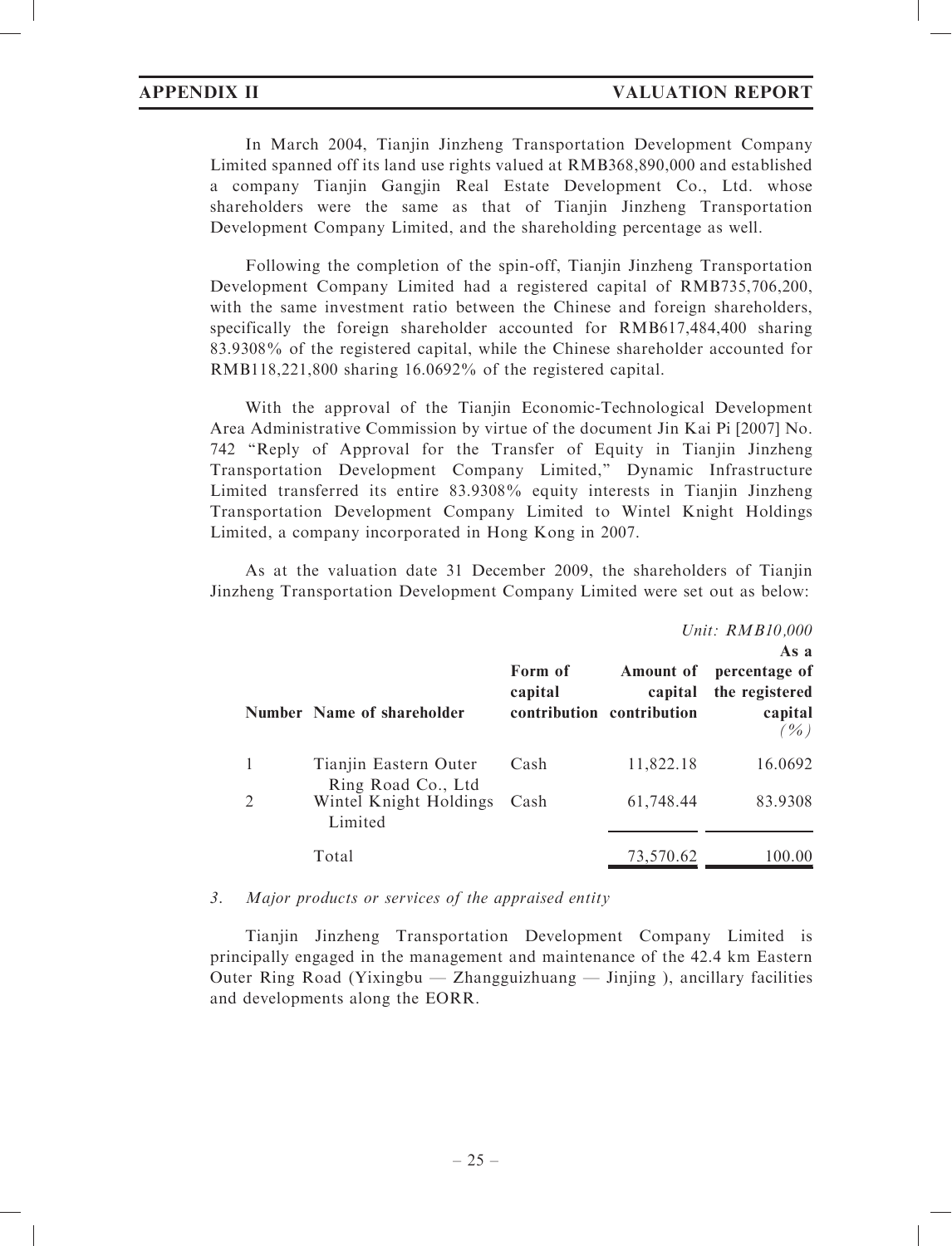In March 2004, Tianjin Jinzheng Transportation Development Company Limited spanned off its land use rights valued at RMB368,890,000 and established a company Tianjin Gangjin Real Estate Development Co., Ltd. whose shareholders were the same as that of Tianjin Jinzheng Transportation Development Company Limited, and the shareholding percentage as well.

Following the completion of the spin-off, Tianjin Jinzheng Transportation Development Company Limited had a registered capital of RMB735,706,200, with the same investment ratio between the Chinese and foreign shareholders, specifically the foreign shareholder accounted for RMB617,484,400 sharing 83.9308% of the registered capital, while the Chinese shareholder accounted for RMB118,221,800 sharing 16.0692% of the registered capital.

With the approval of the Tianjin Economic-Technological Development Area Administrative Commission by virtue of the document Jin Kai Pi [2007] No. 742 ''Reply of Approval for the Transfer of Equity in Tianjin Jinzheng Transportation Development Company Limited,'' Dynamic Infrastructure Limited transferred its entire 83.9308% equity interests in Tianjin Jinzheng Transportation Development Company Limited to Wintel Knight Holdings Limited, a company incorporated in Hong Kong in 2007.

As at the valuation date 31 December 2009, the shareholders of Tianjin Jinzheng Transportation Development Company Limited were set out as below:

|                                             |                    |                                                          | Unit: RMB10,000                                                          |
|---------------------------------------------|--------------------|----------------------------------------------------------|--------------------------------------------------------------------------|
|                                             |                    |                                                          | As a                                                                     |
| Number Name of shareholder                  | Form of<br>capital | <b>Amount</b> of<br>capital<br>contribution contribution | percentage of<br>the registered<br>capital<br>$\left(\frac{o}{o}\right)$ |
| Tianjin Eastern Outer<br>Ring Road Co., Ltd | Cash               | 11,822.18                                                | 16.0692                                                                  |
| Wintel Knight Holdings<br>Limited           | Cash               | 61,748.44                                                | 83.9308                                                                  |
| Total                                       |                    | 73,570.62                                                | 100.00                                                                   |

### 3. Major products or services of the appraised entity

Tianjin Jinzheng Transportation Development Company Limited is principally engaged in the management and maintenance of the 42.4 km Eastern Outer Ring Road (Yixingbu — Zhangguizhuang — Jinjing ), ancillary facilities and developments along the EORR.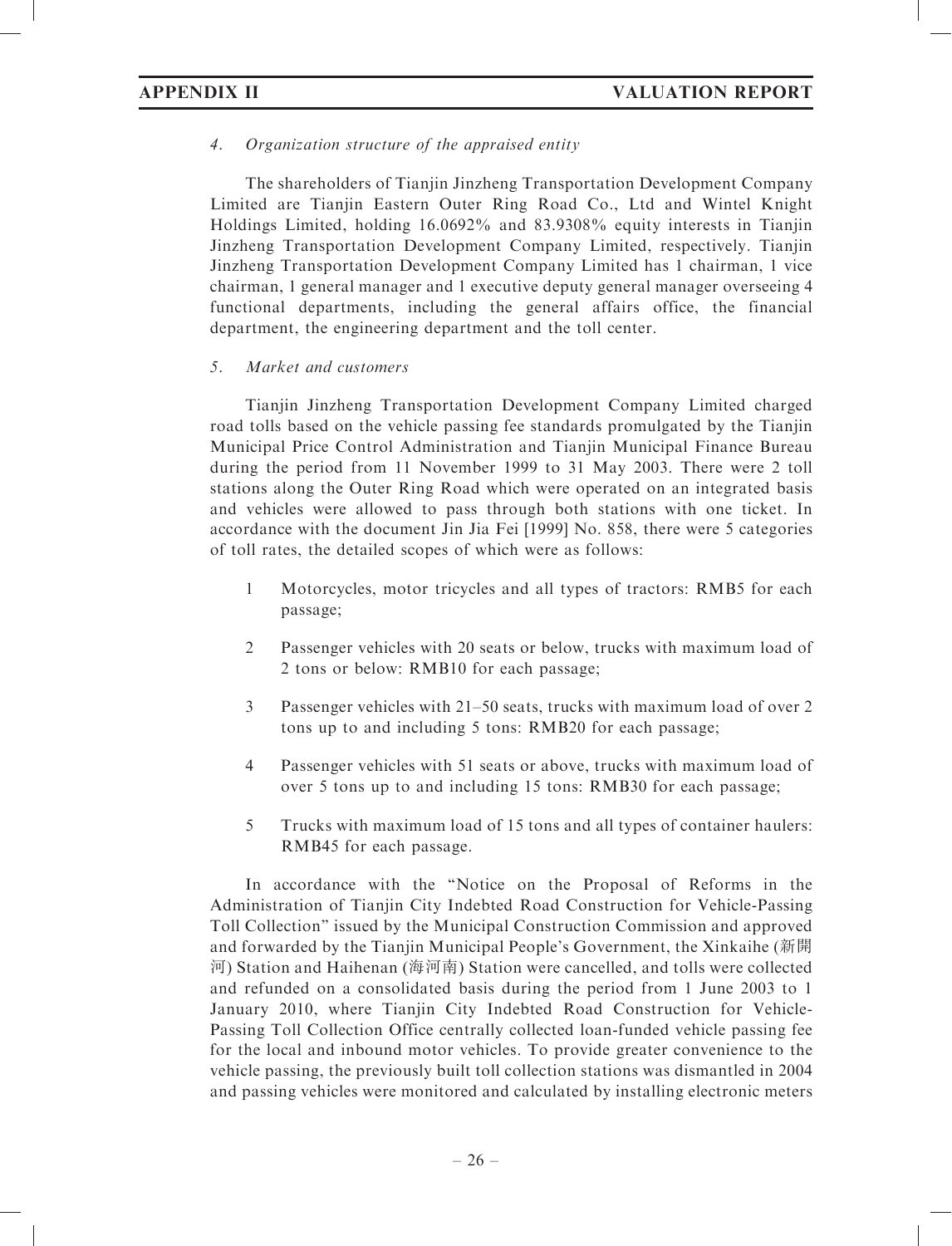# 4. Organization structure of the appraised entity

The shareholders of Tianjin Jinzheng Transportation Development Company Limited are Tianjin Eastern Outer Ring Road Co., Ltd and Wintel Knight Holdings Limited, holding 16.0692% and 83.9308% equity interests in Tianjin Jinzheng Transportation Development Company Limited, respectively. Tianjin Jinzheng Transportation Development Company Limited has 1 chairman, 1 vice chairman, 1 general manager and 1 executive deputy general manager overseeing 4 functional departments, including the general affairs office, the financial department, the engineering department and the toll center.

# 5. Market and customers

Tianjin Jinzheng Transportation Development Company Limited charged road tolls based on the vehicle passing fee standards promulgated by the Tianjin Municipal Price Control Administration and Tianjin Municipal Finance Bureau during the period from 11 November 1999 to 31 May 2003. There were 2 toll stations along the Outer Ring Road which were operated on an integrated basis and vehicles were allowed to pass through both stations with one ticket. In accordance with the document Jin Jia Fei [1999] No. 858, there were 5 categories of toll rates, the detailed scopes of which were as follows:

- 1 Motorcycles, motor tricycles and all types of tractors: RMB5 for each passage;
- 2 Passenger vehicles with 20 seats or below, trucks with maximum load of 2 tons or below: RMB10 for each passage;
- 3 Passenger vehicles with 21–50 seats, trucks with maximum load of over 2 tons up to and including 5 tons: RMB20 for each passage;
- 4 Passenger vehicles with 51 seats or above, trucks with maximum load of over 5 tons up to and including 15 tons: RMB30 for each passage;
- 5 Trucks with maximum load of 15 tons and all types of container haulers: RMB45 for each passage.

In accordance with the ''Notice on the Proposal of Reforms in the Administration of Tianjin City Indebted Road Construction for Vehicle-Passing Toll Collection'' issued by the Municipal Construction Commission and approved and forwarded by the Tianjin Municipal People's Government, the Xinkaihe (新開 河) Station and Haihenan (海河南) Station were cancelled, and tolls were collected and refunded on a consolidated basis during the period from 1 June 2003 to 1 January 2010, where Tianjin City Indebted Road Construction for Vehicle-Passing Toll Collection Office centrally collected loan-funded vehicle passing fee for the local and inbound motor vehicles. To provide greater convenience to the vehicle passing, the previously built toll collection stations was dismantled in 2004 and passing vehicles were monitored and calculated by installing electronic meters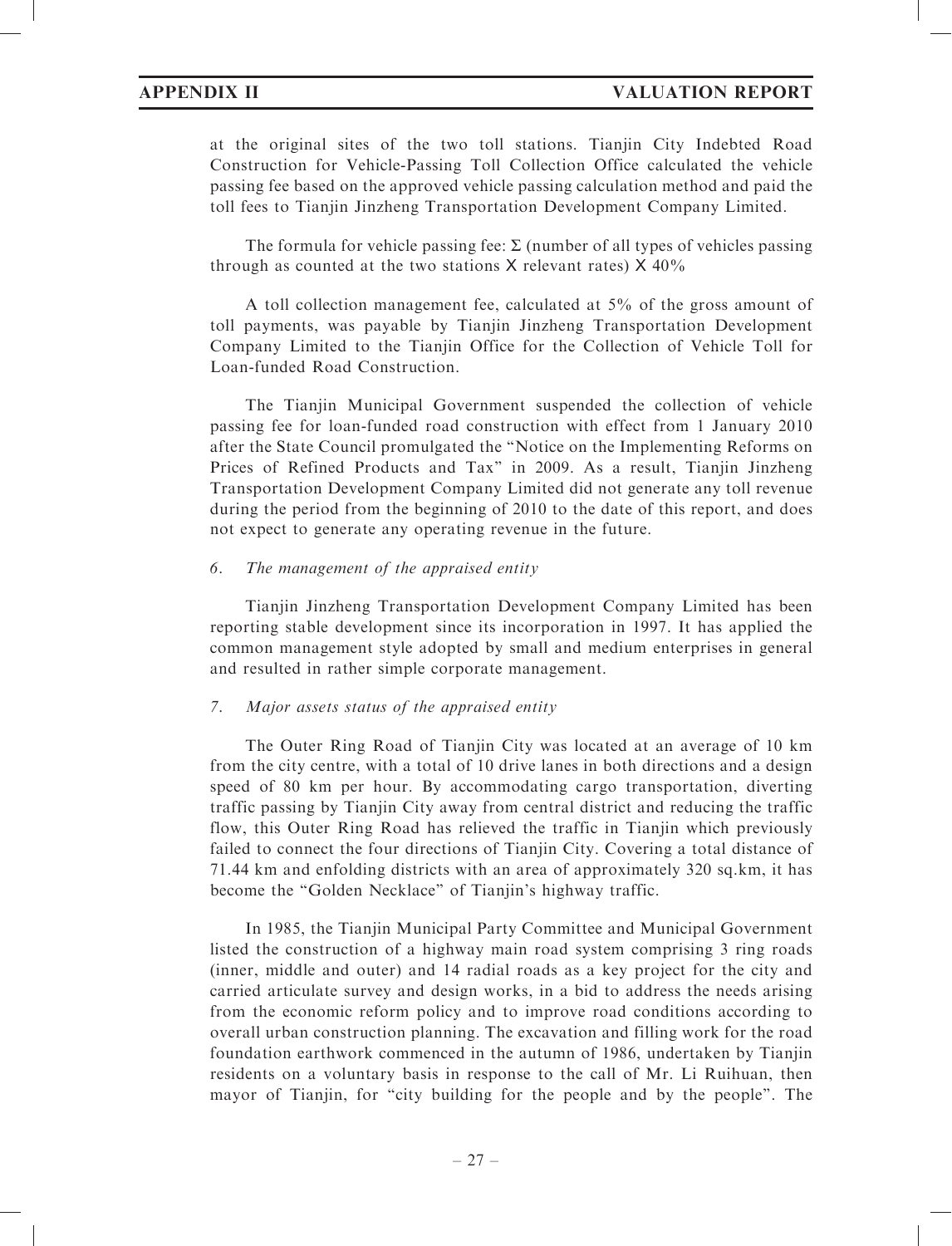at the original sites of the two toll stations. Tianjin City Indebted Road Construction for Vehicle-Passing Toll Collection Office calculated the vehicle passing fee based on the approved vehicle passing calculation method and paid the toll fees to Tianjin Jinzheng Transportation Development Company Limited.

The formula for vehicle passing fee:  $\Sigma$  (number of all types of vehicles passing through as counted at the two stations  $X$  relevant rates)  $X$  40%

A toll collection management fee, calculated at 5% of the gross amount of toll payments, was payable by Tianjin Jinzheng Transportation Development Company Limited to the Tianjin Office for the Collection of Vehicle Toll for Loan-funded Road Construction.

The Tianjin Municipal Government suspended the collection of vehicle passing fee for loan-funded road construction with effect from 1 January 2010 after the State Council promulgated the ''Notice on the Implementing Reforms on Prices of Refined Products and Tax'' in 2009. As a result, Tianjin Jinzheng Transportation Development Company Limited did not generate any toll revenue during the period from the beginning of 2010 to the date of this report, and does not expect to generate any operating revenue in the future.

### 6. The management of the appraised entity

Tianjin Jinzheng Transportation Development Company Limited has been reporting stable development since its incorporation in 1997. It has applied the common management style adopted by small and medium enterprises in general and resulted in rather simple corporate management.

### 7. Major assets status of the appraised entity

The Outer Ring Road of Tianjin City was located at an average of 10 km from the city centre, with a total of 10 drive lanes in both directions and a design speed of 80 km per hour. By accommodating cargo transportation, diverting traffic passing by Tianjin City away from central district and reducing the traffic flow, this Outer Ring Road has relieved the traffic in Tianjin which previously failed to connect the four directions of Tianjin City. Covering a total distance of 71.44 km and enfolding districts with an area of approximately 320 sq.km, it has become the "Golden Necklace" of Tianjin's highway traffic.

In 1985, the Tianjin Municipal Party Committee and Municipal Government listed the construction of a highway main road system comprising 3 ring roads (inner, middle and outer) and 14 radial roads as a key project for the city and carried articulate survey and design works, in a bid to address the needs arising from the economic reform policy and to improve road conditions according to overall urban construction planning. The excavation and filling work for the road foundation earthwork commenced in the autumn of 1986, undertaken by Tianjin residents on a voluntary basis in response to the call of Mr. Li Ruihuan, then mayor of Tianjin, for "city building for the people and by the people". The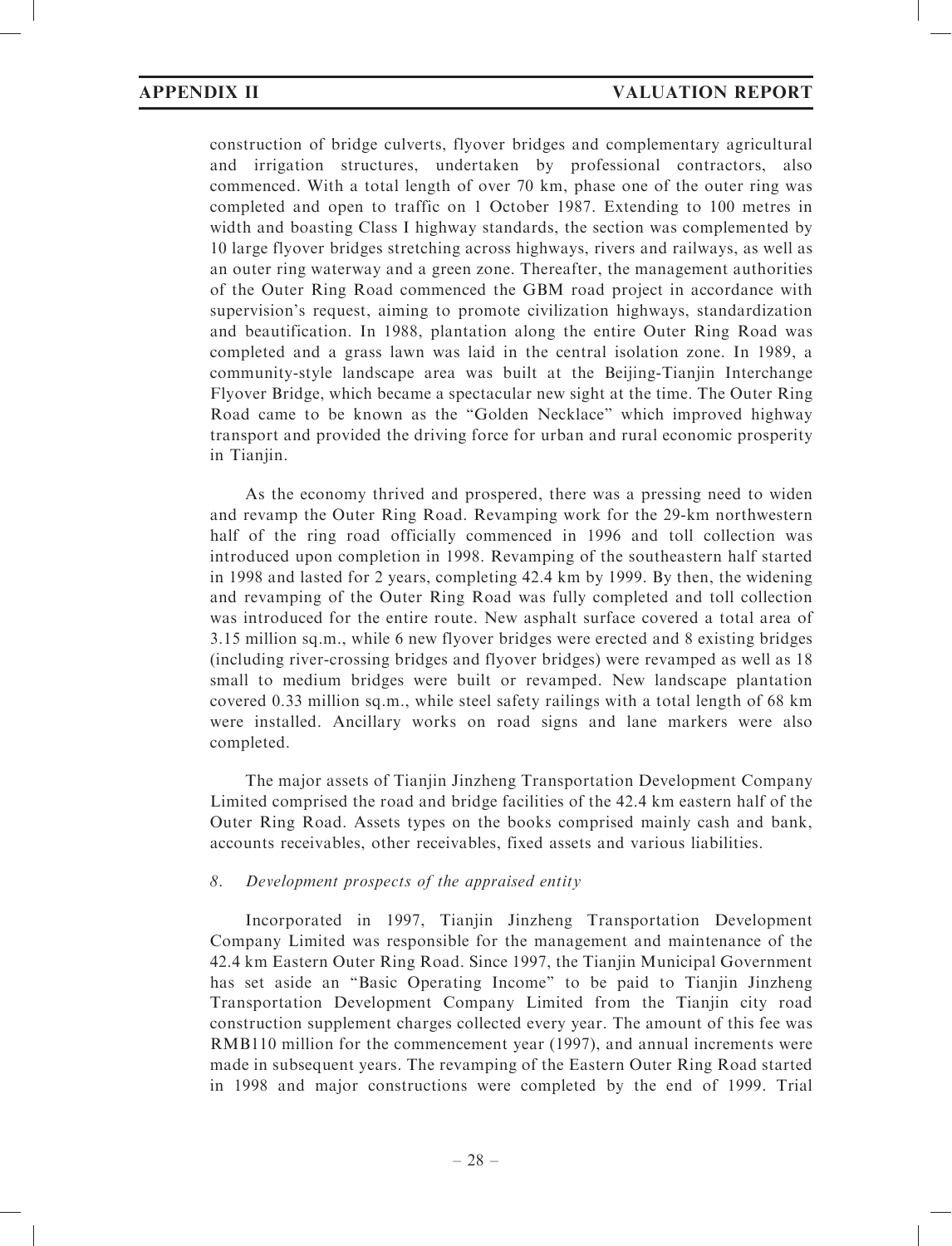construction of bridge culverts, flyover bridges and complementary agricultural and irrigation structures, undertaken by professional contractors, also commenced. With a total length of over 70 km, phase one of the outer ring was completed and open to traffic on 1 October 1987. Extending to 100 metres in width and boasting Class I highway standards, the section was complemented by 10 large flyover bridges stretching across highways, rivers and railways, as well as an outer ring waterway and a green zone. Thereafter, the management authorities of the Outer Ring Road commenced the GBM road project in accordance with supervision's request, aiming to promote civilization highways, standardization and beautification. In 1988, plantation along the entire Outer Ring Road was completed and a grass lawn was laid in the central isolation zone. In 1989, a community-style landscape area was built at the Beijing-Tianjin Interchange Flyover Bridge, which became a spectacular new sight at the time. The Outer Ring Road came to be known as the ''Golden Necklace'' which improved highway transport and provided the driving force for urban and rural economic prosperity in Tianjin.

As the economy thrived and prospered, there was a pressing need to widen and revamp the Outer Ring Road. Revamping work for the 29-km northwestern half of the ring road officially commenced in 1996 and toll collection was introduced upon completion in 1998. Revamping of the southeastern half started in 1998 and lasted for 2 years, completing 42.4 km by 1999. By then, the widening and revamping of the Outer Ring Road was fully completed and toll collection was introduced for the entire route. New asphalt surface covered a total area of 3.15 million sq.m., while 6 new flyover bridges were erected and 8 existing bridges (including river-crossing bridges and flyover bridges) were revamped as well as 18 small to medium bridges were built or revamped. New landscape plantation covered 0.33 million sq.m., while steel safety railings with a total length of 68 km were installed. Ancillary works on road signs and lane markers were also completed.

The major assets of Tianjin Jinzheng Transportation Development Company Limited comprised the road and bridge facilities of the 42.4 km eastern half of the Outer Ring Road. Assets types on the books comprised mainly cash and bank, accounts receivables, other receivables, fixed assets and various liabilities.

# 8. Development prospects of the appraised entity

Incorporated in 1997, Tianjin Jinzheng Transportation Development Company Limited was responsible for the management and maintenance of the 42.4 km Eastern Outer Ring Road. Since 1997, the Tianjin Municipal Government has set aside an ''Basic Operating Income'' to be paid to Tianjin Jinzheng Transportation Development Company Limited from the Tianjin city road construction supplement charges collected every year. The amount of this fee was RMB110 million for the commencement year (1997), and annual increments were made in subsequent years. The revamping of the Eastern Outer Ring Road started in 1998 and major constructions were completed by the end of 1999. Trial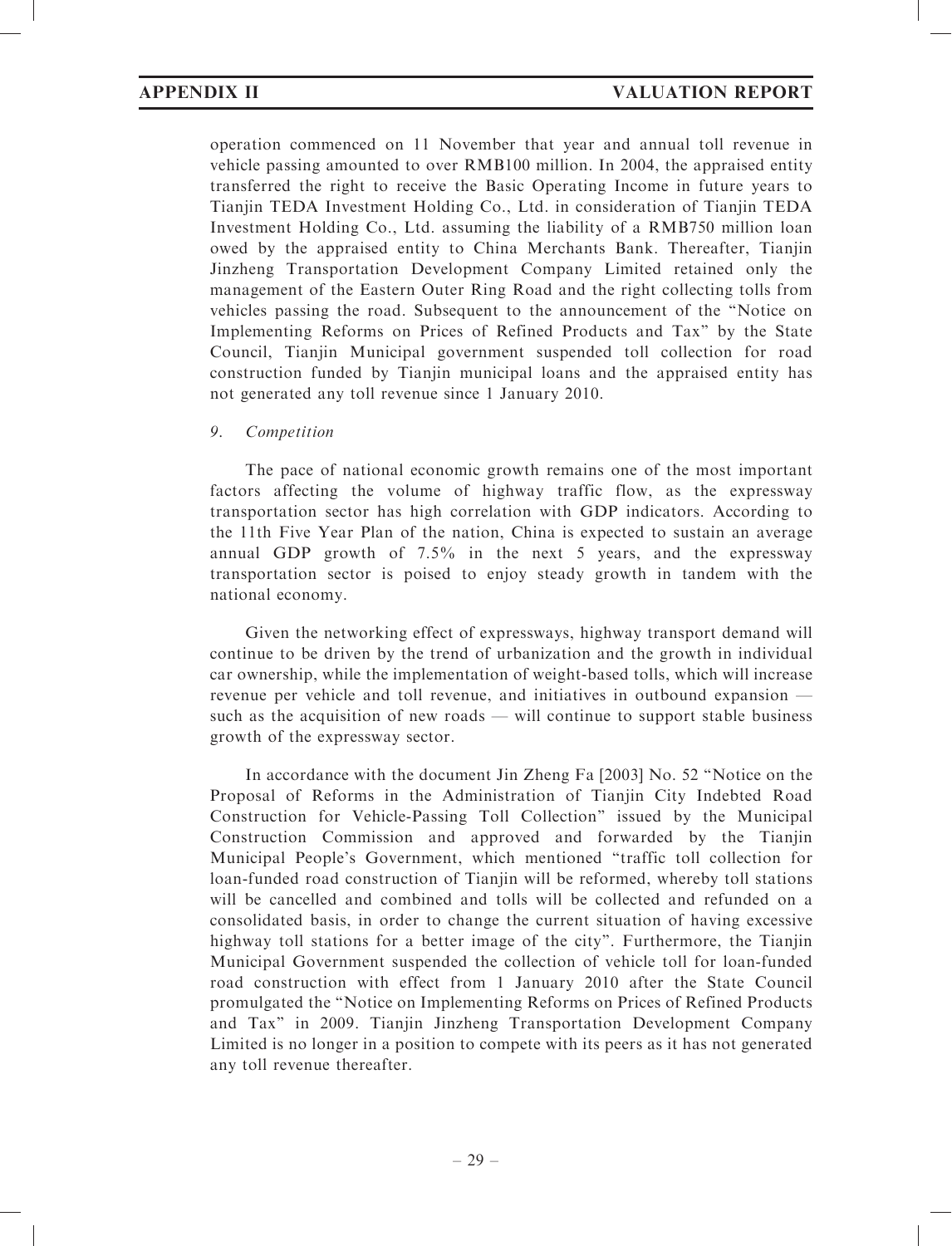operation commenced on 11 November that year and annual toll revenue in vehicle passing amounted to over RMB100 million. In 2004, the appraised entity transferred the right to receive the Basic Operating Income in future years to Tianjin TEDA Investment Holding Co., Ltd. in consideration of Tianjin TEDA Investment Holding Co., Ltd. assuming the liability of a RMB750 million loan owed by the appraised entity to China Merchants Bank. Thereafter, Tianjin Jinzheng Transportation Development Company Limited retained only the management of the Eastern Outer Ring Road and the right collecting tolls from vehicles passing the road. Subsequent to the announcement of the ''Notice on Implementing Reforms on Prices of Refined Products and Tax'' by the State Council, Tianjin Municipal government suspended toll collection for road construction funded by Tianjin municipal loans and the appraised entity has not generated any toll revenue since 1 January 2010.

### 9. Competition

The pace of national economic growth remains one of the most important factors affecting the volume of highway traffic flow, as the expressway transportation sector has high correlation with GDP indicators. According to the 11th Five Year Plan of the nation, China is expected to sustain an average annual GDP growth of 7.5% in the next 5 years, and the expressway transportation sector is poised to enjoy steady growth in tandem with the national economy.

Given the networking effect of expressways, highway transport demand will continue to be driven by the trend of urbanization and the growth in individual car ownership, while the implementation of weight-based tolls, which will increase revenue per vehicle and toll revenue, and initiatives in outbound expansion such as the acquisition of new roads — will continue to support stable business growth of the expressway sector.

In accordance with the document Jin Zheng Fa [2003] No. 52 ''Notice on the Proposal of Reforms in the Administration of Tianjin City Indebted Road Construction for Vehicle-Passing Toll Collection'' issued by the Municipal Construction Commission and approved and forwarded by the Tianjin Municipal People's Government, which mentioned ''traffic toll collection for loan-funded road construction of Tianjin will be reformed, whereby toll stations will be cancelled and combined and tolls will be collected and refunded on a consolidated basis, in order to change the current situation of having excessive highway toll stations for a better image of the city''. Furthermore, the Tianjin Municipal Government suspended the collection of vehicle toll for loan-funded road construction with effect from 1 January 2010 after the State Council promulgated the ''Notice on Implementing Reforms on Prices of Refined Products and Tax'' in 2009. Tianjin Jinzheng Transportation Development Company Limited is no longer in a position to compete with its peers as it has not generated any toll revenue thereafter.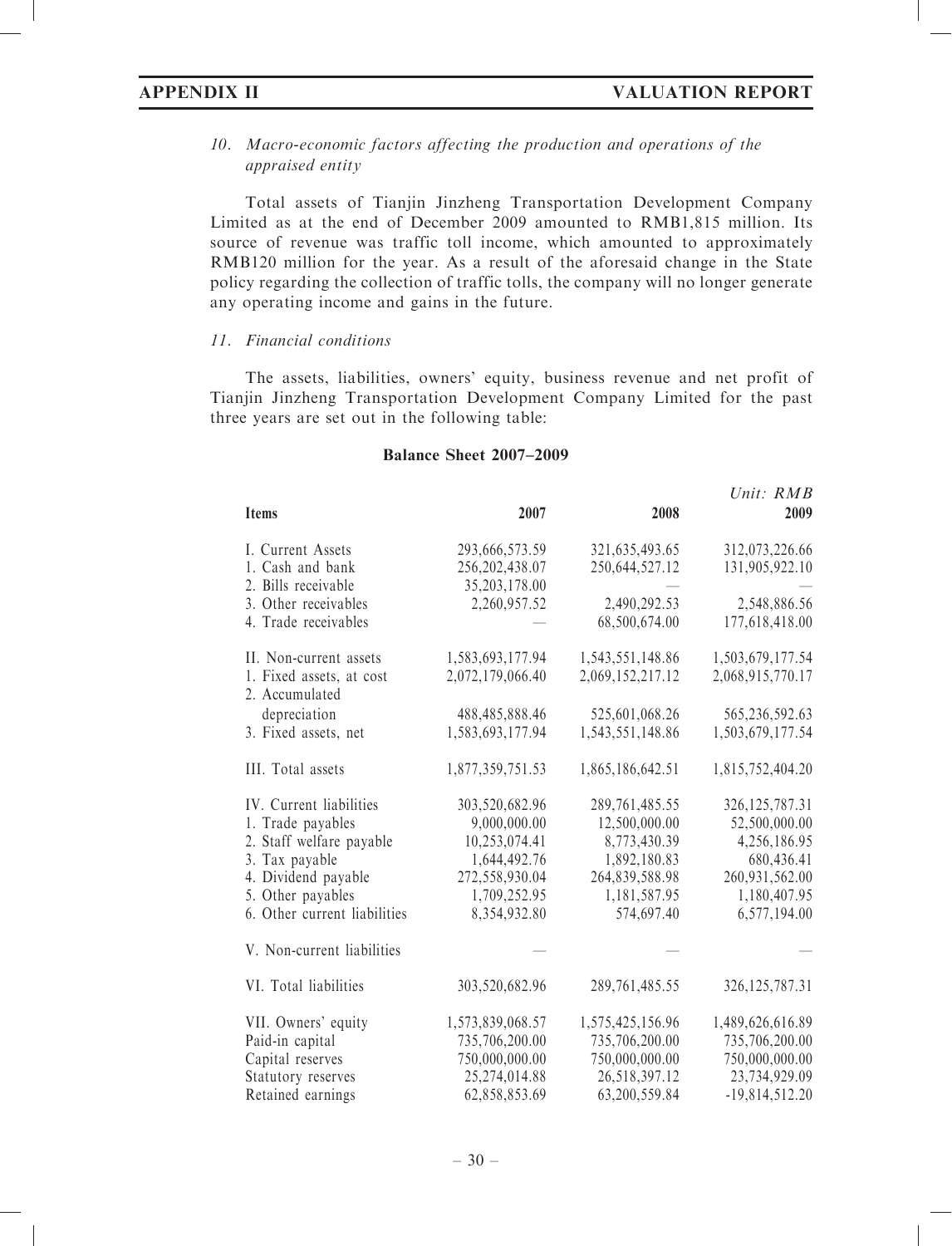# 10. Macro-economic factors affecting the production and operations of the appraised entity

Total assets of Tianjin Jinzheng Transportation Development Company Limited as at the end of December 2009 amounted to RMB1,815 million. Its source of revenue was traffic toll income, which amounted to approximately RMB120 million for the year. As a result of the aforesaid change in the State policy regarding the collection of traffic tolls, the company will no longer generate any operating income and gains in the future.

### 11. Financial conditions

The assets, liabilities, owners' equity, business revenue and net profit of Tianjin Jinzheng Transportation Development Company Limited for the past three years are set out in the following table:

### Balance Sheet 2007–2009

|                                            |                  |                   | Unit: RMB         |
|--------------------------------------------|------------------|-------------------|-------------------|
| <b>Items</b>                               | 2007             | 2008              | 2009              |
| I. Current Assets                          | 293,666,573.59   | 321, 635, 493. 65 | 312,073,226.66    |
| 1. Cash and bank                           | 256, 202, 438.07 | 250,644,527.12    | 131,905,922.10    |
| 2. Bills receivable                        | 35,203,178.00    |                   |                   |
| 3. Other receivables                       | 2,260,957.52     | 2,490,292.53      | 2,548,886.56      |
| 4. Trade receivables                       |                  | 68,500,674.00     | 177,618,418.00    |
| II. Non-current assets                     | 1,583,693,177.94 | 1,543,551,148.86  | 1,503,679,177.54  |
| 1. Fixed assets, at cost<br>2. Accumulated | 2,072,179,066.40 | 2,069,152,217.12  | 2,068,915,770.17  |
|                                            |                  |                   |                   |
| depreciation                               | 488,485,888.46   | 525,601,068.26    | 565,236,592.63    |
| 3. Fixed assets, net                       | 1,583,693,177.94 | 1,543,551,148.86  | 1,503,679,177.54  |
| III. Total assets                          | 1,877,359,751.53 | 1,865,186,642.51  | 1,815,752,404.20  |
| IV. Current liabilities                    | 303,520,682.96   | 289, 761, 485.55  | 326, 125, 787. 31 |
| 1. Trade payables                          | 9,000,000.00     | 12,500,000.00     | 52,500,000.00     |
| 2. Staff welfare payable                   | 10,253,074.41    | 8,773,430.39      | 4,256,186.95      |
| 3. Tax payable                             | 1,644,492.76     | 1,892,180.83      | 680,436.41        |
| 4. Dividend payable                        | 272,558,930.04   | 264,839,588.98    | 260,931,562.00    |
| 5. Other payables                          | 1,709,252.95     | 1,181,587.95      | 1,180,407.95      |
| 6. Other current liabilities               | 8,354,932.80     | 574,697.40        | 6,577,194.00      |
| V. Non-current liabilities                 |                  |                   |                   |
| VI. Total liabilities                      | 303,520,682.96   | 289, 761, 485.55  | 326, 125, 787. 31 |
| VII. Owners' equity                        | 1,573,839,068.57 | 1,575,425,156.96  | 1,489,626,616.89  |
| Paid-in capital                            | 735,706,200.00   | 735,706,200.00    | 735,706,200.00    |
| Capital reserves                           | 750,000,000.00   | 750,000,000.00    | 750,000,000.00    |
| Statutory reserves                         | 25,274,014.88    | 26,518,397.12     | 23,734,929.09     |
| Retained earnings                          | 62,858,853.69    | 63,200,559.84     | $-19,814,512.20$  |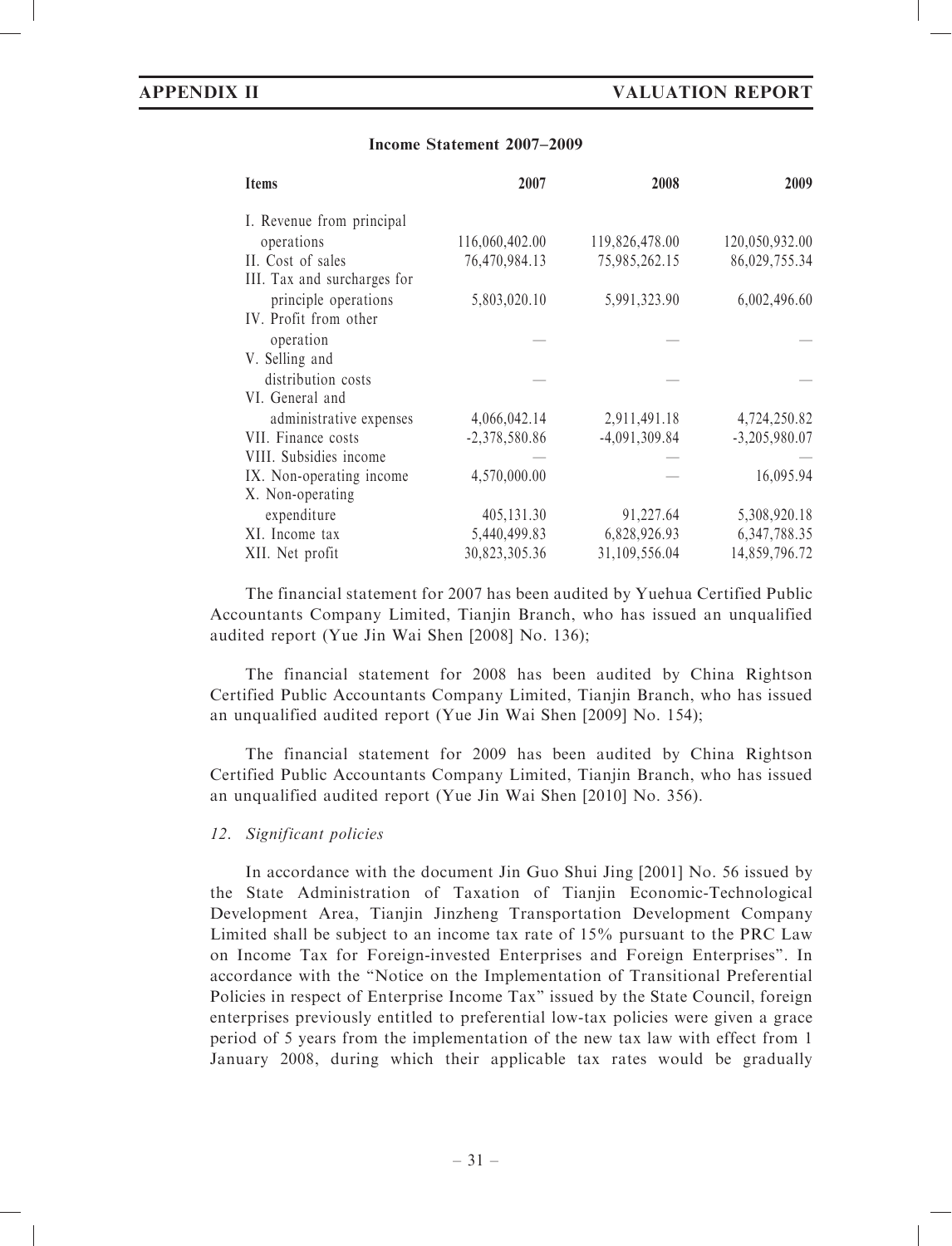### Income Statement 2007–2009

| <b>Items</b>                | 2007            | 2008            | 2009            |
|-----------------------------|-----------------|-----------------|-----------------|
| I. Revenue from principal   |                 |                 |                 |
| operations                  | 116,060,402.00  | 119,826,478.00  | 120,050,932.00  |
| II. Cost of sales           | 76,470,984.13   | 75,985,262.15   | 86,029,755.34   |
| III. Tax and surcharges for |                 |                 |                 |
| principle operations        | 5,803,020.10    | 5,991,323.90    | 6,002,496.60    |
| IV. Profit from other       |                 |                 |                 |
| operation                   |                 |                 |                 |
| V. Selling and              |                 |                 |                 |
| distribution costs          |                 |                 |                 |
| VI. General and             |                 |                 |                 |
| administrative expenses     | 4,066,042.14    | 2,911,491.18    | 4,724,250.82    |
| VII. Finance costs          | $-2,378,580.86$ | $-4,091,309.84$ | $-3,205,980.07$ |
| VIII. Subsidies income      |                 |                 |                 |
| IX. Non-operating income.   | 4,570,000.00    |                 | 16,095.94       |
| X. Non-operating            |                 |                 |                 |
| expenditure                 | 405,131.30      | 91,227.64       | 5,308,920.18    |
| XI. Income tax              | 5,440,499.83    | 6,828,926.93    | 6, 347, 788. 35 |
| XII. Net profit             | 30,823,305.36   | 31,109,556.04   | 14,859,796.72   |

The financial statement for 2007 has been audited by Yuehua Certified Public Accountants Company Limited, Tianjin Branch, who has issued an unqualified audited report (Yue Jin Wai Shen [2008] No. 136);

The financial statement for 2008 has been audited by China Rightson Certified Public Accountants Company Limited, Tianjin Branch, who has issued an unqualified audited report (Yue Jin Wai Shen [2009] No. 154);

The financial statement for 2009 has been audited by China Rightson Certified Public Accountants Company Limited, Tianjin Branch, who has issued an unqualified audited report (Yue Jin Wai Shen [2010] No. 356).

### 12. Significant policies

In accordance with the document Jin Guo Shui Jing [2001] No. 56 issued by the State Administration of Taxation of Tianjin Economic-Technological Development Area, Tianjin Jinzheng Transportation Development Company Limited shall be subject to an income tax rate of 15% pursuant to the PRC Law on Income Tax for Foreign-invested Enterprises and Foreign Enterprises''. In accordance with the ''Notice on the Implementation of Transitional Preferential Policies in respect of Enterprise Income Tax'' issued by the State Council, foreign enterprises previously entitled to preferential low-tax policies were given a grace period of 5 years from the implementation of the new tax law with effect from 1 January 2008, during which their applicable tax rates would be gradually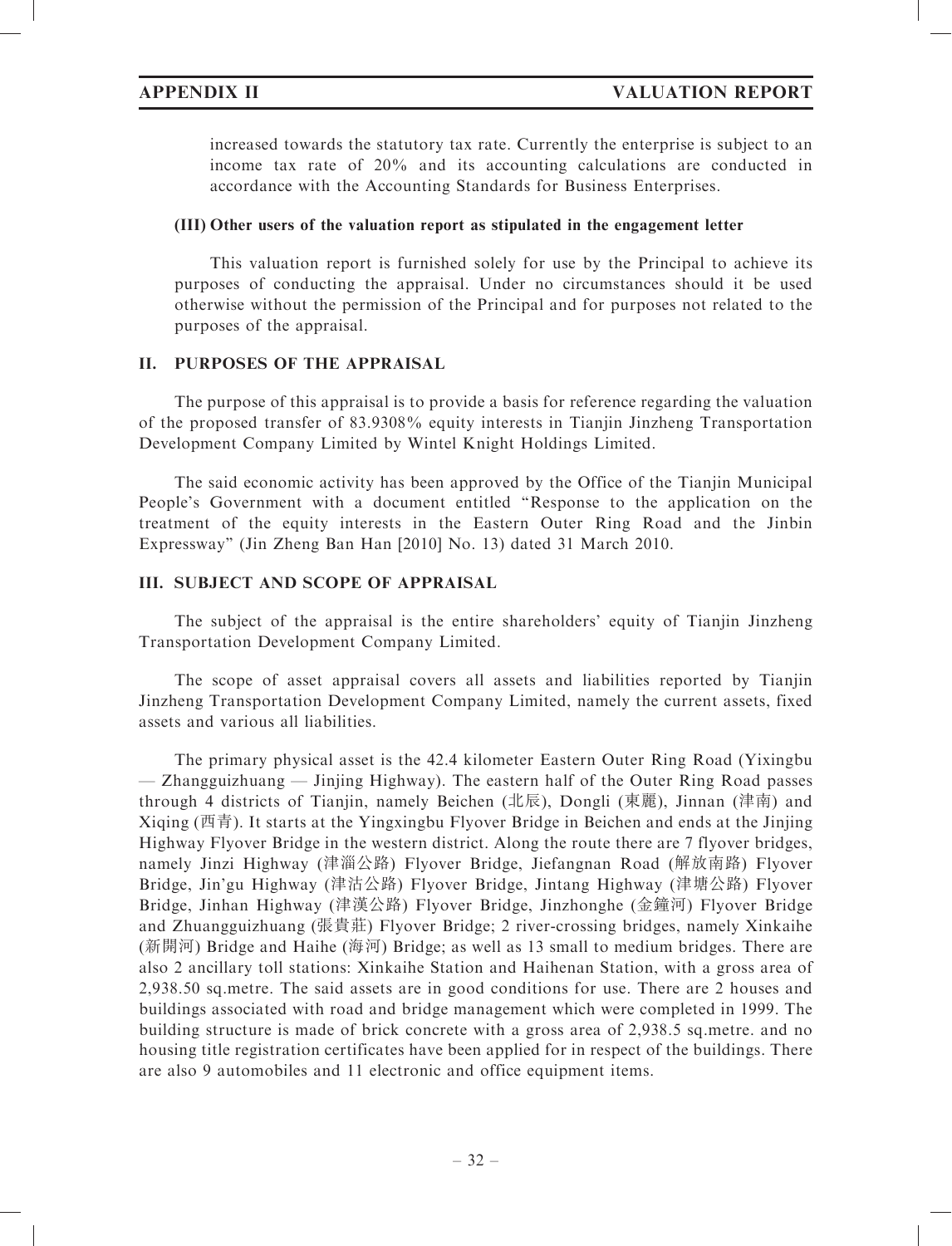increased towards the statutory tax rate. Currently the enterprise is subject to an income tax rate of 20% and its accounting calculations are conducted in accordance with the Accounting Standards for Business Enterprises.

### (III) Other users of the valuation report as stipulated in the engagement letter

This valuation report is furnished solely for use by the Principal to achieve its purposes of conducting the appraisal. Under no circumstances should it be used otherwise without the permission of the Principal and for purposes not related to the purposes of the appraisal.

# II. PURPOSES OF THE APPRAISAL

The purpose of this appraisal is to provide a basis for reference regarding the valuation of the proposed transfer of 83.9308% equity interests in Tianjin Jinzheng Transportation Development Company Limited by Wintel Knight Holdings Limited.

The said economic activity has been approved by the Office of the Tianjin Municipal People's Government with a document entitled ''Response to the application on the treatment of the equity interests in the Eastern Outer Ring Road and the Jinbin Expressway'' (Jin Zheng Ban Han [2010] No. 13) dated 31 March 2010.

# III. SUBJECT AND SCOPE OF APPRAISAL

The subject of the appraisal is the entire shareholders' equity of Tianjin Jinzheng Transportation Development Company Limited.

The scope of asset appraisal covers all assets and liabilities reported by Tianjin Jinzheng Transportation Development Company Limited, namely the current assets, fixed assets and various all liabilities.

The primary physical asset is the 42.4 kilometer Eastern Outer Ring Road (Yixingbu — Zhangguizhuang — Jinjing Highway). The eastern half of the Outer Ring Road passes through 4 districts of Tianjin, namely Beichen (北辰), Dongli (東麗), Jinnan (津南) and Xiqing (西青). It starts at the Yingxingbu Flyover Bridge in Beichen and ends at the Jinjing Highway Flyover Bridge in the western district. Along the route there are 7 flyover bridges, namely Jinzi Highway (津淄公路) Flyover Bridge, Jiefangnan Road (解放南路) Flyover Bridge, Jin'gu Highway (津沽公路) Flyover Bridge, Jintang Highway (津塘公路) Flyover Bridge, Jinhan Highway (津漢公路) Flyover Bridge, Jinzhonghe (金鐘河) Flyover Bridge and Zhuangguizhuang (張貴莊) Flyover Bridge; 2 river-crossing bridges, namely Xinkaihe (新開河) Bridge and Haihe (海河) Bridge; as well as 13 small to medium bridges. There are also 2 ancillary toll stations: Xinkaihe Station and Haihenan Station, with a gross area of 2,938.50 sq.metre. The said assets are in good conditions for use. There are 2 houses and buildings associated with road and bridge management which were completed in 1999. The building structure is made of brick concrete with a gross area of 2,938.5 sq.metre. and no housing title registration certificates have been applied for in respect of the buildings. There are also 9 automobiles and 11 electronic and office equipment items.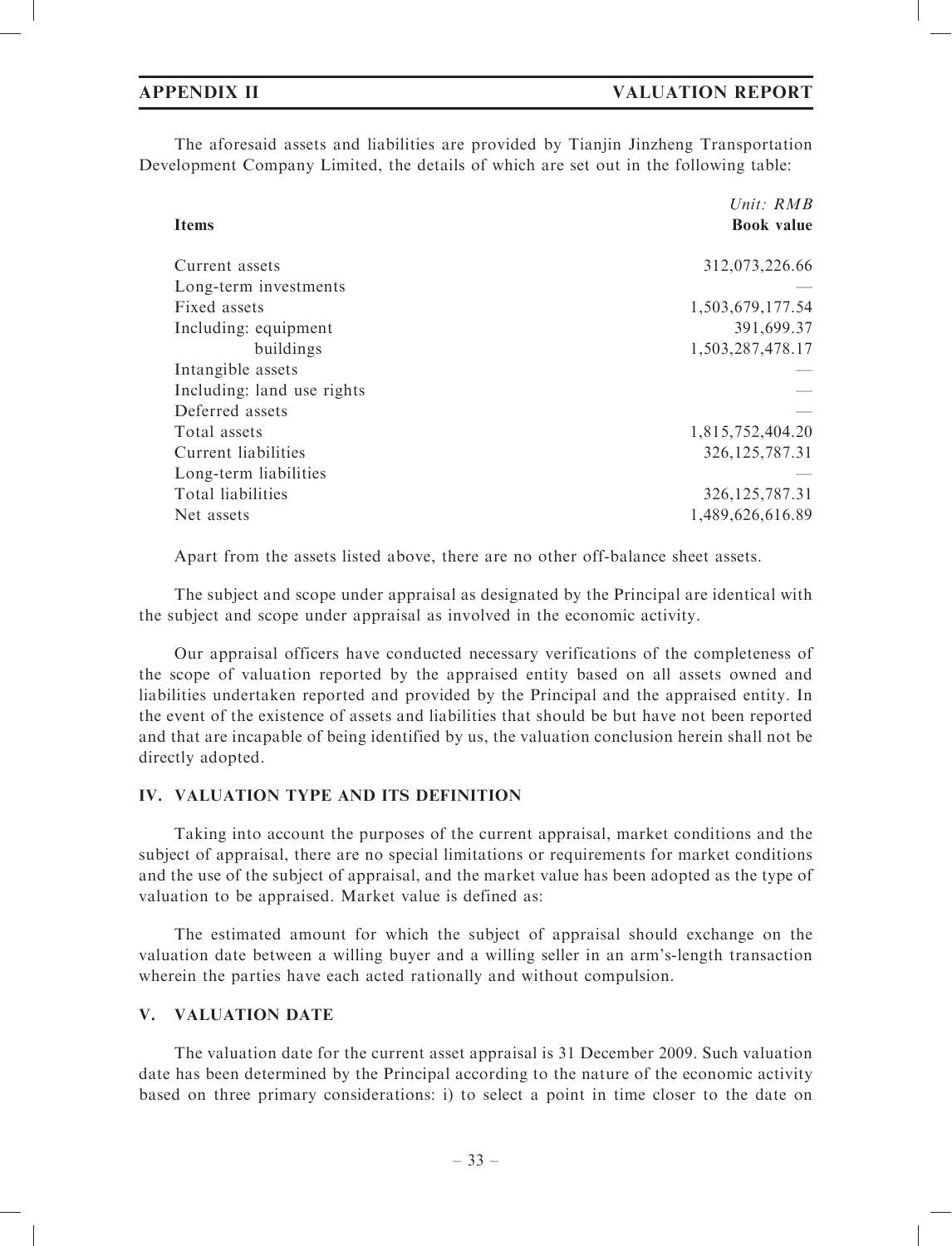The aforesaid assets and liabilities are provided by Tianjin Jinzheng Transportation Development Company Limited, the details of which are set out in the following table:

| Unit: $RMB$       |
|-------------------|
| <b>Book</b> value |
| 312,073,226.66    |
|                   |
| 1,503,679,177.54  |
| 391,699.37        |
| 1,503,287,478.17  |
|                   |
|                   |
|                   |
| 1,815,752,404.20  |
| 326, 125, 787.31  |
|                   |
| 326, 125, 787. 31 |
| 1,489,626,616.89  |
|                   |

Apart from the assets listed above, there are no other off-balance sheet assets.

The subject and scope under appraisal as designated by the Principal are identical with the subject and scope under appraisal as involved in the economic activity.

Our appraisal officers have conducted necessary verifications of the completeness of the scope of valuation reported by the appraised entity based on all assets owned and liabilities undertaken reported and provided by the Principal and the appraised entity. In the event of the existence of assets and liabilities that should be but have not been reported and that are incapable of being identified by us, the valuation conclusion herein shall not be directly adopted.

# IV. VALUATION TYPE AND ITS DEFINITION

Taking into account the purposes of the current appraisal, market conditions and the subject of appraisal, there are no special limitations or requirements for market conditions and the use of the subject of appraisal, and the market value has been adopted as the type of valuation to be appraised. Market value is defined as:

The estimated amount for which the subject of appraisal should exchange on the valuation date between a willing buyer and a willing seller in an arm's-length transaction wherein the parties have each acted rationally and without compulsion.

# V. VALUATION DATE

The valuation date for the current asset appraisal is 31 December 2009. Such valuation date has been determined by the Principal according to the nature of the economic activity based on three primary considerations: i) to select a point in time closer to the date on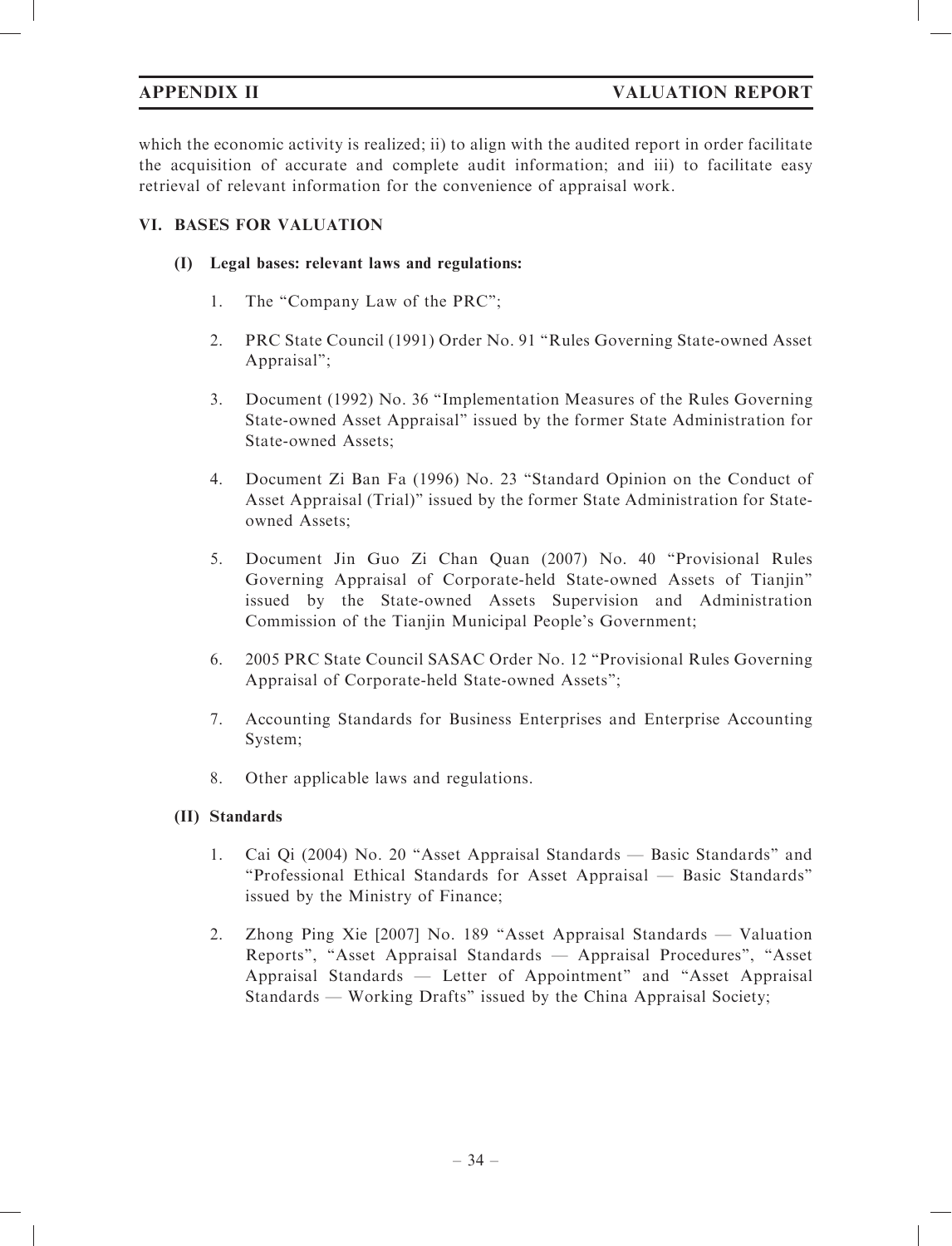which the economic activity is realized; ii) to align with the audited report in order facilitate the acquisition of accurate and complete audit information; and iii) to facilitate easy retrieval of relevant information for the convenience of appraisal work.

# VI. BASES FOR VALUATION

# (I) Legal bases: relevant laws and regulations:

- 1. The "Company Law of the PRC";
- 2. PRC State Council (1991) Order No. 91 ''Rules Governing State-owned Asset Appraisal'';
- 3. Document (1992) No. 36 ''Implementation Measures of the Rules Governing State-owned Asset Appraisal'' issued by the former State Administration for State-owned Assets;
- 4. Document Zi Ban Fa (1996) No. 23 ''Standard Opinion on the Conduct of Asset Appraisal (Trial)'' issued by the former State Administration for Stateowned Assets;
- 5. Document Jin Guo Zi Chan Quan (2007) No. 40 ''Provisional Rules Governing Appraisal of Corporate-held State-owned Assets of Tianjin'' issued by the State-owned Assets Supervision and Administration Commission of the Tianjin Municipal People's Government;
- 6. 2005 PRC State Council SASAC Order No. 12 ''Provisional Rules Governing Appraisal of Corporate-held State-owned Assets'';
- 7. Accounting Standards for Business Enterprises and Enterprise Accounting System;
- 8. Other applicable laws and regulations.

# (II) Standards

- 1. Cai Qi (2004) No. 20 ''Asset Appraisal Standards Basic Standards'' and ''Professional Ethical Standards for Asset Appraisal — Basic Standards'' issued by the Ministry of Finance;
- 2. Zhong Ping Xie [2007] No. 189 ''Asset Appraisal Standards Valuation Reports'', ''Asset Appraisal Standards — Appraisal Procedures'', ''Asset Appraisal Standards — Letter of Appointment'' and ''Asset Appraisal Standards — Working Drafts'' issued by the China Appraisal Society;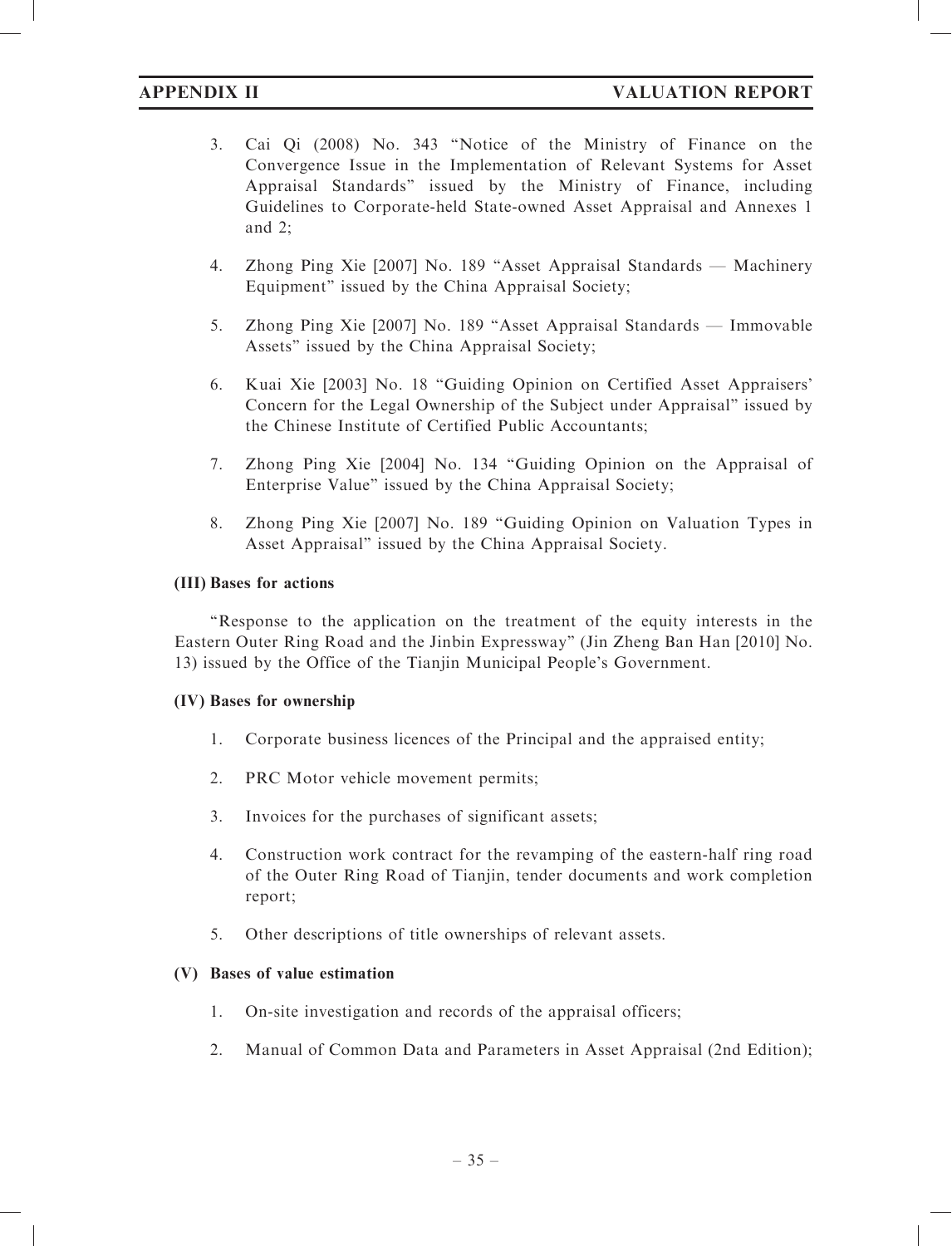# APPENDIX II VALUATION REPORT

- 3. Cai Qi (2008) No. 343 ''Notice of the Ministry of Finance on the Convergence Issue in the Implementation of Relevant Systems for Asset Appraisal Standards'' issued by the Ministry of Finance, including Guidelines to Corporate-held State-owned Asset Appraisal and Annexes 1 and 2;
- 4. Zhong Ping Xie [2007] No. 189 ''Asset Appraisal Standards Machinery Equipment'' issued by the China Appraisal Society;
- 5. Zhong Ping Xie [2007] No. 189 ''Asset Appraisal Standards Immovable Assets'' issued by the China Appraisal Society;
- 6. Kuai Xie [2003] No. 18 ''Guiding Opinion on Certified Asset Appraisers' Concern for the Legal Ownership of the Subject under Appraisal'' issued by the Chinese Institute of Certified Public Accountants;
- 7. Zhong Ping Xie [2004] No. 134 ''Guiding Opinion on the Appraisal of Enterprise Value'' issued by the China Appraisal Society;
- 8. Zhong Ping Xie [2007] No. 189 ''Guiding Opinion on Valuation Types in Asset Appraisal'' issued by the China Appraisal Society.

### (III) Bases for actions

''Response to the application on the treatment of the equity interests in the Eastern Outer Ring Road and the Jinbin Expressway'' (Jin Zheng Ban Han [2010] No. 13) issued by the Office of the Tianjin Municipal People's Government.

### (IV) Bases for ownership

- 1. Corporate business licences of the Principal and the appraised entity;
- 2. PRC Motor vehicle movement permits;
- 3. Invoices for the purchases of significant assets;
- 4. Construction work contract for the revamping of the eastern-half ring road of the Outer Ring Road of Tianjin, tender documents and work completion report;
- 5. Other descriptions of title ownerships of relevant assets.

# (V) Bases of value estimation

- 1. On-site investigation and records of the appraisal officers;
- 2. Manual of Common Data and Parameters in Asset Appraisal (2nd Edition);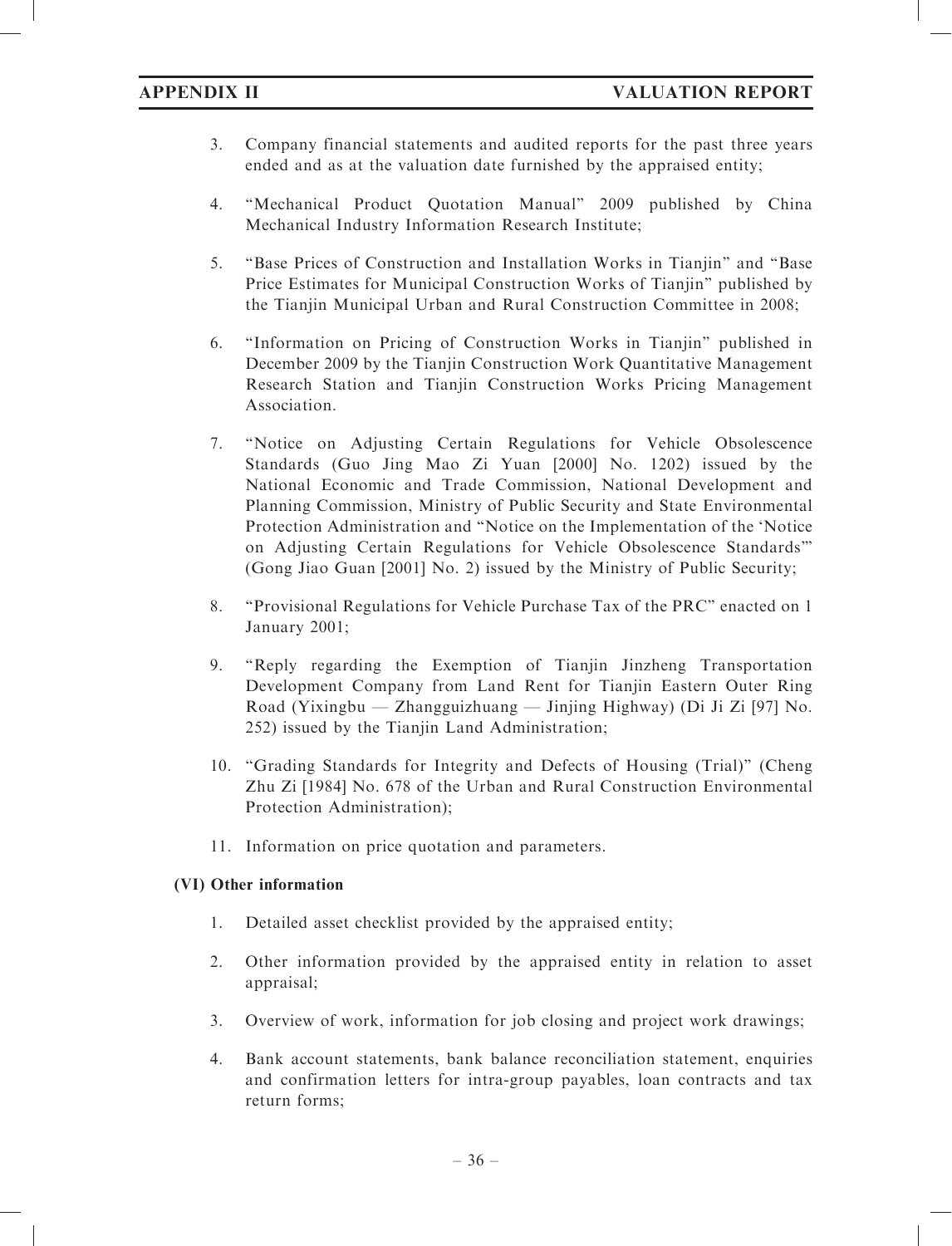- 3. Company financial statements and audited reports for the past three years ended and as at the valuation date furnished by the appraised entity;
- 4. ''Mechanical Product Quotation Manual'' 2009 published by China Mechanical Industry Information Research Institute;
- 5. ''Base Prices of Construction and Installation Works in Tianjin'' and ''Base Price Estimates for Municipal Construction Works of Tianjin'' published by the Tianjin Municipal Urban and Rural Construction Committee in 2008;
- 6. ''Information on Pricing of Construction Works in Tianjin'' published in December 2009 by the Tianjin Construction Work Quantitative Management Research Station and Tianjin Construction Works Pricing Management Association.
- 7. ''Notice on Adjusting Certain Regulations for Vehicle Obsolescence Standards (Guo Jing Mao Zi Yuan [2000] No. 1202) issued by the National Economic and Trade Commission, National Development and Planning Commission, Ministry of Public Security and State Environmental Protection Administration and ''Notice on the Implementation of the 'Notice on Adjusting Certain Regulations for Vehicle Obsolescence Standards''' (Gong Jiao Guan [2001] No. 2) issued by the Ministry of Public Security;
- 8. ''Provisional Regulations for Vehicle Purchase Tax of the PRC'' enacted on 1 January 2001;
- 9. ''Reply regarding the Exemption of Tianjin Jinzheng Transportation Development Company from Land Rent for Tianjin Eastern Outer Ring Road (Yixingbu — Zhangguizhuang — Jinjing Highway) (Di Ji Zi [97] No. 252) issued by the Tianjin Land Administration;
- 10. ''Grading Standards for Integrity and Defects of Housing (Trial)'' (Cheng Zhu Zi [1984] No. 678 of the Urban and Rural Construction Environmental Protection Administration);
- 11. Information on price quotation and parameters.

# (VI) Other information

- 1. Detailed asset checklist provided by the appraised entity;
- 2. Other information provided by the appraised entity in relation to asset appraisal;
- 3. Overview of work, information for job closing and project work drawings;
- 4. Bank account statements, bank balance reconciliation statement, enquiries and confirmation letters for intra-group payables, loan contracts and tax return forms;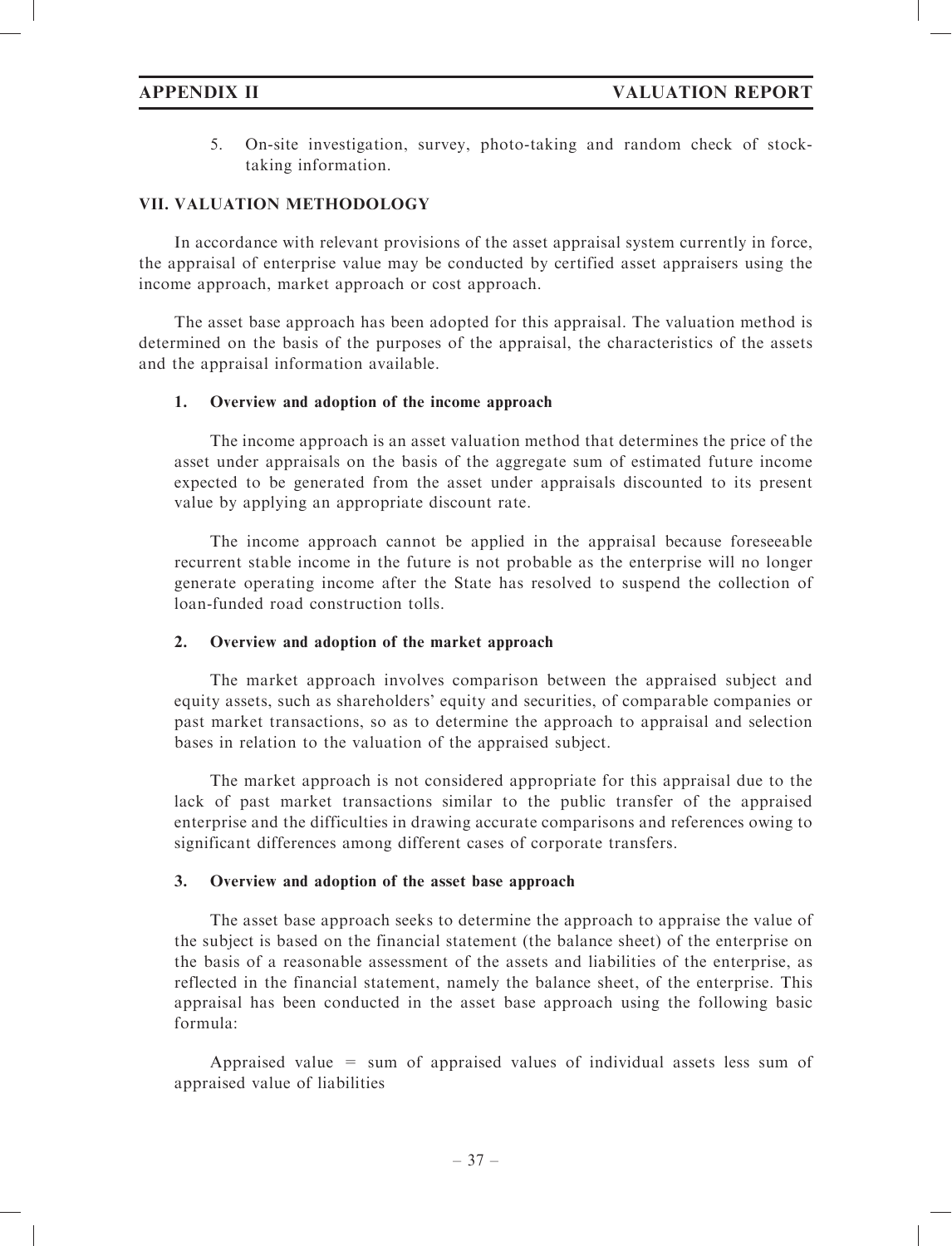5. On-site investigation, survey, photo-taking and random check of stocktaking information.

# VII. VALUATION METHODOLOGY

In accordance with relevant provisions of the asset appraisal system currently in force, the appraisal of enterprise value may be conducted by certified asset appraisers using the income approach, market approach or cost approach.

The asset base approach has been adopted for this appraisal. The valuation method is determined on the basis of the purposes of the appraisal, the characteristics of the assets and the appraisal information available.

### 1. Overview and adoption of the income approach

The income approach is an asset valuation method that determines the price of the asset under appraisals on the basis of the aggregate sum of estimated future income expected to be generated from the asset under appraisals discounted to its present value by applying an appropriate discount rate.

The income approach cannot be applied in the appraisal because foreseeable recurrent stable income in the future is not probable as the enterprise will no longer generate operating income after the State has resolved to suspend the collection of loan-funded road construction tolls.

### 2. Overview and adoption of the market approach

The market approach involves comparison between the appraised subject and equity assets, such as shareholders' equity and securities, of comparable companies or past market transactions, so as to determine the approach to appraisal and selection bases in relation to the valuation of the appraised subject.

The market approach is not considered appropriate for this appraisal due to the lack of past market transactions similar to the public transfer of the appraised enterprise and the difficulties in drawing accurate comparisons and references owing to significant differences among different cases of corporate transfers.

### 3. Overview and adoption of the asset base approach

The asset base approach seeks to determine the approach to appraise the value of the subject is based on the financial statement (the balance sheet) of the enterprise on the basis of a reasonable assessment of the assets and liabilities of the enterprise, as reflected in the financial statement, namely the balance sheet, of the enterprise. This appraisal has been conducted in the asset base approach using the following basic formula:

Appraised value = sum of appraised values of individual assets less sum of appraised value of liabilities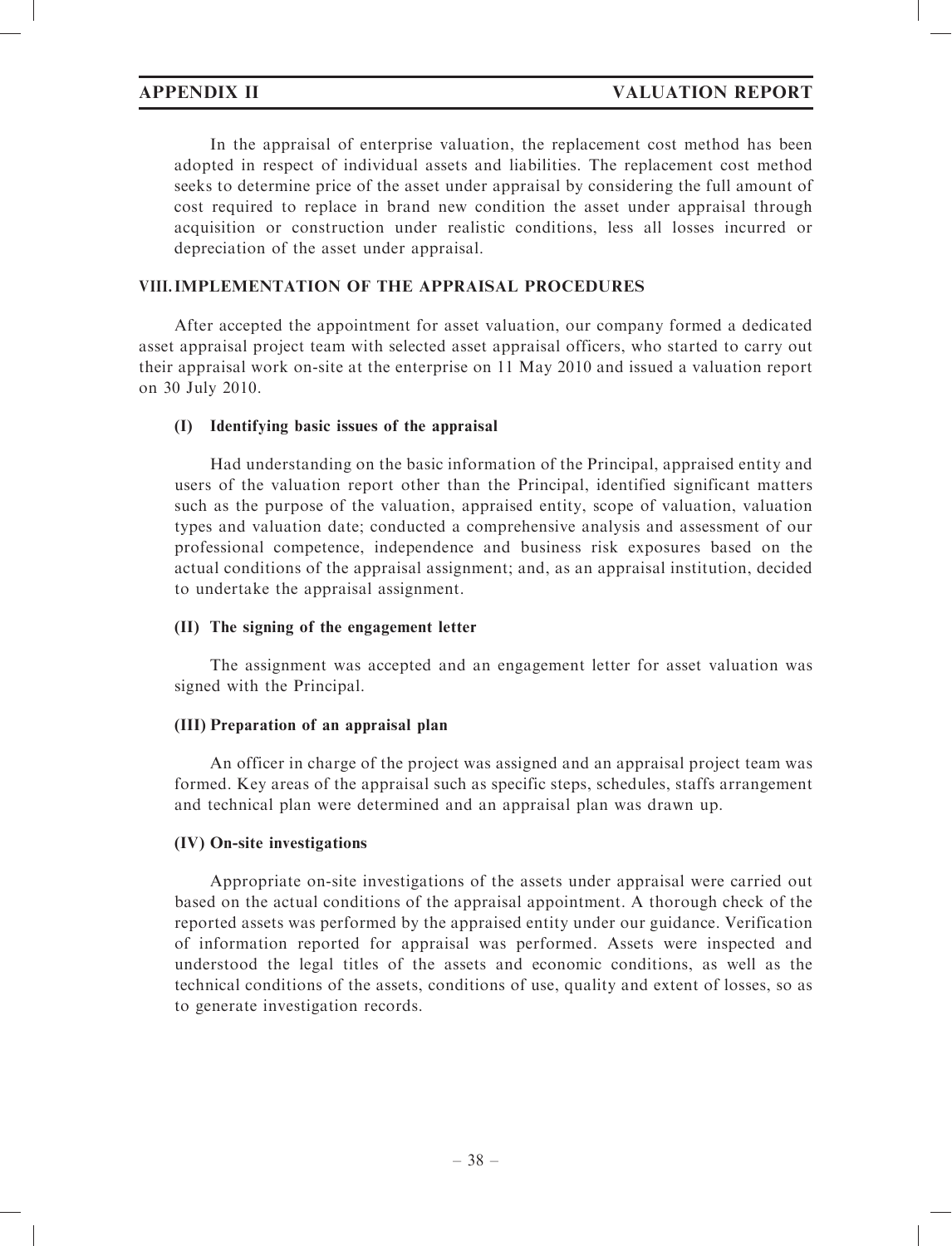In the appraisal of enterprise valuation, the replacement cost method has been adopted in respect of individual assets and liabilities. The replacement cost method seeks to determine price of the asset under appraisal by considering the full amount of cost required to replace in brand new condition the asset under appraisal through acquisition or construction under realistic conditions, less all losses incurred or depreciation of the asset under appraisal.

# VIII.IMPLEMENTATION OF THE APPRAISAL PROCEDURES

After accepted the appointment for asset valuation, our company formed a dedicated asset appraisal project team with selected asset appraisal officers, who started to carry out their appraisal work on-site at the enterprise on 11 May 2010 and issued a valuation report on 30 July 2010.

# (I) Identifying basic issues of the appraisal

Had understanding on the basic information of the Principal, appraised entity and users of the valuation report other than the Principal, identified significant matters such as the purpose of the valuation, appraised entity, scope of valuation, valuation types and valuation date; conducted a comprehensive analysis and assessment of our professional competence, independence and business risk exposures based on the actual conditions of the appraisal assignment; and, as an appraisal institution, decided to undertake the appraisal assignment.

# (II) The signing of the engagement letter

The assignment was accepted and an engagement letter for asset valuation was signed with the Principal.

# (III) Preparation of an appraisal plan

An officer in charge of the project was assigned and an appraisal project team was formed. Key areas of the appraisal such as specific steps, schedules, staffs arrangement and technical plan were determined and an appraisal plan was drawn up.

# (IV) On-site investigations

Appropriate on-site investigations of the assets under appraisal were carried out based on the actual conditions of the appraisal appointment. A thorough check of the reported assets was performed by the appraised entity under our guidance. Verification of information reported for appraisal was performed. Assets were inspected and understood the legal titles of the assets and economic conditions, as well as the technical conditions of the assets, conditions of use, quality and extent of losses, so as to generate investigation records.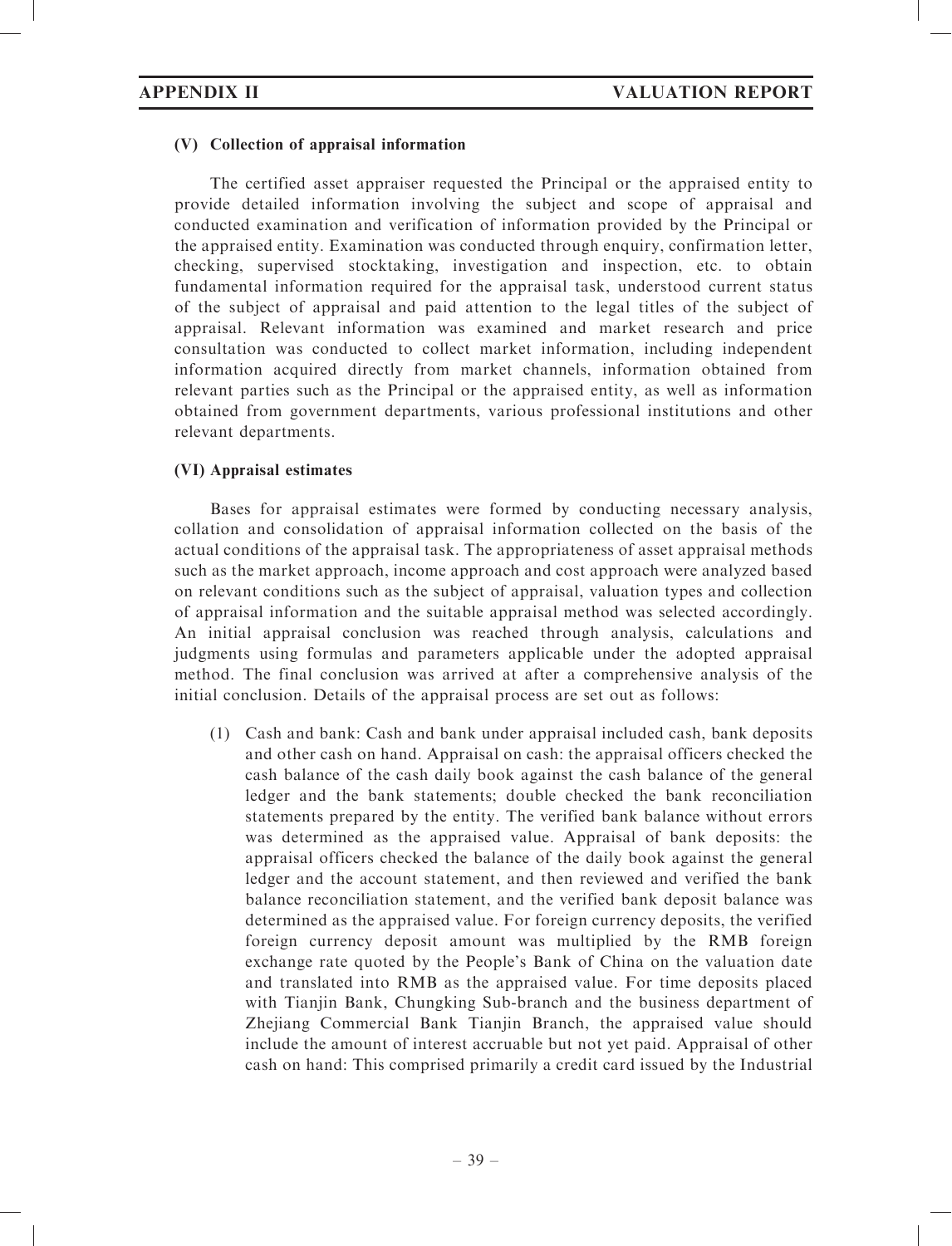### (V) Collection of appraisal information

The certified asset appraiser requested the Principal or the appraised entity to provide detailed information involving the subject and scope of appraisal and conducted examination and verification of information provided by the Principal or the appraised entity. Examination was conducted through enquiry, confirmation letter, checking, supervised stocktaking, investigation and inspection, etc. to obtain fundamental information required for the appraisal task, understood current status of the subject of appraisal and paid attention to the legal titles of the subject of appraisal. Relevant information was examined and market research and price consultation was conducted to collect market information, including independent information acquired directly from market channels, information obtained from relevant parties such as the Principal or the appraised entity, as well as information obtained from government departments, various professional institutions and other relevant departments.

# (VI) Appraisal estimates

Bases for appraisal estimates were formed by conducting necessary analysis, collation and consolidation of appraisal information collected on the basis of the actual conditions of the appraisal task. The appropriateness of asset appraisal methods such as the market approach, income approach and cost approach were analyzed based on relevant conditions such as the subject of appraisal, valuation types and collection of appraisal information and the suitable appraisal method was selected accordingly. An initial appraisal conclusion was reached through analysis, calculations and judgments using formulas and parameters applicable under the adopted appraisal method. The final conclusion was arrived at after a comprehensive analysis of the initial conclusion. Details of the appraisal process are set out as follows:

(1) Cash and bank: Cash and bank under appraisal included cash, bank deposits and other cash on hand. Appraisal on cash: the appraisal officers checked the cash balance of the cash daily book against the cash balance of the general ledger and the bank statements; double checked the bank reconciliation statements prepared by the entity. The verified bank balance without errors was determined as the appraised value. Appraisal of bank deposits: the appraisal officers checked the balance of the daily book against the general ledger and the account statement, and then reviewed and verified the bank balance reconciliation statement, and the verified bank deposit balance was determined as the appraised value. For foreign currency deposits, the verified foreign currency deposit amount was multiplied by the RMB foreign exchange rate quoted by the People's Bank of China on the valuation date and translated into RMB as the appraised value. For time deposits placed with Tianjin Bank, Chungking Sub-branch and the business department of Zhejiang Commercial Bank Tianjin Branch, the appraised value should include the amount of interest accruable but not yet paid. Appraisal of other cash on hand: This comprised primarily a credit card issued by the Industrial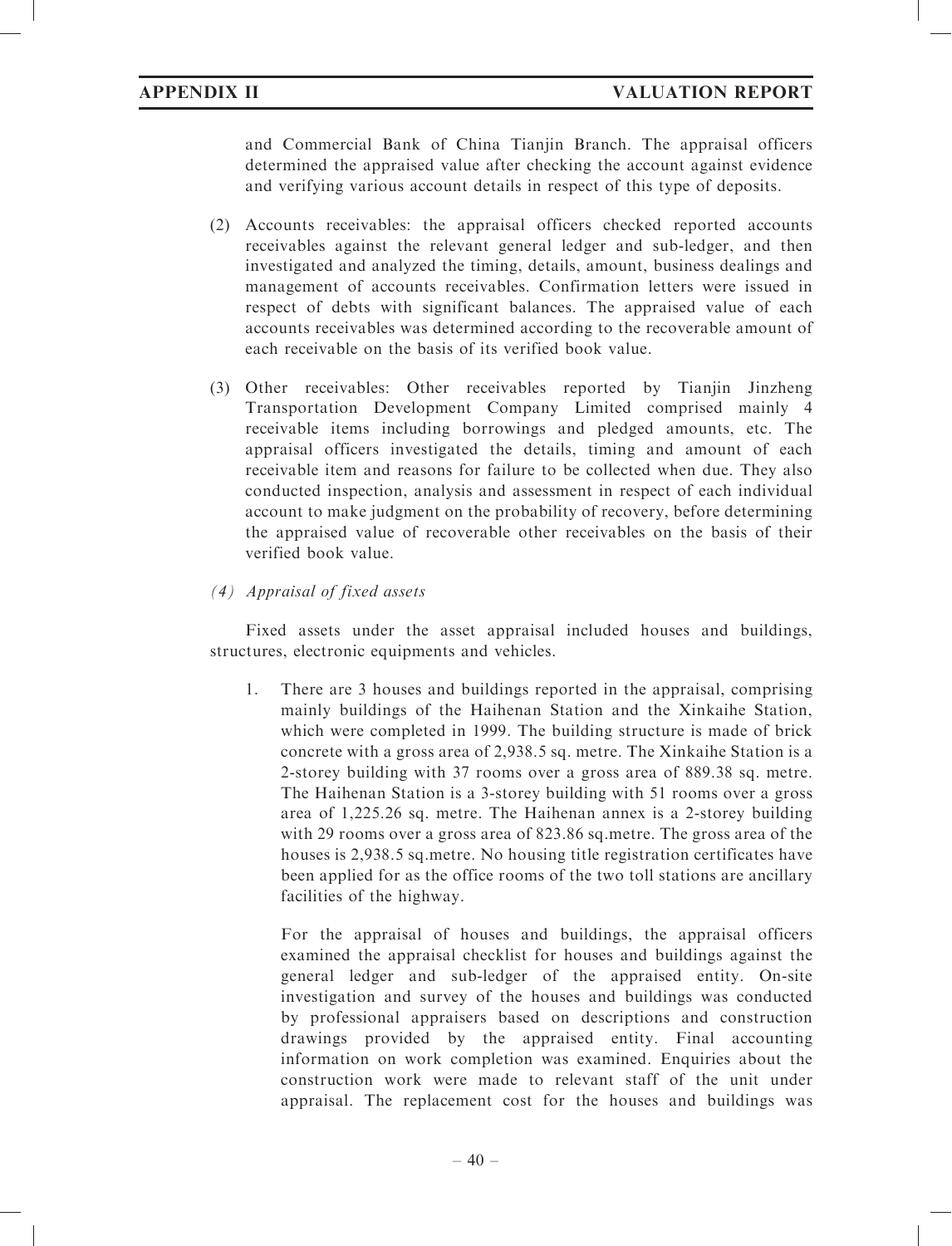and Commercial Bank of China Tianjin Branch. The appraisal officers determined the appraised value after checking the account against evidence and verifying various account details in respect of this type of deposits.

- (2) Accounts receivables: the appraisal officers checked reported accounts receivables against the relevant general ledger and sub-ledger, and then investigated and analyzed the timing, details, amount, business dealings and management of accounts receivables. Confirmation letters were issued in respect of debts with significant balances. The appraised value of each accounts receivables was determined according to the recoverable amount of each receivable on the basis of its verified book value.
- (3) Other receivables: Other receivables reported by Tianjin Jinzheng Transportation Development Company Limited comprised mainly 4 receivable items including borrowings and pledged amounts, etc. The appraisal officers investigated the details, timing and amount of each receivable item and reasons for failure to be collected when due. They also conducted inspection, analysis and assessment in respect of each individual account to make judgment on the probability of recovery, before determining the appraised value of recoverable other receivables on the basis of their verified book value.

# (4) Appraisal of fixed assets

Fixed assets under the asset appraisal included houses and buildings, structures, electronic equipments and vehicles.

1. There are 3 houses and buildings reported in the appraisal, comprising mainly buildings of the Haihenan Station and the Xinkaihe Station, which were completed in 1999. The building structure is made of brick concrete with a gross area of 2,938.5 sq. metre. The Xinkaihe Station is a 2-storey building with 37 rooms over a gross area of 889.38 sq. metre. The Haihenan Station is a 3-storey building with 51 rooms over a gross area of 1,225.26 sq. metre. The Haihenan annex is a 2-storey building with 29 rooms over a gross area of 823.86 sq.metre. The gross area of the houses is 2,938.5 sq.metre. No housing title registration certificates have been applied for as the office rooms of the two toll stations are ancillary facilities of the highway.

For the appraisal of houses and buildings, the appraisal officers examined the appraisal checklist for houses and buildings against the general ledger and sub-ledger of the appraised entity. On-site investigation and survey of the houses and buildings was conducted by professional appraisers based on descriptions and construction drawings provided by the appraised entity. Final accounting information on work completion was examined. Enquiries about the construction work were made to relevant staff of the unit under appraisal. The replacement cost for the houses and buildings was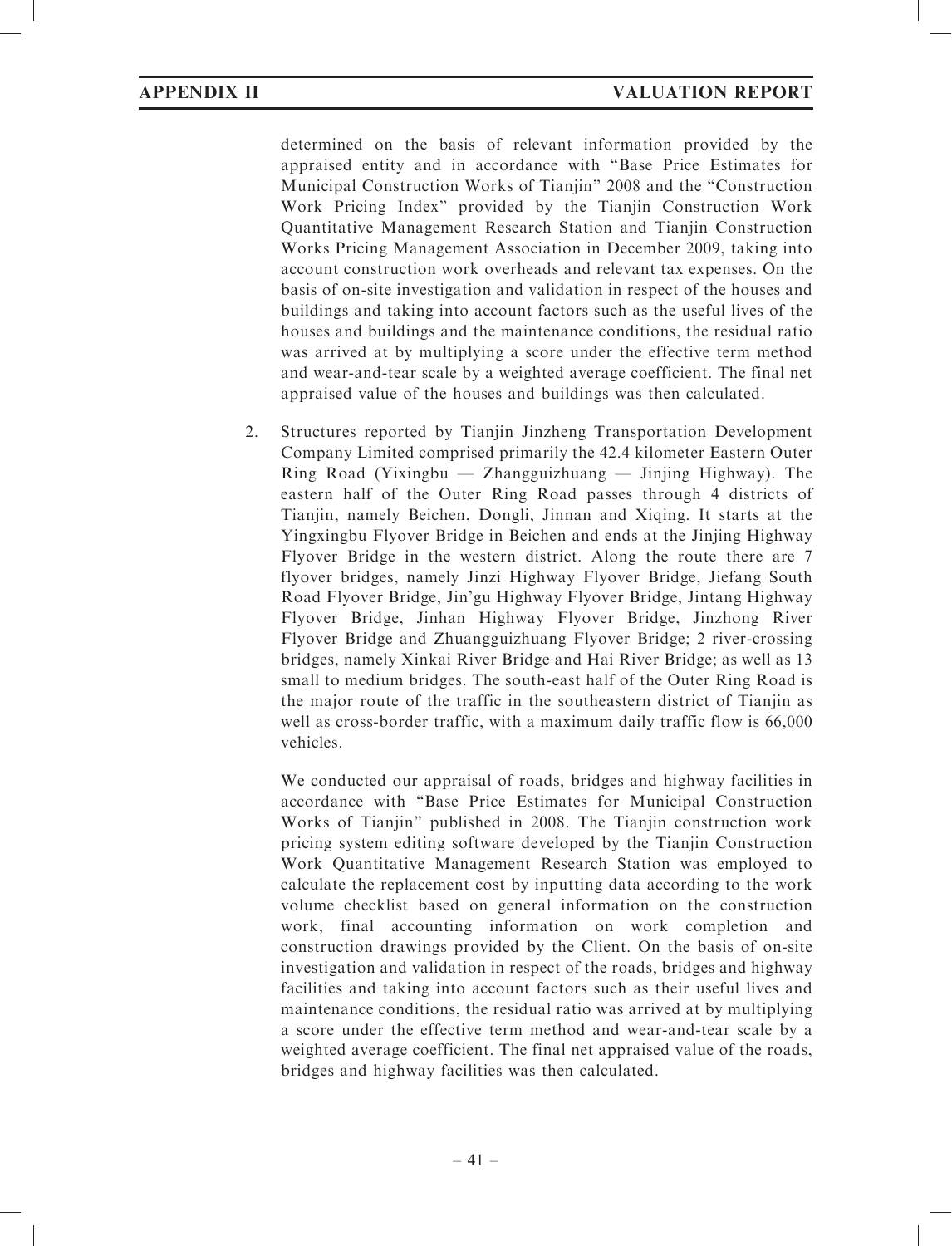determined on the basis of relevant information provided by the appraised entity and in accordance with ''Base Price Estimates for Municipal Construction Works of Tianjin'' 2008 and the ''Construction Work Pricing Index'' provided by the Tianjin Construction Work Quantitative Management Research Station and Tianjin Construction Works Pricing Management Association in December 2009, taking into account construction work overheads and relevant tax expenses. On the basis of on-site investigation and validation in respect of the houses and buildings and taking into account factors such as the useful lives of the houses and buildings and the maintenance conditions, the residual ratio was arrived at by multiplying a score under the effective term method and wear-and-tear scale by a weighted average coefficient. The final net appraised value of the houses and buildings was then calculated.

2. Structures reported by Tianjin Jinzheng Transportation Development Company Limited comprised primarily the 42.4 kilometer Eastern Outer Ring Road (Yixingbu  $-$  Zhangguizhuang  $-$  Jinjing Highway). The eastern half of the Outer Ring Road passes through 4 districts of Tianjin, namely Beichen, Dongli, Jinnan and Xiqing. It starts at the Yingxingbu Flyover Bridge in Beichen and ends at the Jinjing Highway Flyover Bridge in the western district. Along the route there are 7 flyover bridges, namely Jinzi Highway Flyover Bridge, Jiefang South Road Flyover Bridge, Jin'gu Highway Flyover Bridge, Jintang Highway Flyover Bridge, Jinhan Highway Flyover Bridge, Jinzhong River Flyover Bridge and Zhuangguizhuang Flyover Bridge; 2 river-crossing bridges, namely Xinkai River Bridge and Hai River Bridge; as well as 13 small to medium bridges. The south-east half of the Outer Ring Road is the major route of the traffic in the southeastern district of Tianjin as well as cross-border traffic, with a maximum daily traffic flow is 66,000 vehicles.

We conducted our appraisal of roads, bridges and highway facilities in accordance with ''Base Price Estimates for Municipal Construction Works of Tianjin'' published in 2008. The Tianjin construction work pricing system editing software developed by the Tianjin Construction Work Quantitative Management Research Station was employed to calculate the replacement cost by inputting data according to the work volume checklist based on general information on the construction work, final accounting information on work completion and construction drawings provided by the Client. On the basis of on-site investigation and validation in respect of the roads, bridges and highway facilities and taking into account factors such as their useful lives and maintenance conditions, the residual ratio was arrived at by multiplying a score under the effective term method and wear-and-tear scale by a weighted average coefficient. The final net appraised value of the roads, bridges and highway facilities was then calculated.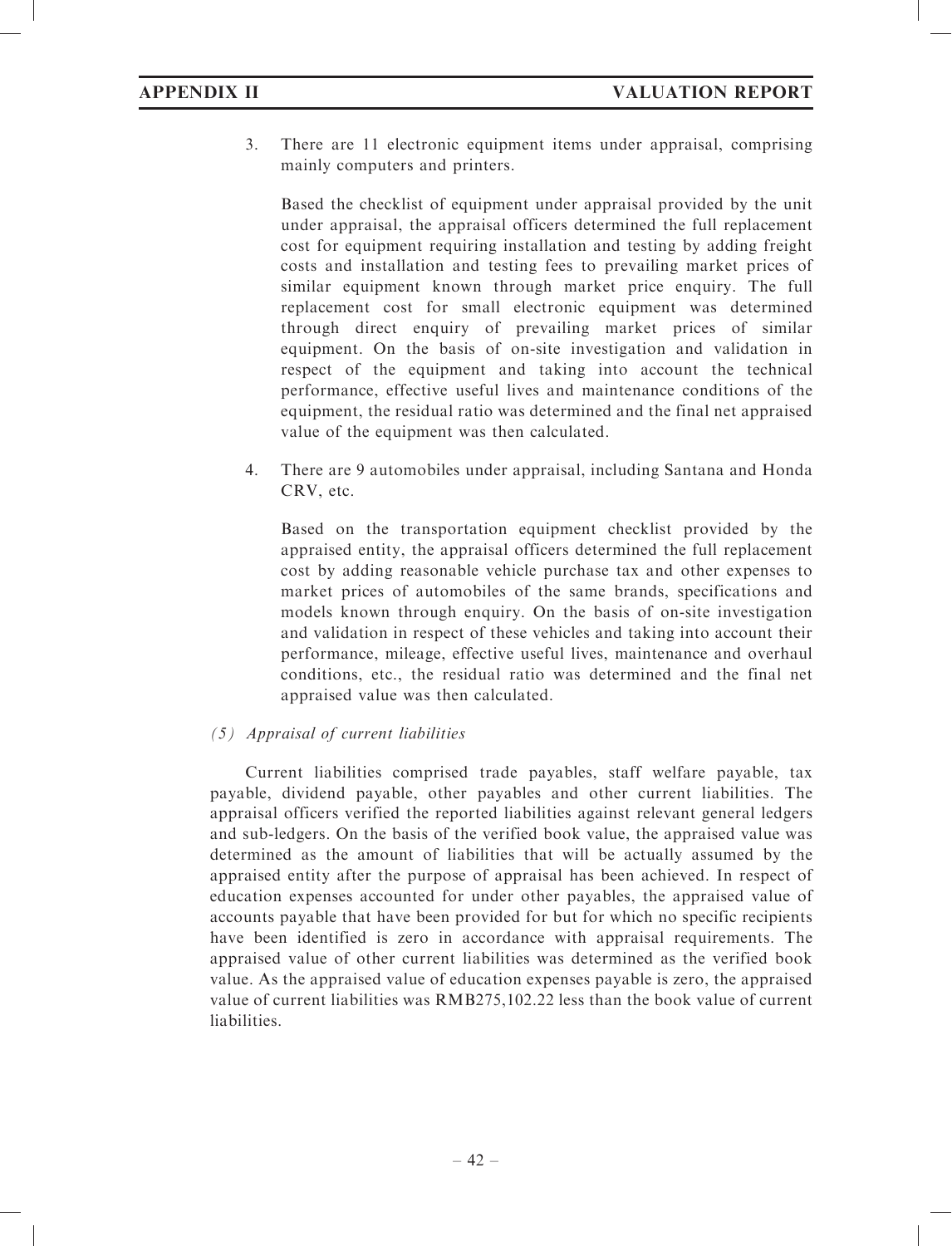3. There are 11 electronic equipment items under appraisal, comprising mainly computers and printers.

Based the checklist of equipment under appraisal provided by the unit under appraisal, the appraisal officers determined the full replacement cost for equipment requiring installation and testing by adding freight costs and installation and testing fees to prevailing market prices of similar equipment known through market price enquiry. The full replacement cost for small electronic equipment was determined through direct enquiry of prevailing market prices of similar equipment. On the basis of on-site investigation and validation in respect of the equipment and taking into account the technical performance, effective useful lives and maintenance conditions of the equipment, the residual ratio was determined and the final net appraised value of the equipment was then calculated.

4. There are 9 automobiles under appraisal, including Santana and Honda CRV, etc.

Based on the transportation equipment checklist provided by the appraised entity, the appraisal officers determined the full replacement cost by adding reasonable vehicle purchase tax and other expenses to market prices of automobiles of the same brands, specifications and models known through enquiry. On the basis of on-site investigation and validation in respect of these vehicles and taking into account their performance, mileage, effective useful lives, maintenance and overhaul conditions, etc., the residual ratio was determined and the final net appraised value was then calculated.

# (5) Appraisal of current liabilities

Current liabilities comprised trade payables, staff welfare payable, tax payable, dividend payable, other payables and other current liabilities. The appraisal officers verified the reported liabilities against relevant general ledgers and sub-ledgers. On the basis of the verified book value, the appraised value was determined as the amount of liabilities that will be actually assumed by the appraised entity after the purpose of appraisal has been achieved. In respect of education expenses accounted for under other payables, the appraised value of accounts payable that have been provided for but for which no specific recipients have been identified is zero in accordance with appraisal requirements. The appraised value of other current liabilities was determined as the verified book value. As the appraised value of education expenses payable is zero, the appraised value of current liabilities was RMB275,102.22 less than the book value of current liabilities.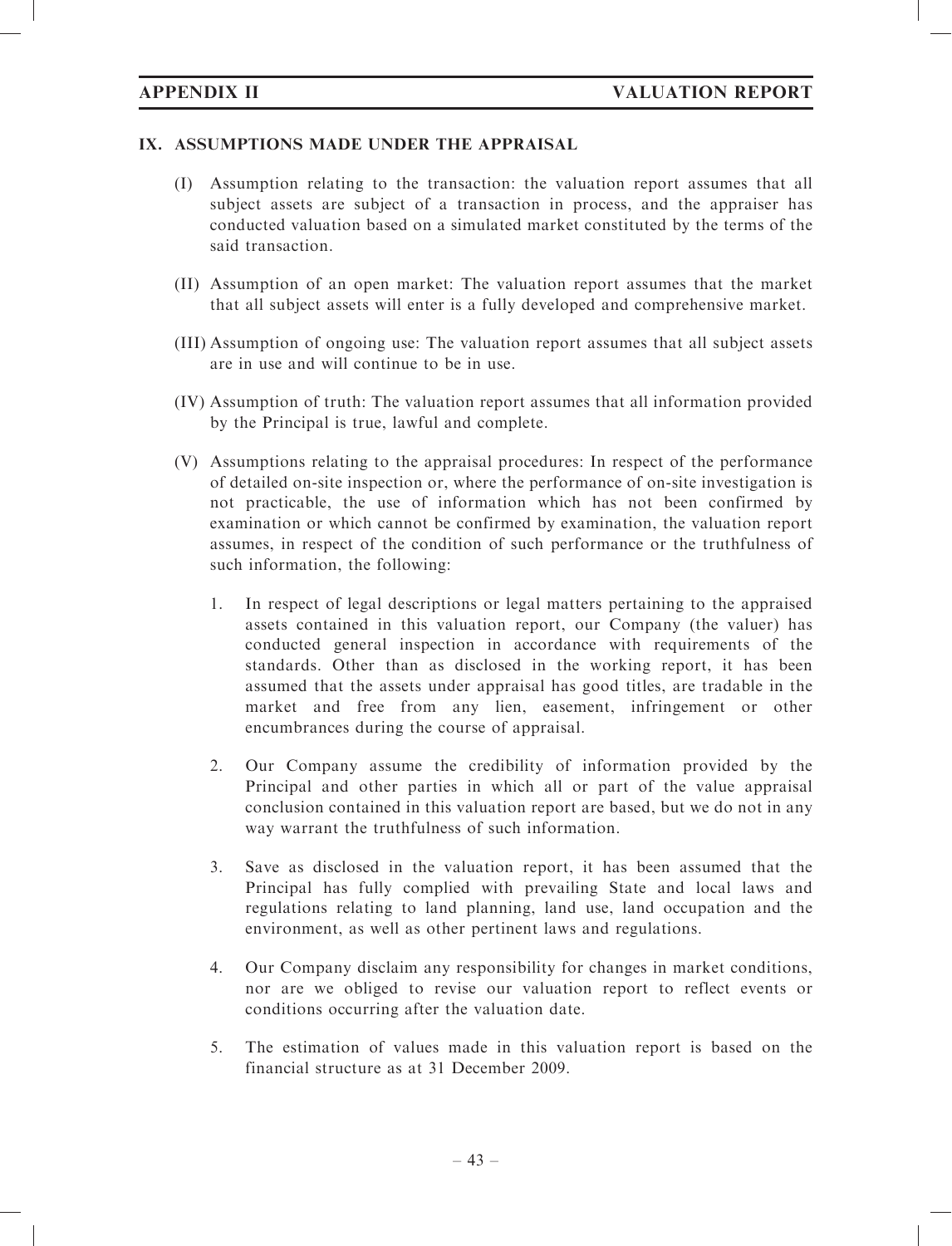# IX. ASSUMPTIONS MADE UNDER THE APPRAISAL

- (I) Assumption relating to the transaction: the valuation report assumes that all subject assets are subject of a transaction in process, and the appraiser has conducted valuation based on a simulated market constituted by the terms of the said transaction.
- (II) Assumption of an open market: The valuation report assumes that the market that all subject assets will enter is a fully developed and comprehensive market.
- (III) Assumption of ongoing use: The valuation report assumes that all subject assets are in use and will continue to be in use.
- (IV) Assumption of truth: The valuation report assumes that all information provided by the Principal is true, lawful and complete.
- (V) Assumptions relating to the appraisal procedures: In respect of the performance of detailed on-site inspection or, where the performance of on-site investigation is not practicable, the use of information which has not been confirmed by examination or which cannot be confirmed by examination, the valuation report assumes, in respect of the condition of such performance or the truthfulness of such information, the following:
	- 1. In respect of legal descriptions or legal matters pertaining to the appraised assets contained in this valuation report, our Company (the valuer) has conducted general inspection in accordance with requirements of the standards. Other than as disclosed in the working report, it has been assumed that the assets under appraisal has good titles, are tradable in the market and free from any lien, easement, infringement or other encumbrances during the course of appraisal.
	- 2. Our Company assume the credibility of information provided by the Principal and other parties in which all or part of the value appraisal conclusion contained in this valuation report are based, but we do not in any way warrant the truthfulness of such information.
	- 3. Save as disclosed in the valuation report, it has been assumed that the Principal has fully complied with prevailing State and local laws and regulations relating to land planning, land use, land occupation and the environment, as well as other pertinent laws and regulations.
	- 4. Our Company disclaim any responsibility for changes in market conditions, nor are we obliged to revise our valuation report to reflect events or conditions occurring after the valuation date.
	- 5. The estimation of values made in this valuation report is based on the financial structure as at 31 December 2009.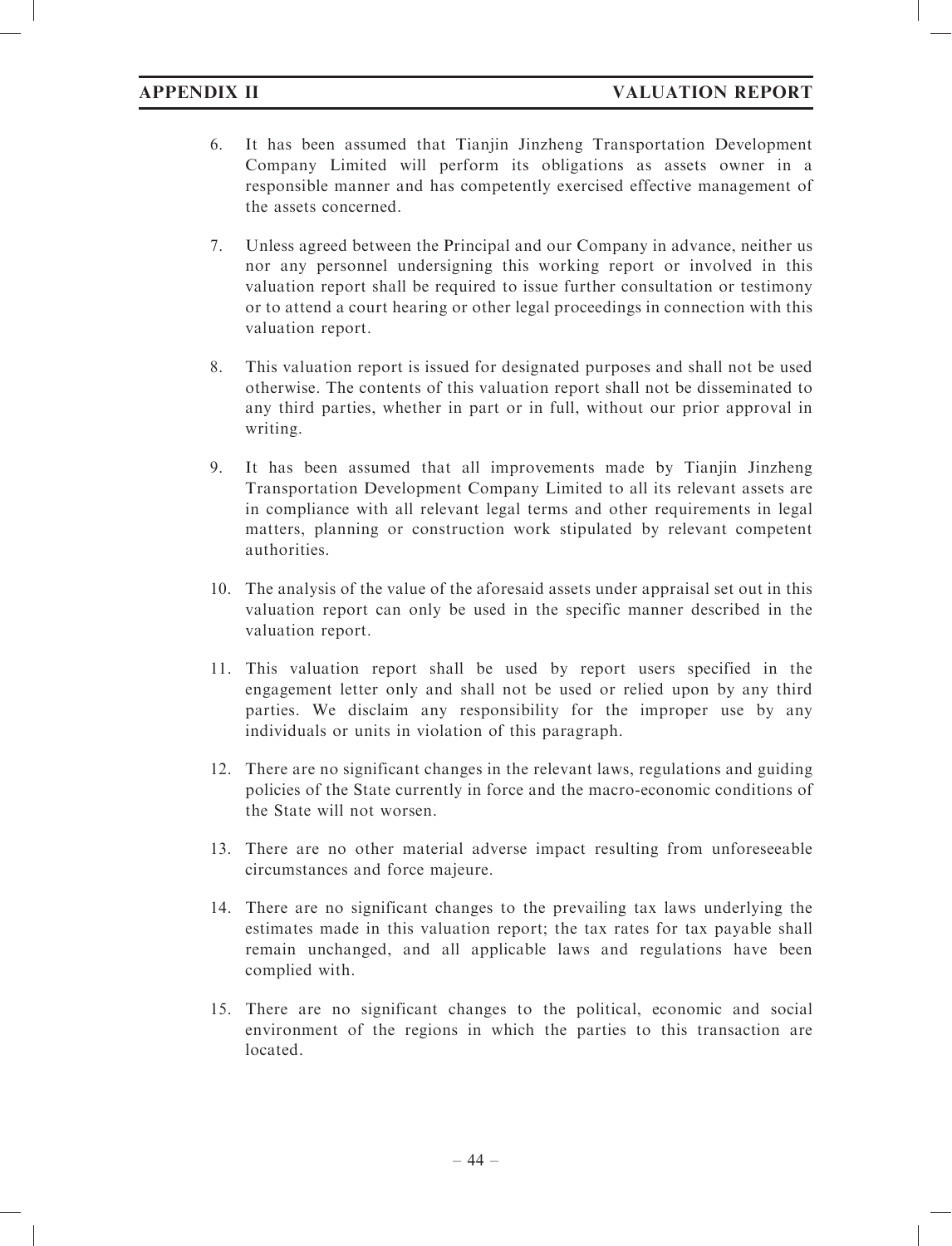- 6. It has been assumed that Tianjin Jinzheng Transportation Development Company Limited will perform its obligations as assets owner in a responsible manner and has competently exercised effective management of the assets concerned.
- 7. Unless agreed between the Principal and our Company in advance, neither us nor any personnel undersigning this working report or involved in this valuation report shall be required to issue further consultation or testimony or to attend a court hearing or other legal proceedings in connection with this valuation report.
- 8. This valuation report is issued for designated purposes and shall not be used otherwise. The contents of this valuation report shall not be disseminated to any third parties, whether in part or in full, without our prior approval in writing.
- 9. It has been assumed that all improvements made by Tianjin Jinzheng Transportation Development Company Limited to all its relevant assets are in compliance with all relevant legal terms and other requirements in legal matters, planning or construction work stipulated by relevant competent authorities.
- 10. The analysis of the value of the aforesaid assets under appraisal set out in this valuation report can only be used in the specific manner described in the valuation report.
- 11. This valuation report shall be used by report users specified in the engagement letter only and shall not be used or relied upon by any third parties. We disclaim any responsibility for the improper use by any individuals or units in violation of this paragraph.
- 12. There are no significant changes in the relevant laws, regulations and guiding policies of the State currently in force and the macro-economic conditions of the State will not worsen.
- 13. There are no other material adverse impact resulting from unforeseeable circumstances and force majeure.
- 14. There are no significant changes to the prevailing tax laws underlying the estimates made in this valuation report; the tax rates for tax payable shall remain unchanged, and all applicable laws and regulations have been complied with.
- 15. There are no significant changes to the political, economic and social environment of the regions in which the parties to this transaction are located.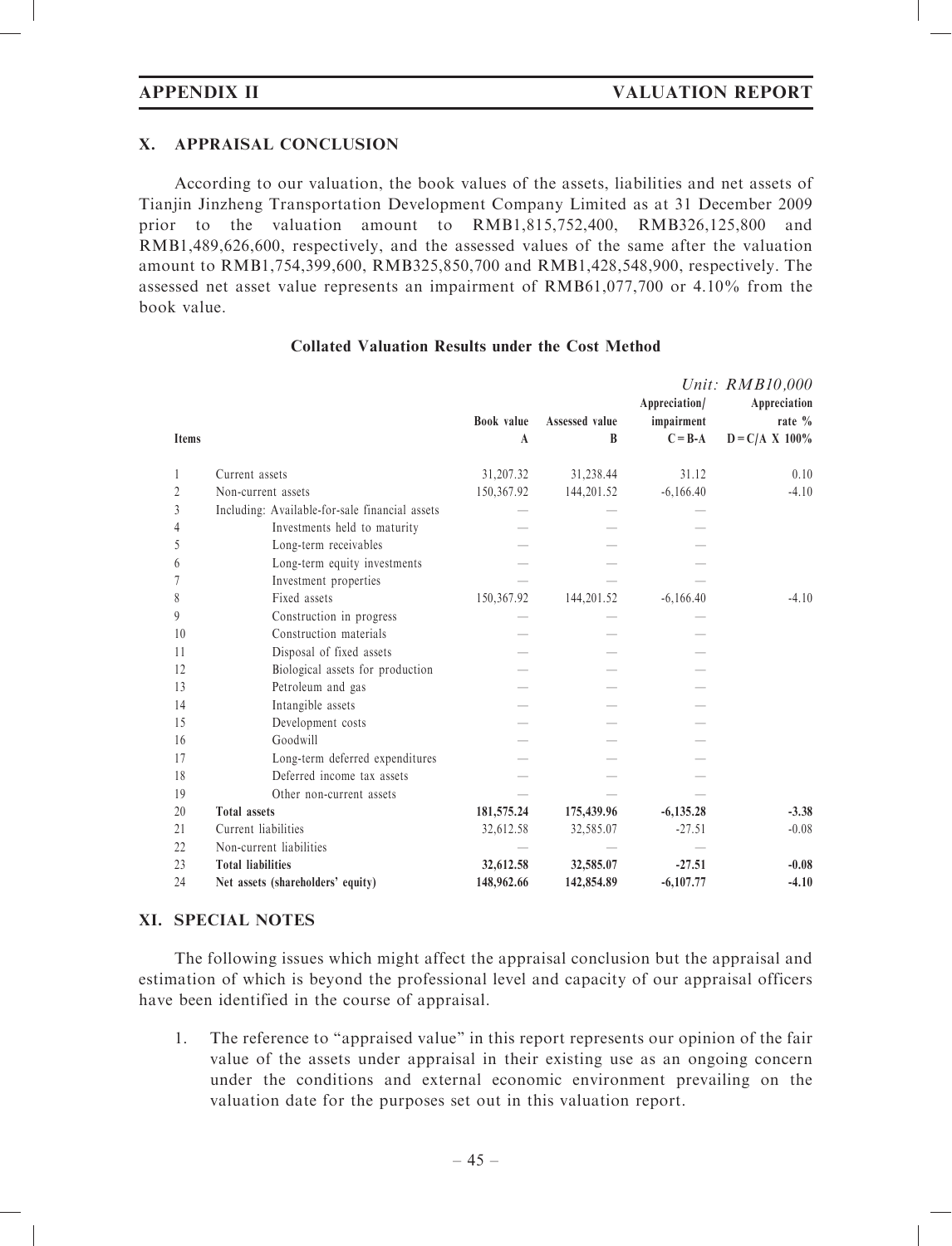# X. APPRAISAL CONCLUSION

According to our valuation, the book values of the assets, liabilities and net assets of Tianjin Jinzheng Transportation Development Company Limited as at 31 December 2009 prior to the valuation amount to RMB1,815,752,400, RMB326,125,800 and RMB1,489,626,600, respectively, and the assessed values of the same after the valuation amount to RMB1,754,399,600, RMB325,850,700 and RMB1,428,548,900, respectively. The assessed net asset value represents an impairment of RMB61,077,700 or 4.10% from the book value.

|                |                                                |              |                | Appreciation/ | Unit: RMB10,000<br>Appreciation |
|----------------|------------------------------------------------|--------------|----------------|---------------|---------------------------------|
|                |                                                | Book value   | Assessed value | impairment    | rate $\%$                       |
| <b>Items</b>   |                                                | $\mathbf{A}$ | B              | $C = B - A$   | $D = C/A X 100\%$               |
| $\mathbf{1}$   | Current assets                                 | 31,207.32    | 31,238.44      | 31.12         | 0.10                            |
| $\overline{c}$ | Non-current assets                             | 150,367.92   | 144,201.52     | $-6,166.40$   | $-4.10$                         |
| 3              | Including: Available-for-sale financial assets |              |                |               |                                 |
| $\overline{4}$ | Investments held to maturity                   |              |                |               |                                 |
| 5              | Long-term receivables                          |              |                |               |                                 |
| 6              | Long-term equity investments                   |              |                |               |                                 |
| 7              | Investment properties                          |              |                |               |                                 |
| 8              | Fixed assets                                   | 150,367.92   | 144,201.52     | $-6,166.40$   | $-4.10$                         |
| 9              | Construction in progress                       |              |                |               |                                 |
| 10             | Construction materials                         |              |                |               |                                 |
| 11             | Disposal of fixed assets                       |              |                |               |                                 |
| 12             | Biological assets for production               |              |                |               |                                 |
| 13             | Petroleum and gas                              |              |                |               |                                 |
| 14             | Intangible assets                              |              |                |               |                                 |
| 15             | Development costs                              |              |                |               |                                 |
| 16             | Goodwill                                       |              |                |               |                                 |
| 17             | Long-term deferred expenditures                |              |                |               |                                 |
| 18             | Deferred income tax assets                     |              |                |               |                                 |
| 19             | Other non-current assets                       |              |                |               |                                 |
| 20             | <b>Total assets</b>                            | 181,575.24   | 175,439.96     | $-6,135.28$   | $-3.38$                         |
| 21             | Current liabilities                            | 32,612.58    | 32,585.07      | $-27.51$      | $-0.08$                         |
| 22             | Non-current liabilities                        |              |                |               |                                 |
| 23             | <b>Total liabilities</b>                       | 32,612.58    | 32,585.07      | $-27.51$      | $-0.08$                         |
| 24             | Net assets (shareholders' equity)              | 148,962.66   | 142,854.89     | $-6,107.77$   | $-4.10$                         |

# Collated Valuation Results under the Cost Method

# XI. SPECIAL NOTES

The following issues which might affect the appraisal conclusion but the appraisal and estimation of which is beyond the professional level and capacity of our appraisal officers have been identified in the course of appraisal.

1. The reference to ''appraised value'' in this report represents our opinion of the fair value of the assets under appraisal in their existing use as an ongoing concern under the conditions and external economic environment prevailing on the valuation date for the purposes set out in this valuation report.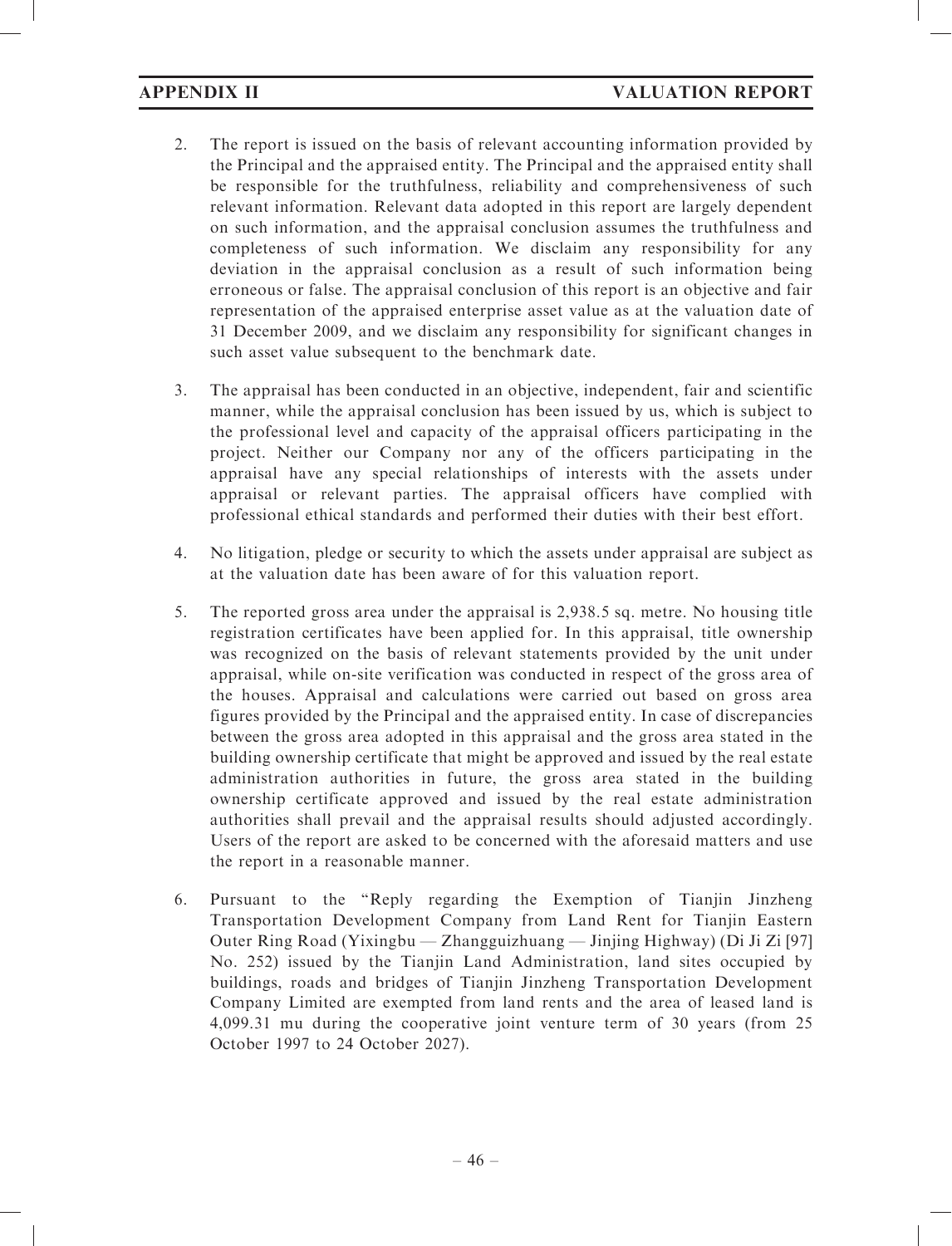- 2. The report is issued on the basis of relevant accounting information provided by the Principal and the appraised entity. The Principal and the appraised entity shall be responsible for the truthfulness, reliability and comprehensiveness of such relevant information. Relevant data adopted in this report are largely dependent on such information, and the appraisal conclusion assumes the truthfulness and completeness of such information. We disclaim any responsibility for any deviation in the appraisal conclusion as a result of such information being erroneous or false. The appraisal conclusion of this report is an objective and fair representation of the appraised enterprise asset value as at the valuation date of 31 December 2009, and we disclaim any responsibility for significant changes in such asset value subsequent to the benchmark date.
- 3. The appraisal has been conducted in an objective, independent, fair and scientific manner, while the appraisal conclusion has been issued by us, which is subject to the professional level and capacity of the appraisal officers participating in the project. Neither our Company nor any of the officers participating in the appraisal have any special relationships of interests with the assets under appraisal or relevant parties. The appraisal officers have complied with professional ethical standards and performed their duties with their best effort.
- 4. No litigation, pledge or security to which the assets under appraisal are subject as at the valuation date has been aware of for this valuation report.
- 5. The reported gross area under the appraisal is 2,938.5 sq. metre. No housing title registration certificates have been applied for. In this appraisal, title ownership was recognized on the basis of relevant statements provided by the unit under appraisal, while on-site verification was conducted in respect of the gross area of the houses. Appraisal and calculations were carried out based on gross area figures provided by the Principal and the appraised entity. In case of discrepancies between the gross area adopted in this appraisal and the gross area stated in the building ownership certificate that might be approved and issued by the real estate administration authorities in future, the gross area stated in the building ownership certificate approved and issued by the real estate administration authorities shall prevail and the appraisal results should adjusted accordingly. Users of the report are asked to be concerned with the aforesaid matters and use the report in a reasonable manner.
- 6. Pursuant to the ''Reply regarding the Exemption of Tianjin Jinzheng Transportation Development Company from Land Rent for Tianjin Eastern Outer Ring Road (Yixingbu — Zhangguizhuang — Jinjing Highway) (Di Ji Zi [97] No. 252) issued by the Tianjin Land Administration, land sites occupied by buildings, roads and bridges of Tianjin Jinzheng Transportation Development Company Limited are exempted from land rents and the area of leased land is 4,099.31 mu during the cooperative joint venture term of 30 years (from 25 October 1997 to 24 October 2027).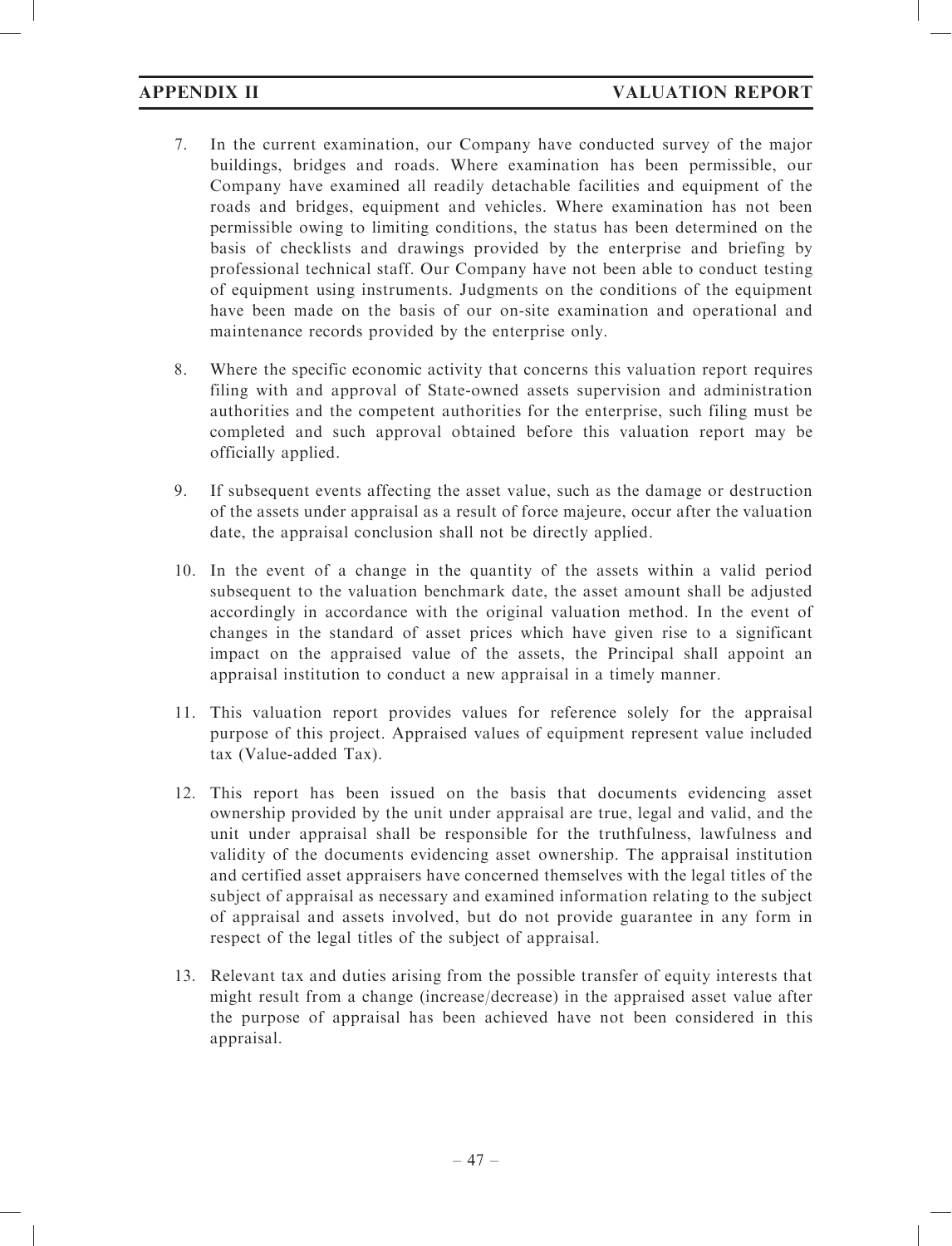- 7. In the current examination, our Company have conducted survey of the major buildings, bridges and roads. Where examination has been permissible, our Company have examined all readily detachable facilities and equipment of the roads and bridges, equipment and vehicles. Where examination has not been permissible owing to limiting conditions, the status has been determined on the basis of checklists and drawings provided by the enterprise and briefing by professional technical staff. Our Company have not been able to conduct testing of equipment using instruments. Judgments on the conditions of the equipment have been made on the basis of our on-site examination and operational and maintenance records provided by the enterprise only.
- 8. Where the specific economic activity that concerns this valuation report requires filing with and approval of State-owned assets supervision and administration authorities and the competent authorities for the enterprise, such filing must be completed and such approval obtained before this valuation report may be officially applied.
- 9. If subsequent events affecting the asset value, such as the damage or destruction of the assets under appraisal as a result of force majeure, occur after the valuation date, the appraisal conclusion shall not be directly applied.
- 10. In the event of a change in the quantity of the assets within a valid period subsequent to the valuation benchmark date, the asset amount shall be adjusted accordingly in accordance with the original valuation method. In the event of changes in the standard of asset prices which have given rise to a significant impact on the appraised value of the assets, the Principal shall appoint an appraisal institution to conduct a new appraisal in a timely manner.
- 11. This valuation report provides values for reference solely for the appraisal purpose of this project. Appraised values of equipment represent value included tax (Value-added Tax).
- 12. This report has been issued on the basis that documents evidencing asset ownership provided by the unit under appraisal are true, legal and valid, and the unit under appraisal shall be responsible for the truthfulness, lawfulness and validity of the documents evidencing asset ownership. The appraisal institution and certified asset appraisers have concerned themselves with the legal titles of the subject of appraisal as necessary and examined information relating to the subject of appraisal and assets involved, but do not provide guarantee in any form in respect of the legal titles of the subject of appraisal.
- 13. Relevant tax and duties arising from the possible transfer of equity interests that might result from a change (increase/decrease) in the appraised asset value after the purpose of appraisal has been achieved have not been considered in this appraisal.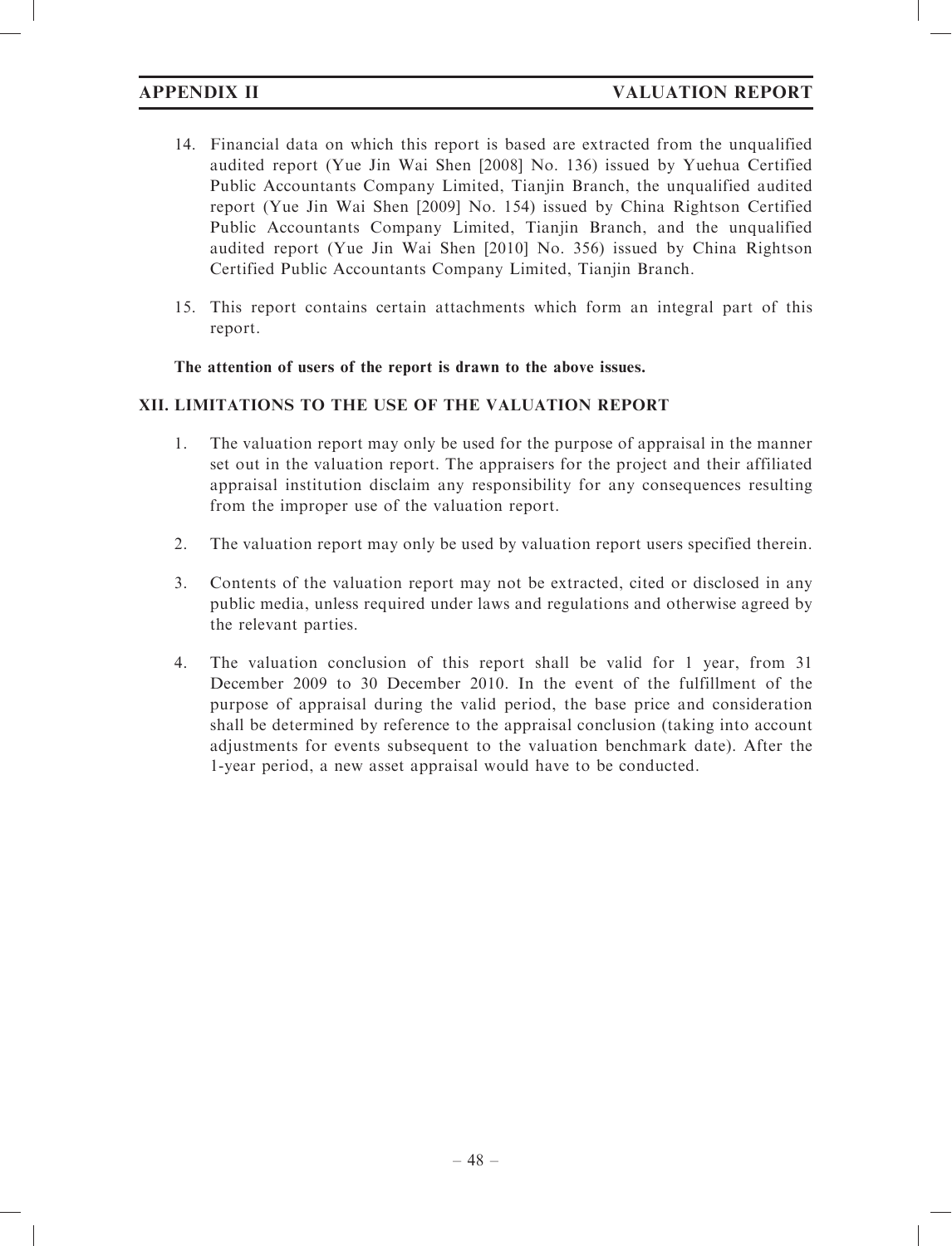- 14. Financial data on which this report is based are extracted from the unqualified audited report (Yue Jin Wai Shen [2008] No. 136) issued by Yuehua Certified Public Accountants Company Limited, Tianjin Branch, the unqualified audited report (Yue Jin Wai Shen [2009] No. 154) issued by China Rightson Certified Public Accountants Company Limited, Tianjin Branch, and the unqualified audited report (Yue Jin Wai Shen [2010] No. 356) issued by China Rightson Certified Public Accountants Company Limited, Tianjin Branch.
- 15. This report contains certain attachments which form an integral part of this report.

The attention of users of the report is drawn to the above issues.

# XII. LIMITATIONS TO THE USE OF THE VALUATION REPORT

- 1. The valuation report may only be used for the purpose of appraisal in the manner set out in the valuation report. The appraisers for the project and their affiliated appraisal institution disclaim any responsibility for any consequences resulting from the improper use of the valuation report.
- 2. The valuation report may only be used by valuation report users specified therein.
- 3. Contents of the valuation report may not be extracted, cited or disclosed in any public media, unless required under laws and regulations and otherwise agreed by the relevant parties.
- 4. The valuation conclusion of this report shall be valid for 1 year, from 31 December 2009 to 30 December 2010. In the event of the fulfillment of the purpose of appraisal during the valid period, the base price and consideration shall be determined by reference to the appraisal conclusion (taking into account adjustments for events subsequent to the valuation benchmark date). After the 1-year period, a new asset appraisal would have to be conducted.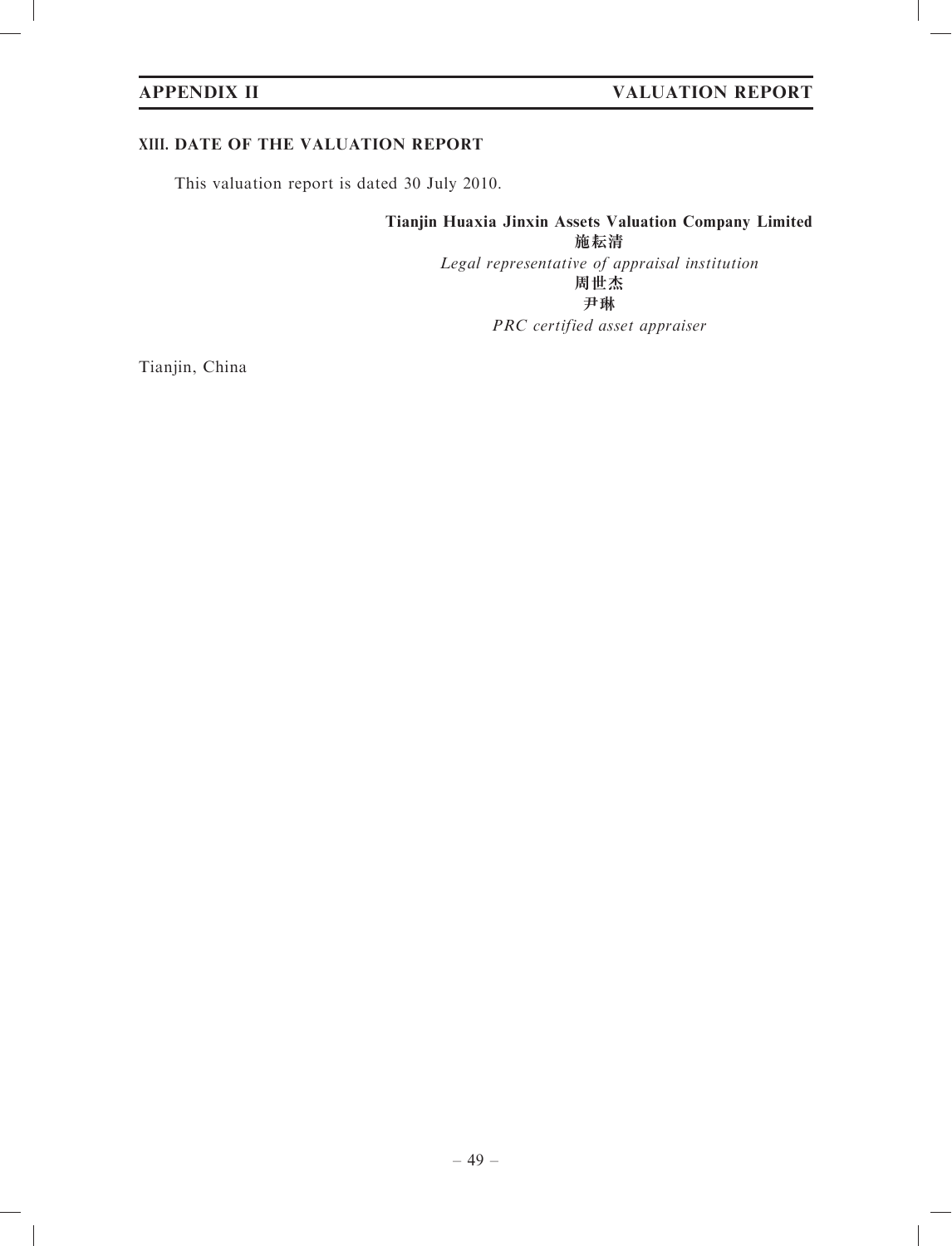# XIII. DATE OF THE VALUATION REPORT

This valuation report is dated 30 July 2010.

# Tianjin Huaxia Jinxin Assets Valuation Company Limited

施耘清

Legal representative of appraisal institution 周世杰 尹琳

PRC certified asset appraiser

Tianjin, China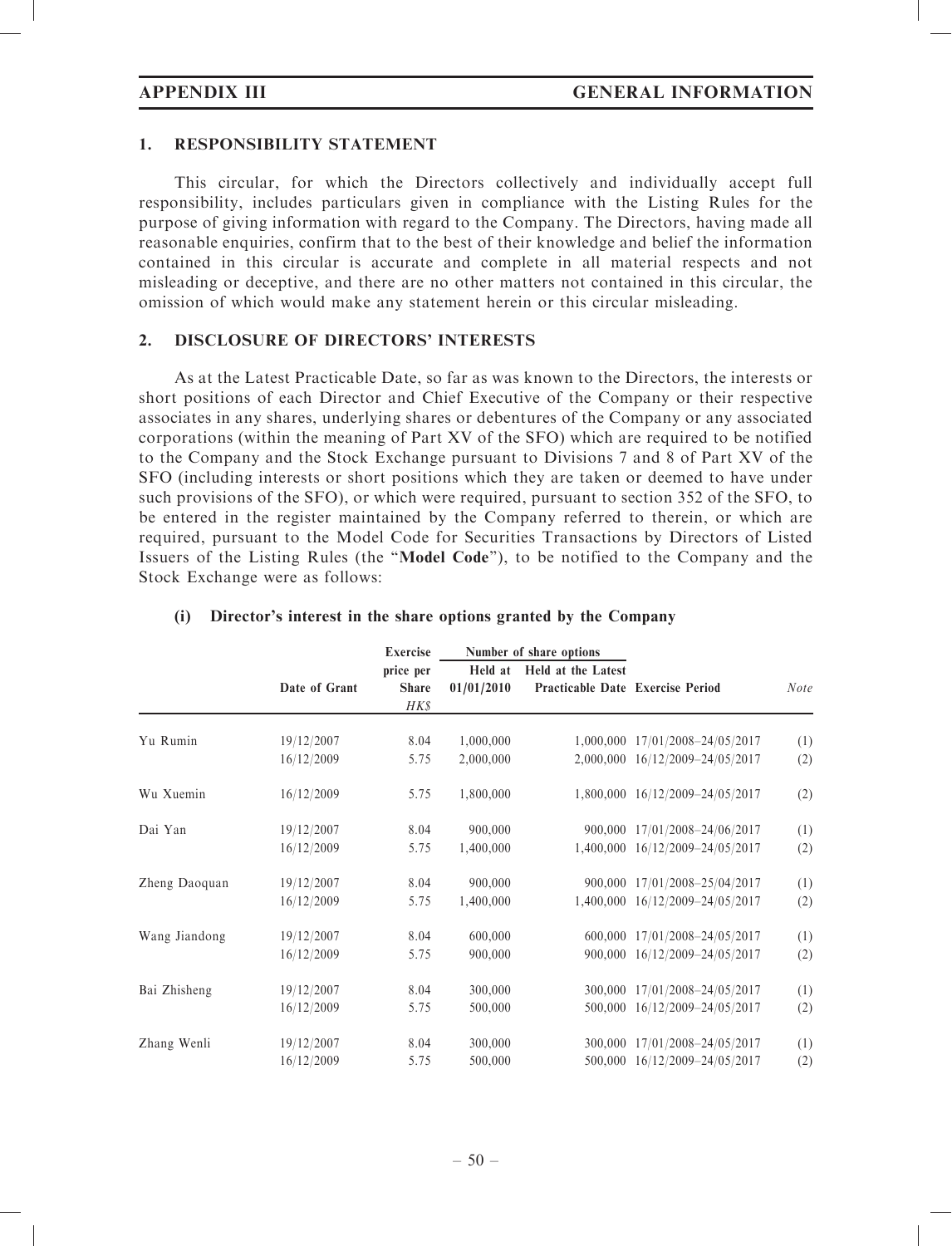### 1. RESPONSIBILITY STATEMENT

This circular, for which the Directors collectively and individually accept full responsibility, includes particulars given in compliance with the Listing Rules for the purpose of giving information with regard to the Company. The Directors, having made all reasonable enquiries, confirm that to the best of their knowledge and belief the information contained in this circular is accurate and complete in all material respects and not misleading or deceptive, and there are no other matters not contained in this circular, the omission of which would make any statement herein or this circular misleading.

### 2. DISCLOSURE OF DIRECTORS' INTERESTS

As at the Latest Practicable Date, so far as was known to the Directors, the interests or short positions of each Director and Chief Executive of the Company or their respective associates in any shares, underlying shares or debentures of the Company or any associated corporations (within the meaning of Part XV of the SFO) which are required to be notified to the Company and the Stock Exchange pursuant to Divisions 7 and 8 of Part XV of the SFO (including interests or short positions which they are taken or deemed to have under such provisions of the SFO), or which were required, pursuant to section 352 of the SFO, to be entered in the register maintained by the Company referred to therein, or which are required, pursuant to the Model Code for Securities Transactions by Directors of Listed Issuers of the Listing Rules (the ''Model Code''), to be notified to the Company and the Stock Exchange were as follows:

|               |               | <b>Exercise</b> | Number of share options |                                  |                                 |             |
|---------------|---------------|-----------------|-------------------------|----------------------------------|---------------------------------|-------------|
|               |               | price per       | Held at                 | Held at the Latest               |                                 |             |
|               | Date of Grant | <b>Share</b>    | 01/01/2010              | Practicable Date Exercise Period |                                 | <b>Note</b> |
|               |               | HK\$            |                         |                                  |                                 |             |
| Yu Rumin      | 19/12/2007    | 8.04            | 1,000,000               |                                  | 1,000,000 17/01/2008-24/05/2017 | (1)         |
|               | 16/12/2009    | 5.75            | 2,000,000               |                                  | 2,000,000 16/12/2009-24/05/2017 | (2)         |
| Wu Xuemin     | 16/12/2009    | 5.75            | 1,800,000               |                                  | 1,800,000 16/12/2009-24/05/2017 | (2)         |
| Dai Yan       | 19/12/2007    | 8.04            | 900,000                 | 900,000                          | 17/01/2008-24/06/2017           | (1)         |
|               | 16/12/2009    | 5.75            | 1,400,000               | 1,400,000                        | 16/12/2009-24/05/2017           | (2)         |
| Zheng Daoquan | 19/12/2007    | 8.04            | 900,000                 |                                  | 900,000 17/01/2008-25/04/2017   | (1)         |
|               | 16/12/2009    | 5.75            | 1,400,000               |                                  | 1,400,000 16/12/2009-24/05/2017 | (2)         |
| Wang Jiandong | 19/12/2007    | 8.04            | 600,000                 |                                  | 600,000 17/01/2008-24/05/2017   | (1)         |
|               | 16/12/2009    | 5.75            | 900,000                 |                                  | 900,000 16/12/2009-24/05/2017   | (2)         |
| Bai Zhisheng  | 19/12/2007    | 8.04            | 300,000                 | 300,000                          | 17/01/2008-24/05/2017           | (1)         |
|               | 16/12/2009    | 5.75            | 500,000                 | 500,000                          | 16/12/2009-24/05/2017           | (2)         |
| Zhang Wenli   | 19/12/2007    | 8.04            | 300,000                 |                                  | 300,000 17/01/2008-24/05/2017   | (1)         |
|               | 16/12/2009    | 5.75            | 500,000                 |                                  | 500,000 16/12/2009-24/05/2017   | (2)         |

### (i) Director's interest in the share options granted by the Company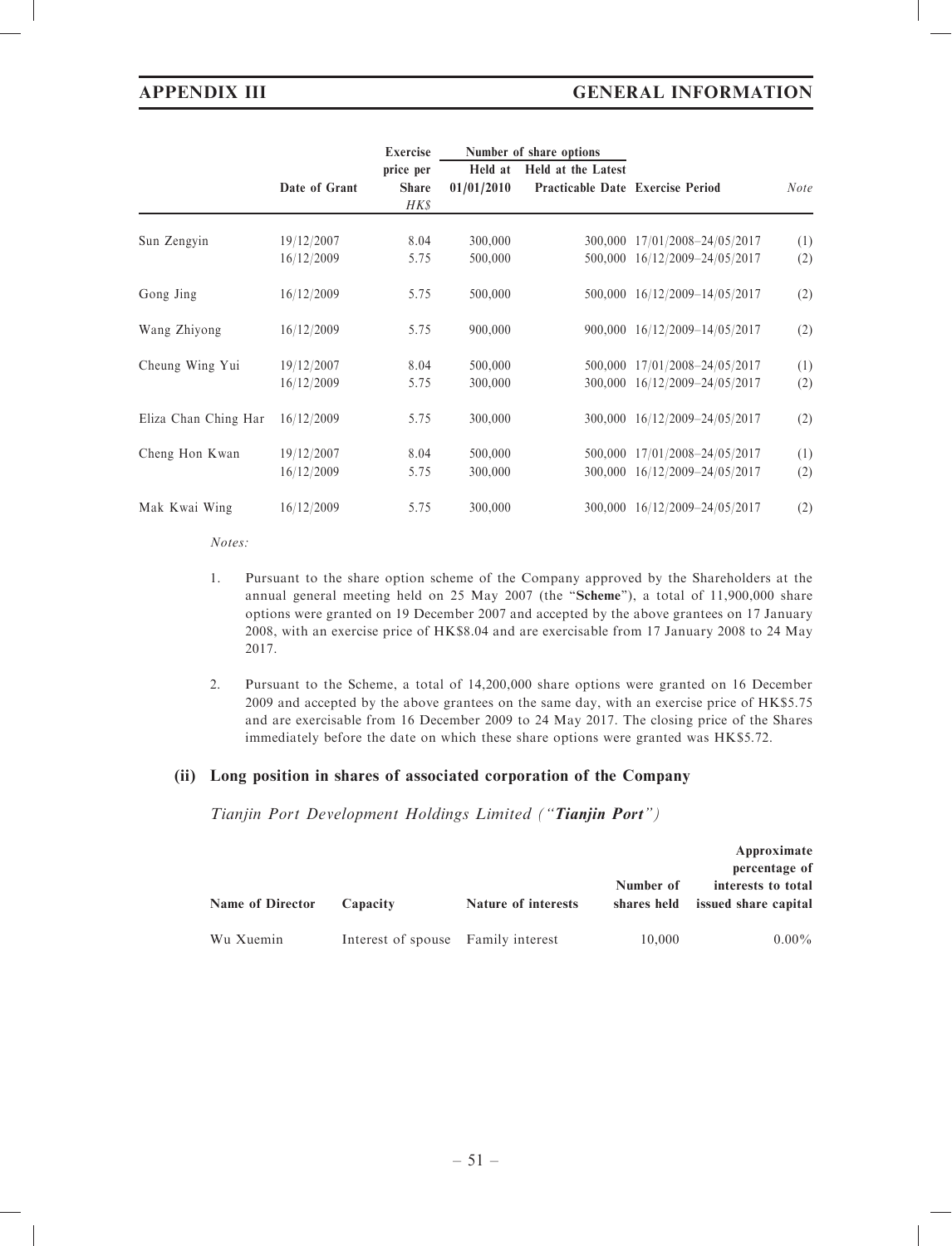# APPENDIX III GENERAL INFORMATION

|                      |               | <b>Exercise</b> | Number of share options |                                  |                               |             |
|----------------------|---------------|-----------------|-------------------------|----------------------------------|-------------------------------|-------------|
|                      |               | price per       | Held at                 | Held at the Latest               |                               |             |
|                      | Date of Grant | <b>Share</b>    | 01/01/2010              | Practicable Date Exercise Period |                               | <b>Note</b> |
|                      |               | HK\$            |                         |                                  |                               |             |
| Sun Zengyin          | 19/12/2007    | 8.04            | 300,000                 | 300,000                          | 17/01/2008-24/05/2017         | (1)         |
|                      | 16/12/2009    | 5.75            | 500,000                 |                                  | 500,000 16/12/2009-24/05/2017 | (2)         |
| Gong Jing            | 16/12/2009    | 5.75            | 500,000                 |                                  | 500,000 16/12/2009-14/05/2017 | (2)         |
| Wang Zhiyong         | 16/12/2009    | 5.75            | 900,000                 |                                  | 900,000 16/12/2009-14/05/2017 | (2)         |
| Cheung Wing Yui      | 19/12/2007    | 8.04            | 500,000                 | 500,000                          | 17/01/2008-24/05/2017         | (1)         |
|                      | 16/12/2009    | 5.75            | 300,000                 | 300,000                          | 16/12/2009-24/05/2017         | (2)         |
| Eliza Chan Ching Har | 16/12/2009    | 5.75            | 300,000                 |                                  | 300,000 16/12/2009-24/05/2017 | (2)         |
| Cheng Hon Kwan       | 19/12/2007    | 8.04            | 500,000                 | 500,000                          | 17/01/2008-24/05/2017         | (1)         |
|                      | 16/12/2009    | 5.75            | 300,000                 | 300,000                          | 16/12/2009-24/05/2017         | (2)         |
| Mak Kwai Wing        | 16/12/2009    | 5.75            | 300,000                 | 300,000                          | 16/12/2009-24/05/2017         | (2)         |

Notes:

- 1. Pursuant to the share option scheme of the Company approved by the Shareholders at the annual general meeting held on 25 May 2007 (the "Scheme"), a total of 11,900,000 share options were granted on 19 December 2007 and accepted by the above grantees on 17 January 2008, with an exercise price of HK\$8.04 and are exercisable from 17 January 2008 to 24 May 2017.
- 2. Pursuant to the Scheme, a total of 14,200,000 share options were granted on 16 December 2009 and accepted by the above grantees on the same day, with an exercise price of HK\$5.75 and are exercisable from 16 December 2009 to 24 May 2017. The closing price of the Shares immediately before the date on which these share options were granted was HK\$5.72.

# (ii) Long position in shares of associated corporation of the Company

Tianjin Port Development Holdings Limited ("Tianjin Port")

|                         |                                    |                     |           | Approximate<br>percentage of                           |
|-------------------------|------------------------------------|---------------------|-----------|--------------------------------------------------------|
| <b>Name of Director</b> | Capacity                           | Nature of interests | Number of | interests to total<br>shares held issued share capital |
| Wu Xuemin               | Interest of spouse Family interest |                     | 10.000    | $0.00\%$                                               |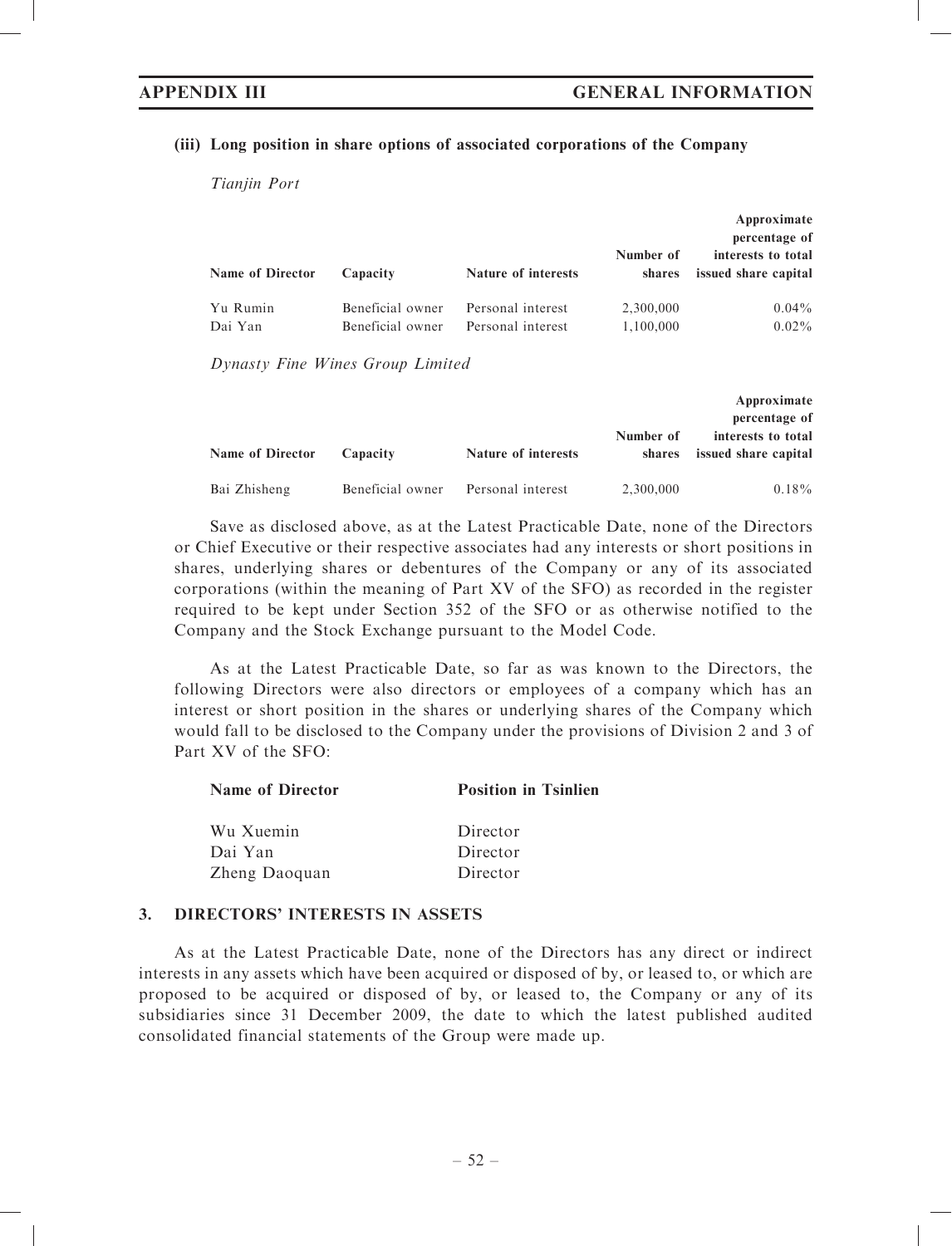### (iii) Long position in share options of associated corporations of the Company

Tianiin Port

|                         |                                      |                                        |                        | Approximate<br>percentage of               |  |
|-------------------------|--------------------------------------|----------------------------------------|------------------------|--------------------------------------------|--|
| <b>Name of Director</b> | Capacity                             | <b>Nature of interests</b>             | Number of<br>shares    | interests to total<br>issued share capital |  |
| Yu Rumin<br>Dai Yan     | Beneficial owner<br>Beneficial owner | Personal interest<br>Personal interest | 2,300,000<br>1,100,000 | $0.04\%$<br>$0.02\%$                       |  |

Dynasty Fine Wines Group Limited

|                         |                  |                     |                     | Approximate<br>percentage of               |
|-------------------------|------------------|---------------------|---------------------|--------------------------------------------|
| <b>Name of Director</b> | Capacity         | Nature of interests | Number of<br>shares | interests to total<br>issued share capital |
|                         |                  |                     |                     |                                            |
| Bai Zhisheng            | Beneficial owner | Personal interest   | 2,300,000           | $0.18\%$                                   |

Save as disclosed above, as at the Latest Practicable Date, none of the Directors or Chief Executive or their respective associates had any interests or short positions in shares, underlying shares or debentures of the Company or any of its associated corporations (within the meaning of Part XV of the SFO) as recorded in the register required to be kept under Section 352 of the SFO or as otherwise notified to the Company and the Stock Exchange pursuant to the Model Code.

As at the Latest Practicable Date, so far as was known to the Directors, the following Directors were also directors or employees of a company which has an interest or short position in the shares or underlying shares of the Company which would fall to be disclosed to the Company under the provisions of Division 2 and 3 of Part XV of the SFO:

| <b>Name of Director</b> | <b>Position in Tsinlien</b> |
|-------------------------|-----------------------------|
| Wu Xuemin               | Director                    |
| Dai Yan                 | Director                    |
| Zheng Daoquan           | Director                    |

### 3. DIRECTORS' INTERESTS IN ASSETS

As at the Latest Practicable Date, none of the Directors has any direct or indirect interests in any assets which have been acquired or disposed of by, or leased to, or which are proposed to be acquired or disposed of by, or leased to, the Company or any of its subsidiaries since 31 December 2009, the date to which the latest published audited consolidated financial statements of the Group were made up.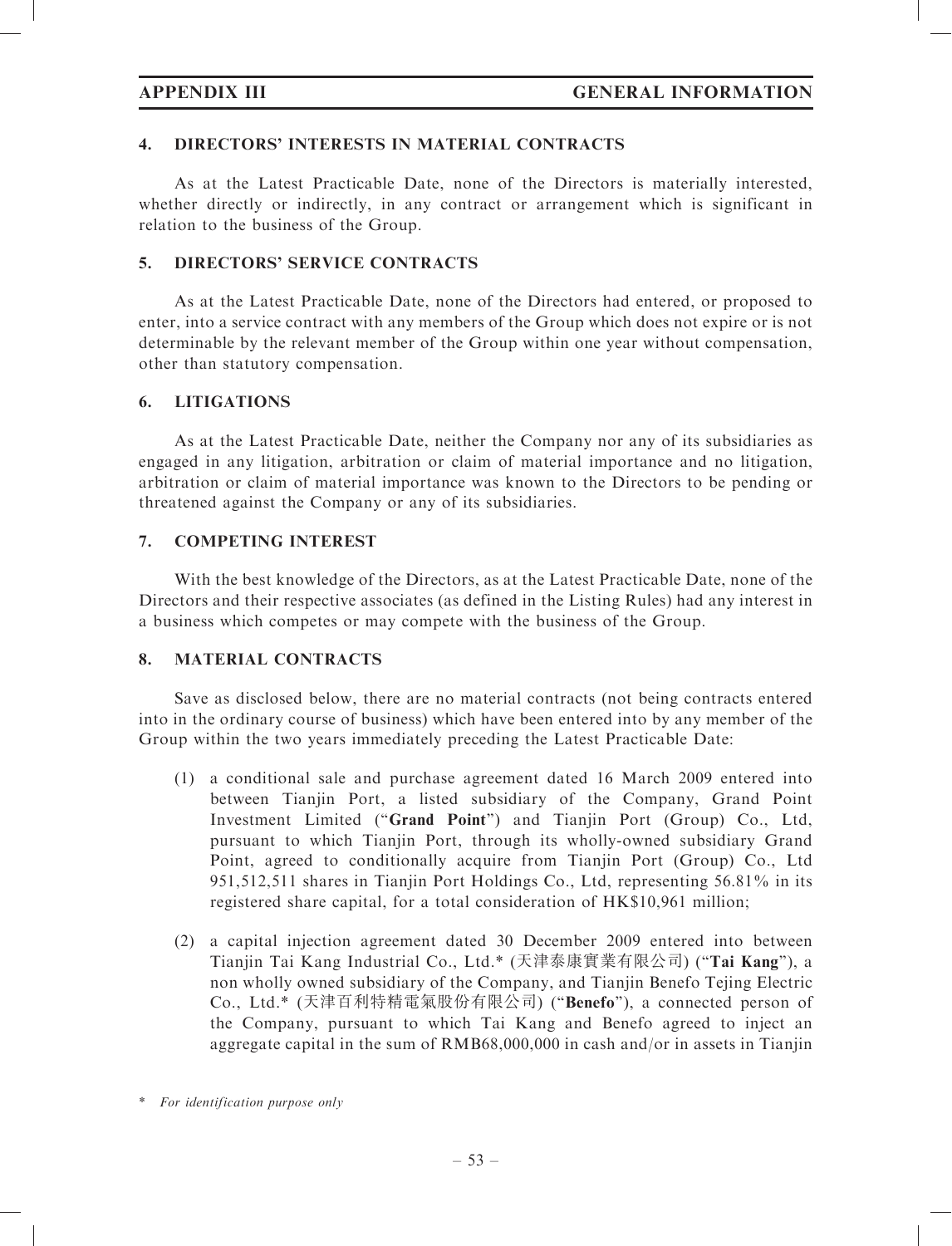# 4. DIRECTORS' INTERESTS IN MATERIAL CONTRACTS

As at the Latest Practicable Date, none of the Directors is materially interested, whether directly or indirectly, in any contract or arrangement which is significant in relation to the business of the Group.

# 5. DIRECTORS' SERVICE CONTRACTS

As at the Latest Practicable Date, none of the Directors had entered, or proposed to enter, into a service contract with any members of the Group which does not expire or is not determinable by the relevant member of the Group within one year without compensation, other than statutory compensation.

# 6. LITIGATIONS

As at the Latest Practicable Date, neither the Company nor any of its subsidiaries as engaged in any litigation, arbitration or claim of material importance and no litigation, arbitration or claim of material importance was known to the Directors to be pending or threatened against the Company or any of its subsidiaries.

# 7. COMPETING INTEREST

With the best knowledge of the Directors, as at the Latest Practicable Date, none of the Directors and their respective associates (as defined in the Listing Rules) had any interest in a business which competes or may compete with the business of the Group.

# 8. MATERIAL CONTRACTS

Save as disclosed below, there are no material contracts (not being contracts entered into in the ordinary course of business) which have been entered into by any member of the Group within the two years immediately preceding the Latest Practicable Date:

- (1) a conditional sale and purchase agreement dated 16 March 2009 entered into between Tianjin Port, a listed subsidiary of the Company, Grand Point Investment Limited ("Grand Point") and Tianjin Port (Group) Co., Ltd, pursuant to which Tianjin Port, through its wholly-owned subsidiary Grand Point, agreed to conditionally acquire from Tianjin Port (Group) Co., Ltd 951,512,511 shares in Tianjin Port Holdings Co., Ltd, representing 56.81% in its registered share capital, for a total consideration of HK\$10,961 million;
- (2) a capital injection agreement dated 30 December 2009 entered into between Tianjin Tai Kang Industrial Co., Ltd.\* (天津泰康實業有限公司) (''Tai Kang''), a non wholly owned subsidiary of the Company, and Tianjin Benefo Tejing Electric Co., Ltd.\* (天津百利特精電氣股份有限公司) (''Benefo''), a connected person of the Company, pursuant to which Tai Kang and Benefo agreed to inject an aggregate capital in the sum of RMB68,000,000 in cash and/or in assets in Tianjin

<sup>\*</sup> For identification purpose only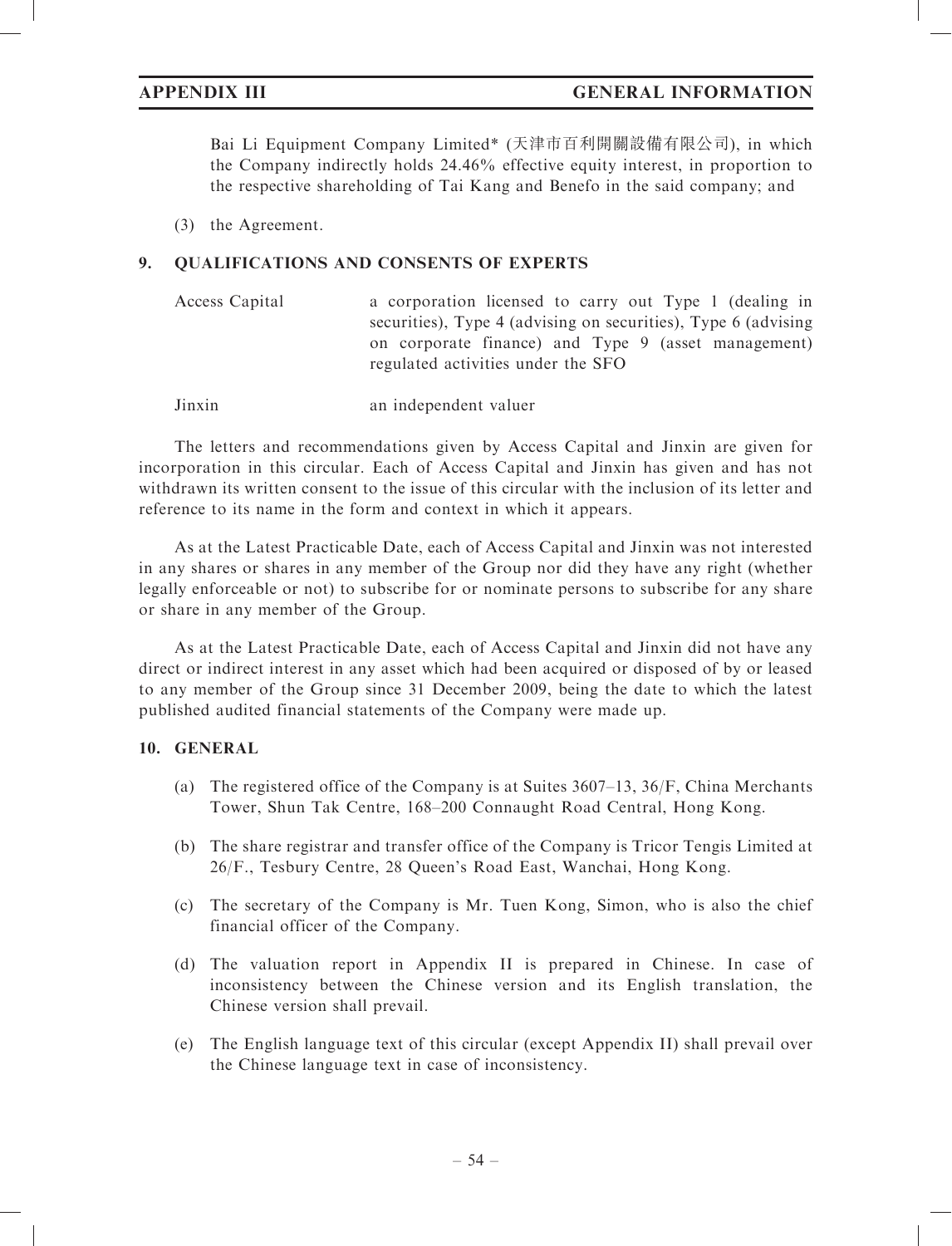Bai Li Equipment Company Limited\* (天津市百利開關設備有限公司), in which the Company indirectly holds 24.46% effective equity interest, in proportion to the respective shareholding of Tai Kang and Benefo in the said company; and

(3) the Agreement.

# 9. QUALIFICATIONS AND CONSENTS OF EXPERTS

| Access Capital | a corporation licensed to carry out Type 1 (dealing in         |
|----------------|----------------------------------------------------------------|
|                | securities), Type 4 (advising on securities), Type 6 (advising |
|                | on corporate finance) and Type 9 (asset management)            |
|                | regulated activities under the SFO                             |

Jinxin an independent valuer

The letters and recommendations given by Access Capital and Jinxin are given for incorporation in this circular. Each of Access Capital and Jinxin has given and has not withdrawn its written consent to the issue of this circular with the inclusion of its letter and reference to its name in the form and context in which it appears.

As at the Latest Practicable Date, each of Access Capital and Jinxin was not interested in any shares or shares in any member of the Group nor did they have any right (whether legally enforceable or not) to subscribe for or nominate persons to subscribe for any share or share in any member of the Group.

As at the Latest Practicable Date, each of Access Capital and Jinxin did not have any direct or indirect interest in any asset which had been acquired or disposed of by or leased to any member of the Group since 31 December 2009, being the date to which the latest published audited financial statements of the Company were made up.

# 10. GENERAL

- (a) The registered office of the Company is at Suites 3607–13, 36/F, China Merchants Tower, Shun Tak Centre, 168–200 Connaught Road Central, Hong Kong.
- (b) The share registrar and transfer office of the Company is Tricor Tengis Limited at 26/F., Tesbury Centre, 28 Queen's Road East, Wanchai, Hong Kong.
- (c) The secretary of the Company is Mr. Tuen Kong, Simon, who is also the chief financial officer of the Company.
- (d) The valuation report in Appendix II is prepared in Chinese. In case of inconsistency between the Chinese version and its English translation, the Chinese version shall prevail.
- (e) The English language text of this circular (except Appendix II) shall prevail over the Chinese language text in case of inconsistency.